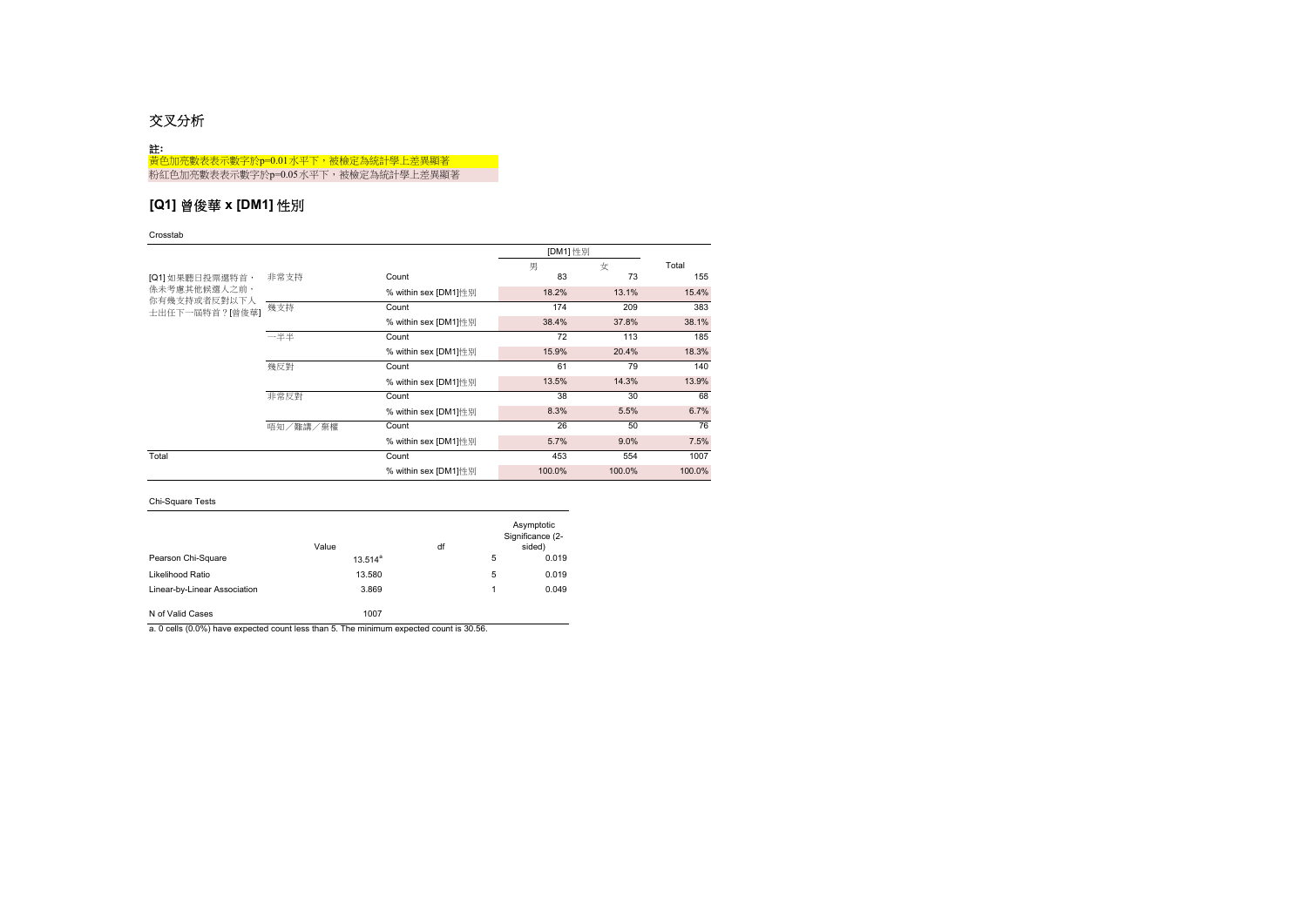# 交叉分析

| 註:                                 |
|------------------------------------|
| 黃色加亮數表表示數字於p=0.01水平下,被檢定為統計學上差異顯著  |
| 粉紅色加亮數表表示數字於p=0.05水平下,被檢定為統計學上差異顯著 |

# **[Q1]** 曾俊華 **x [DM1]** 性別

### Crosstab

|                                |              |                      | [DM1] 性別 |        |        |
|--------------------------------|--------------|----------------------|----------|--------|--------|
|                                |              |                      | 男        | 女      | Total  |
| [Q1] 如果聽日投票選特首,                | 非常支持         | Count                | 83       | 73     | 155    |
| 係未考慮其他候選人之前,                   |              | % within sex [DM1]性别 | 18.2%    | 13.1%  | 15.4%  |
| 你有幾支持或者反對以下人<br>士出任下一屆特首?[曾俊華] | 幾支持          | Count                | 174      | 209    | 383    |
|                                |              | % within sex [DM1]性别 | 38.4%    | 37.8%  | 38.1%  |
|                                | 一半半<br>Count |                      | 72       | 113    | 185    |
|                                |              | % within sex [DM1]性别 | 15.9%    | 20.4%  | 18.3%  |
|                                | 幾反對          | Count                |          | 79     | 140    |
|                                |              | % within sex [DM1]性别 | 13.5%    | 14.3%  | 13.9%  |
|                                | 非常反對         | Count                | 38       | 30     | 68     |
|                                |              | % within sex [DM1]性别 | 8.3%     | 5.5%   | 6.7%   |
|                                | 唔知/難講/棄權     | Count                | 26       | 50     | 76     |
|                                |              | % within sex [DM1]性别 | 5.7%     | 9.0%   | 7.5%   |
| Total                          |              | Count                | 453      | 554    | 1007   |
|                                |              | % within sex [DM1]性别 | 100.0%   | 100.0% | 100.0% |

## Chi-Square Tests

|                              | Value      | df |   | Asymptotic<br>Significance (2-<br>sided) |
|------------------------------|------------|----|---|------------------------------------------|
| Pearson Chi-Square           | $13.514^a$ |    | 5 | 0.019                                    |
| Likelihood Ratio             | 13.580     |    | 5 | 0.019                                    |
| Linear-by-Linear Association | 3.869      |    | 1 | 0.049                                    |
| N of Valid Cases             | 1007       |    |   |                                          |

a. 0 cells (0.0%) have expected count less than 5. The minimum expected count is 30.56.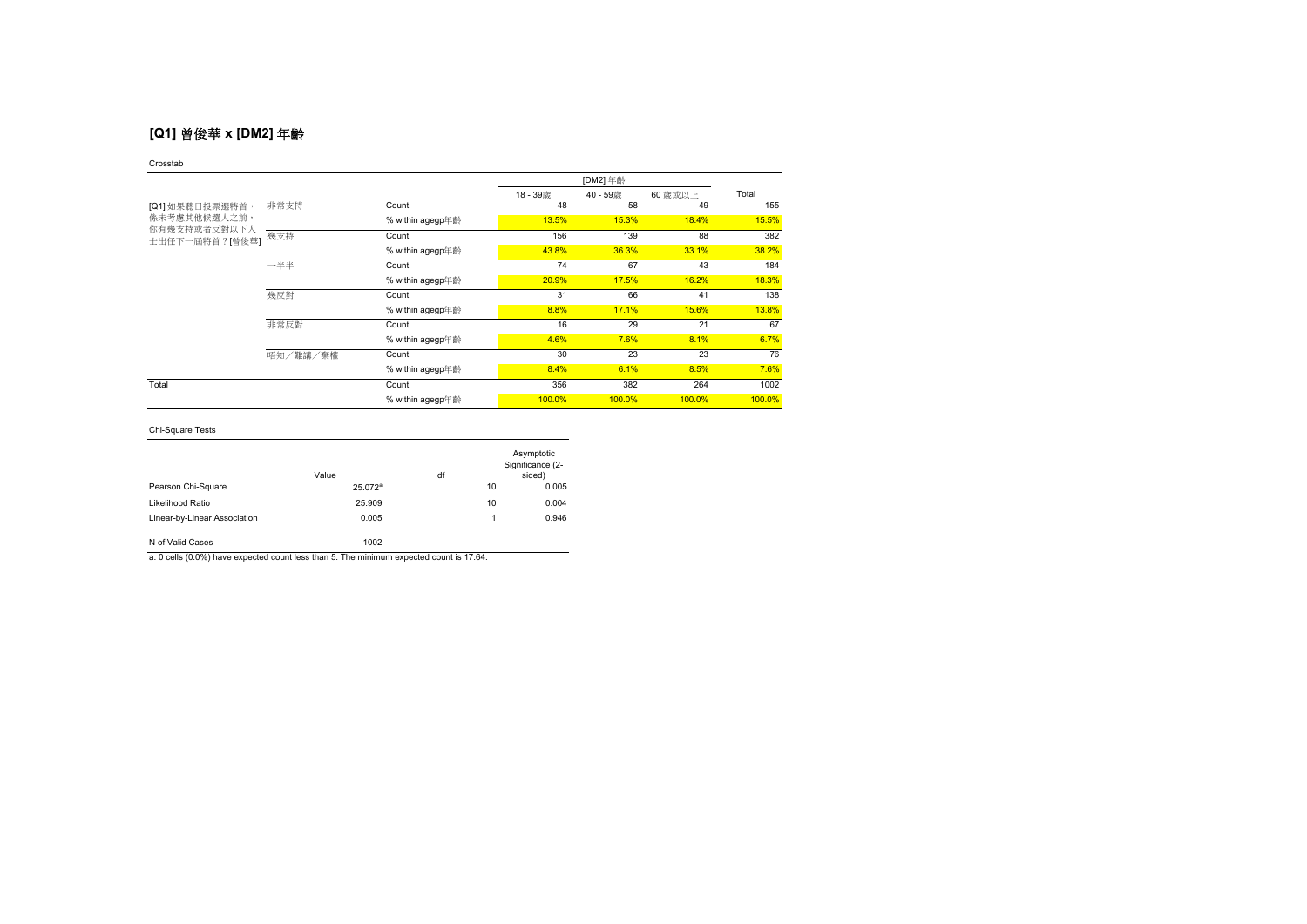# **[Q1]** 曾俊華 **x [DM2]** 年齡

### Crosstab

|                                |          |                  | 18-39歳 | 40-59歳 | 60 歳或以上 | Total  |
|--------------------------------|----------|------------------|--------|--------|---------|--------|
| [Q1] 如果聽日投票選特首,                | 非常支持     | Count            | 48     | 58     | 49      | 155    |
| <b>係未考慮其他候選人之前,</b>            |          | % within agegp年齡 | 13.5%  | 15.3%  | 18.4%   | 15.5%  |
| 你有幾支持或者反對以下人<br>士出任下一屆特首?[曾俊華] | 幾支持      | Count            | 156    | 139    | 88      | 382    |
|                                |          | % within agegp年齡 | 43.8%  | 36.3%  | 33.1%   | 38.2%  |
|                                | 一半半      | Count            | 74     | 67     | 43      | 184    |
|                                |          | % within agegp年齡 | 20.9%  | 17.5%  | 16.2%   | 18.3%  |
|                                | 幾反對      | Count            | 31     | 66     | 41      | 138    |
|                                |          | % within agegp年齡 | 8.8%   | 17.1%  | 15.6%   | 13.8%  |
|                                | 非常反對     | Count            | 16     | 29     | 21      | 67     |
|                                |          | % within agegp年齡 | 4.6%   | 7.6%   | 8.1%    | 6.7%   |
|                                | 唔知/難講/棄權 | Count            | 30     | 23     | 23      | 76     |
|                                |          | % within agegp年齡 | 8.4%   | 6.1%   | 8.5%    | 7.6%   |
| Total                          |          | Count            | 356    | 382    | 264     | 1002   |
|                                |          | % within agegp年齡 | 100.0% | 100.0% | 100.0%  | 100.0% |

## Chi-Square Tests

|                              | Value      | df |    | Asymptotic<br>Significance (2-<br>sided) |
|------------------------------|------------|----|----|------------------------------------------|
| Pearson Chi-Square           | $25.072^a$ |    | 10 | 0.005                                    |
| Likelihood Ratio             | 25,909     |    | 10 | 0.004                                    |
| Linear-by-Linear Association | 0.005      |    | 1  | 0.946                                    |
| N of Valid Cases             | 1002       |    |    |                                          |

a. 0 cells (0.0%) have expected count less than 5. The minimum expected count is 17.64.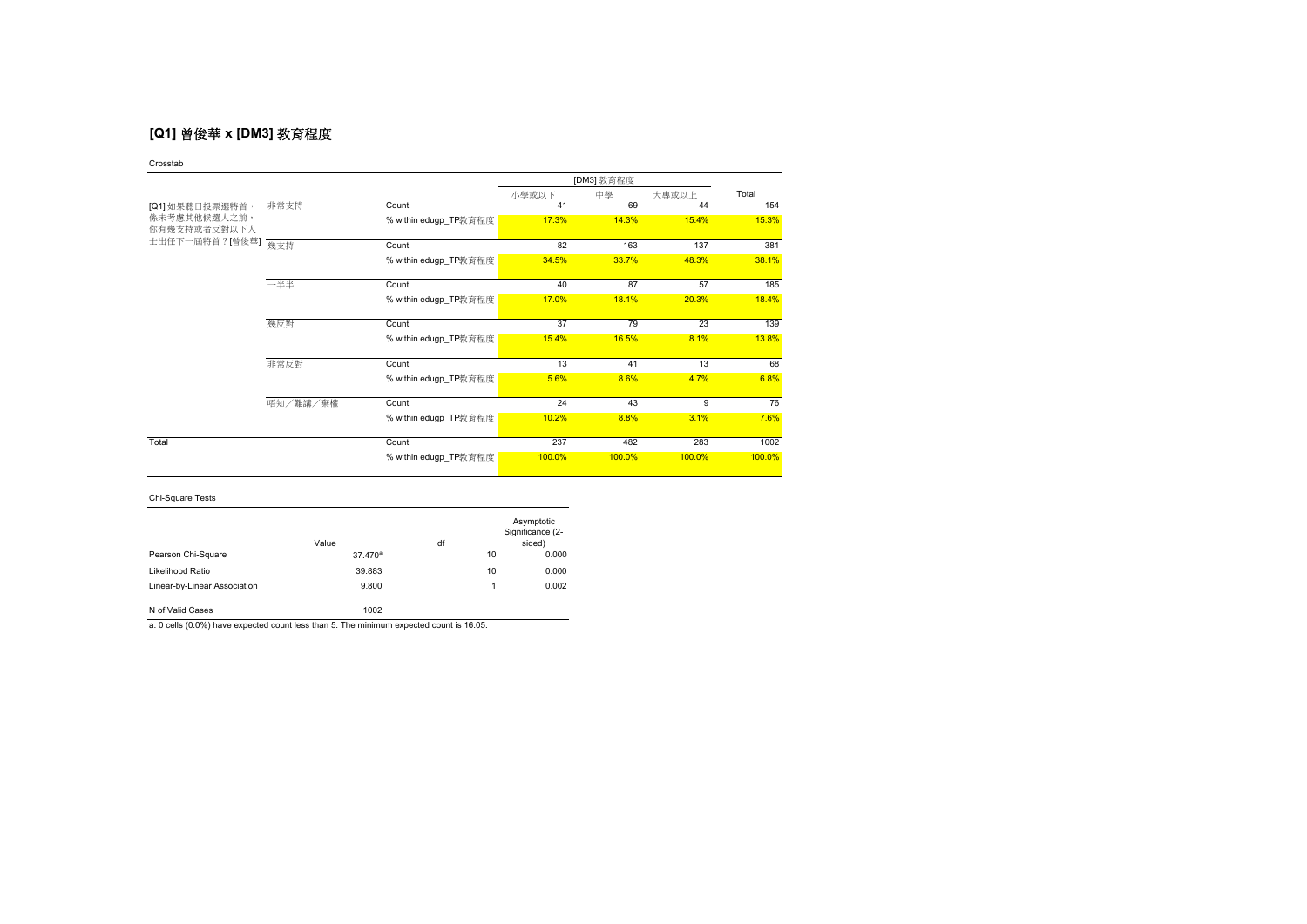# **[Q1]** 曾俊華 **x [DM3]** 教育程度

Crosstab

|                              |          |                       | [DM3] 教育程度 |        |        |        |
|------------------------------|----------|-----------------------|------------|--------|--------|--------|
|                              |          |                       | 小學或以下      | 中學     | 大專或以上  | Total  |
| [Q1] 如果聽日投票選特首,              | 非常支持     | Count                 | 41         | 69     | 44     | 154    |
| 係未考慮其他候選人之前,<br>你有幾支持或者反對以下人 |          | % within edugp_TP教育程度 | 17.3%      | 14.3%  | 15.4%  | 15.3%  |
| 士出任下一屆特首?[曾俊華]               | 幾支持      | Count                 | 82         | 163    | 137    | 381    |
|                              |          | % within edugp_TP教育程度 | 34.5%      | 33.7%  | 48.3%  | 38.1%  |
|                              | 一半半      | Count                 | 40         | 87     | 57     | 185    |
|                              |          | % within edugp_TP教育程度 | 17.0%      | 18.1%  | 20.3%  | 18.4%  |
|                              | 幾反對      | Count                 | 37         | 79     | 23     | 139    |
|                              |          | % within edugp_TP教育程度 | 15.4%      | 16.5%  | 8.1%   | 13.8%  |
|                              | 非常反對     | Count                 | 13         | 41     | 13     | 68     |
|                              |          | % within edugp_TP教育程度 | 5.6%       | 8.6%   | 4.7%   | 6.8%   |
|                              | 唔知/難講/棄權 | Count                 | 24         | 43     | 9      | 76     |
|                              |          | % within edugp_TP教育程度 | 10.2%      | 8.8%   | 3.1%   | 7.6%   |
| Total                        |          | Count                 | 237        | 482    | 283    | 1002   |
|                              |          | % within edugp_TP教育程度 | 100.0%     | 100.0% | 100.0% | 100.0% |

Chi-Square Tests

|                              | Value               | df |    | Asymptotic<br>Significance (2-<br>sided) |
|------------------------------|---------------------|----|----|------------------------------------------|
| Pearson Chi-Square           | 37.470 <sup>a</sup> |    | 10 | 0.000                                    |
| Likelihood Ratio             | 39.883              |    | 10 | 0.000                                    |
| Linear-by-Linear Association | 9.800               |    | 1  | 0.002                                    |
| N of Valid Cases             | 1002                |    |    |                                          |

a. 0 cells (0.0%) have expected count less than 5. The minimum expected count is 16.05.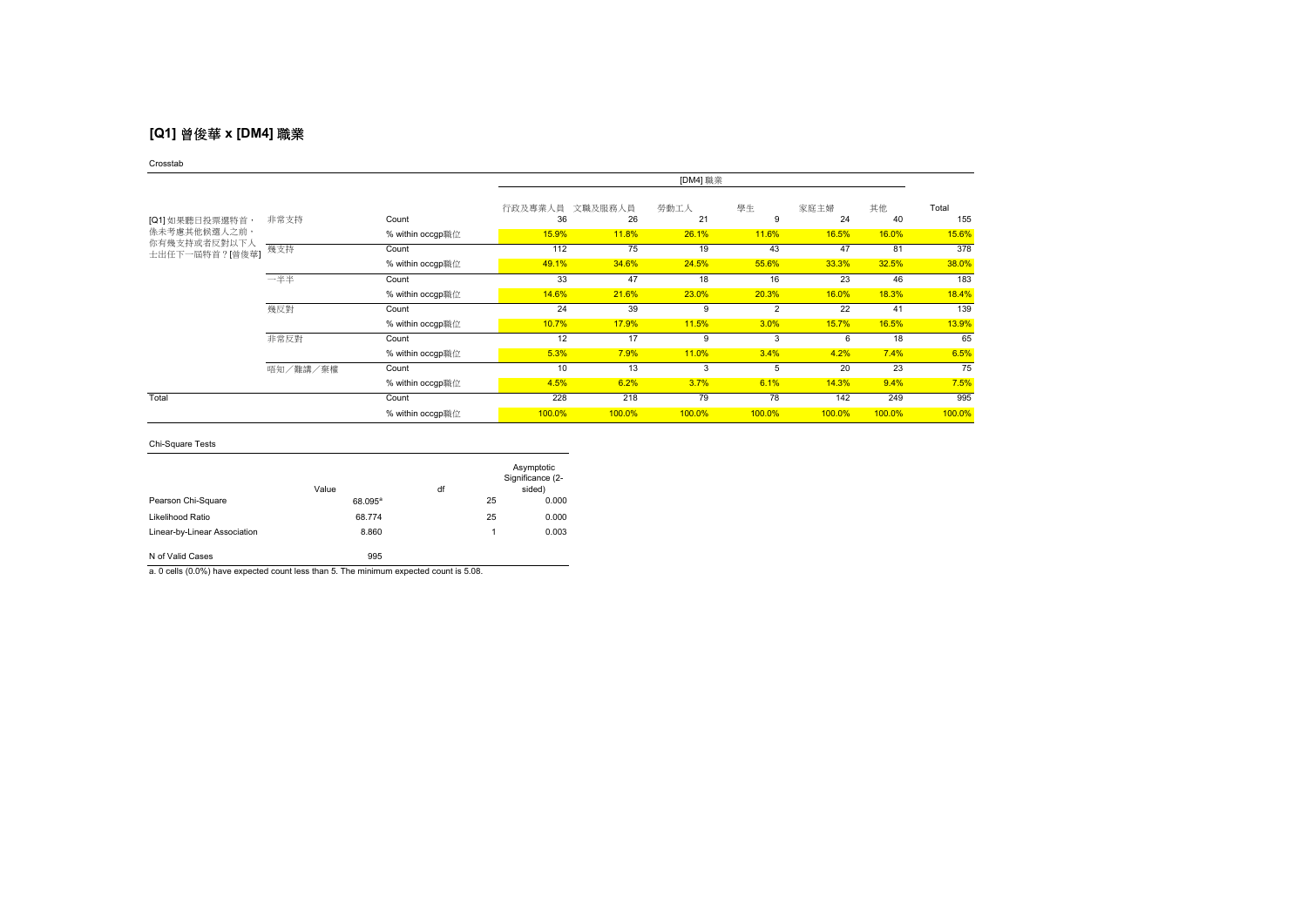# **[Q1]** 曾俊華 **x [DM4]** 職業

### Crosstab

|                              |          |                  | [DM4] 職業      |               |            |                    |            |          |              |
|------------------------------|----------|------------------|---------------|---------------|------------|--------------------|------------|----------|--------------|
| [Q1] 如果聽日投票選特首,              | 非常支持     | Count            | 行政及專業人員<br>36 | 文職及服務人員<br>26 | 勞動工人<br>21 | 學生<br><sub>9</sub> | 家庭主婦<br>24 | 其他<br>40 | Total<br>155 |
| 係未考慮其他候選人之前,<br>你有幾支持或者反對以下人 |          | % within occgp職位 | 15.9%         | 11.8%         | 26.1%      | 11.6%              | 16.5%      | 16.0%    | 15.6%        |
| 士出任下一屆特首?[曾俊華]               | 幾支持      | Count            | 112           | 75            | 19         | 43                 | 47         | 81       | 378          |
|                              |          | % within occgp職位 | 49.1%         | 34.6%         | 24.5%      | 55.6%              | 33.3%      | 32.5%    | 38.0%        |
|                              | 一半半      | Count            | 33            | 47            | 18         | 16                 | 23         | 46       | 183          |
|                              |          | % within occgp職位 | 14.6%         | 21.6%         | 23.0%      | 20.3%              | 16.0%      | 18.3%    | 18.4%        |
|                              | 幾反對      | Count            | 24            | 39            | 9          | $\overline{2}$     | 22         | 41       | 139          |
|                              |          | % within occgp職位 | 10.7%         | 17.9%         | 11.5%      | 3.0%               | 15.7%      | 16.5%    | 13.9%        |
|                              | 非常反對     | Count            | 12            | 17            | 9          | 3                  | 6          | 18       | 65           |
|                              |          | % within occgp職位 | 5.3%          | 7.9%          | 11.0%      | 3.4%               | 4.2%       | 7.4%     | 6.5%         |
|                              | 唔知/難講/棄權 | Count            | 10            | 13            | 3          | 5                  | 20         | 23       | 75           |
|                              |          | % within occgp職位 | 4.5%          | 6.2%          | 3.7%       | 6.1%               | 14.3%      | 9.4%     | 7.5%         |
| Total                        |          | Count            | 228           | 218           | 79         | 78                 | 142        | 249      | 995          |
|                              |          | % within occgp職位 | 100.0%        | 100.0%        | 100.0%     | 100.0%             | 100.0%     | 100.0%   | 100.0%       |

## Chi-Square Tests

|                              | Value      | df |    | Asymptotic<br>Significance (2-<br>sided) |
|------------------------------|------------|----|----|------------------------------------------|
| Pearson Chi-Square           | $68.095^a$ |    | 25 | 0.000                                    |
| Likelihood Ratio             | 68.774     |    | 25 | 0.000                                    |
| Linear-by-Linear Association | 8.860      |    | 1  | 0.003                                    |
| N of Valid Cases             | 995        |    |    |                                          |

a. 0 cells (0.0%) have expected count less than 5. The minimum expected count is 5.08.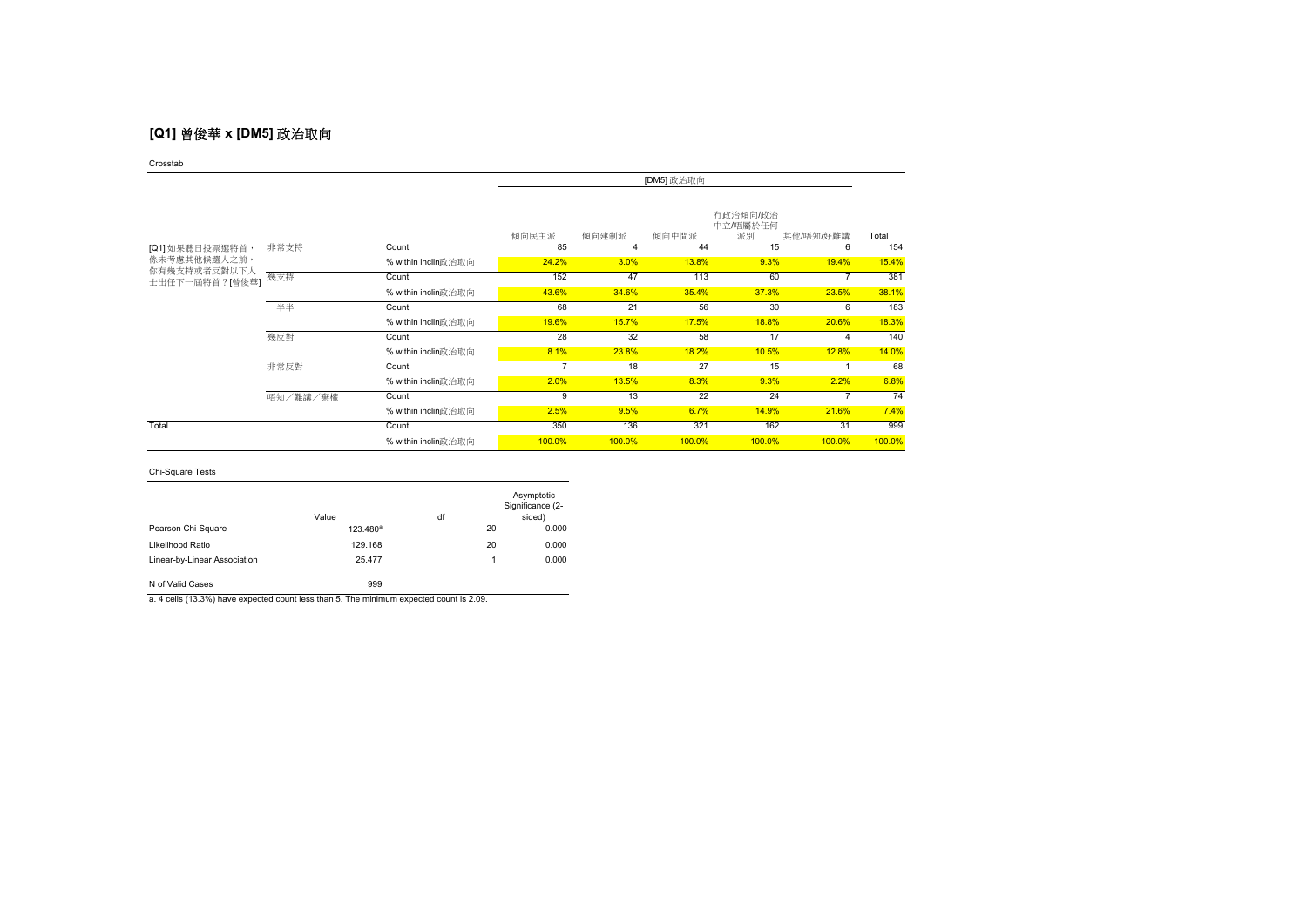# **[Q1]** 曾俊華 **x [DM5]** 政治取向

Crosstab

|                                |               |                     | [DM5] 政治取向                                                                                |        |        |        |        |              |
|--------------------------------|---------------|---------------------|-------------------------------------------------------------------------------------------|--------|--------|--------|--------|--------------|
| [Q1] 如果聽日投票選特首,                | 非常支持<br>Count |                     | 有政治傾向/政治<br>中立/唔屬於任何<br>傾向民主派<br>傾向建制派<br>傾向中間派<br>派別<br>其他/唔知/好難講<br>15<br>85<br>44<br>4 |        |        |        |        | Total<br>154 |
| <b>係未考慮其他候選人之前,</b>            |               | % within inclin政治取向 | 24.2%                                                                                     | 3.0%   | 13.8%  | 9.3%   | 19.4%  | 15.4%        |
| 你有幾支持或者反對以下人<br>士出任下一屆特首?[曾俊華] | 幾支持           | Count               | 152                                                                                       | 47     | 113    | 60     |        | 381          |
|                                |               | % within inclin政治取向 | 43.6%                                                                                     | 34.6%  | 35.4%  | 37.3%  | 23.5%  | 38.1%        |
|                                | 一半半           | Count               | 68                                                                                        | 21     | 56     | 30     | 6      | 183          |
|                                |               | % within inclin政治取向 | 19.6%                                                                                     | 15.7%  | 17.5%  | 18.8%  | 20.6%  | 18.3%        |
|                                | 幾反對           | Count               | 28                                                                                        | 32     | 58     | 17     |        | 140          |
|                                |               | % within inclin政治取向 | 8.1%                                                                                      | 23.8%  | 18.2%  | 10.5%  | 12.8%  | 14.0%        |
|                                | 非常反對          | Count               | 7                                                                                         | 18     | 27     | 15     |        | 68           |
|                                |               | % within inclin政治取向 | 2.0%                                                                                      | 13.5%  | 8.3%   | 9.3%   | 2.2%   | 6.8%         |
|                                | 唔知/難講/棄權      | Count               | 9                                                                                         | 13     | 22     | 24     |        | 74           |
|                                |               | % within inclin政治取向 | 2.5%                                                                                      | 9.5%   | 6.7%   | 14.9%  | 21.6%  | 7.4%         |
| Total                          |               | Count               | 350                                                                                       | 136    | 321    | 162    | 31     | 999          |
|                                |               | % within inclin政治取向 | 100.0%                                                                                    | 100.0% | 100.0% | 100.0% | 100.0% | 100.0%       |

### Chi-Square Tests

|                              | Value                | df |    | Asymptotic<br>Significance (2-<br>sided) |
|------------------------------|----------------------|----|----|------------------------------------------|
| Pearson Chi-Square           | 123.480 <sup>ª</sup> |    | 20 | 0.000                                    |
| Likelihood Ratio             | 129.168              |    | 20 | 0.000                                    |
| Linear-by-Linear Association | 25.477               |    | 1  | 0.000                                    |
| N of Valid Cases             | 999                  |    |    |                                          |

a. 4 cells (13.3%) have expected count less than 5. The minimum expected count is 2.09.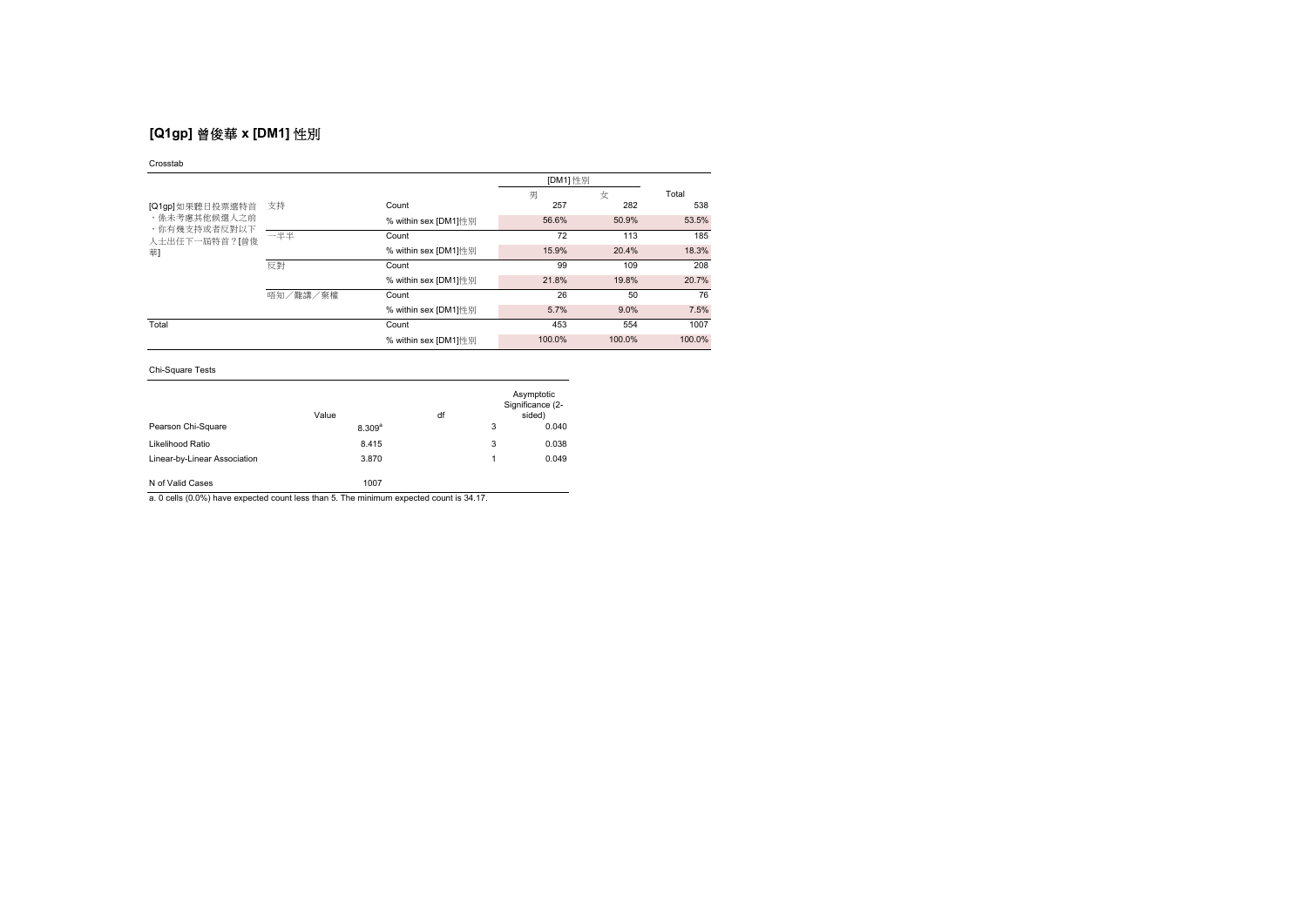# **[Q1gp]** 曾俊華 **x [DM1]** 性別

### Crosstab

|                               |          |                      | [DM1] 性別 |        |        |
|-------------------------------|----------|----------------------|----------|--------|--------|
|                               |          |                      | 男        | 女      | Total  |
| [Q1gp] 如果聽日投票選特首              | 支持       | Count                | 257      | 282    | 538    |
| ,係未考慮其他候選人之前                  |          | % within sex [DM1]性別 | 56.6%    | 50.9%  | 53.5%  |
| ,你有幾支持或者反對以下<br>人士出任下一屆特首?[曾俊 | 一半半      | Count                | 72       | 113    | 185    |
| 華                             |          | % within sex [DM1]性別 | 15.9%    | 20.4%  | 18.3%  |
|                               | 反對       | Count                | 99       | 109    | 208    |
|                               |          | % within sex [DM1]性别 | 21.8%    | 19.8%  | 20.7%  |
|                               | 唔知/難講/棄權 | Count                | 26       | 50     | 76     |
|                               |          | % within sex [DM1]性別 | 5.7%     | 9.0%   | 7.5%   |
| Total                         |          | Count                | 453      | 554    | 1007   |
|                               |          | % within sex [DM1]性别 | 100.0%   | 100.0% | 100.0% |

### Chi-Square Tests

|                              | Value       | df |   | Asymptotic<br>Significance (2-<br>sided) |
|------------------------------|-------------|----|---|------------------------------------------|
| Pearson Chi-Square           | $8.309^{a}$ |    | 3 | 0.040                                    |
| Likelihood Ratio             | 8.415       |    | 3 | 0.038                                    |
| Linear-by-Linear Association | 3.870       |    |   | 0.049                                    |
| N of Valid Cases             | 1007        |    |   |                                          |

a. 0 cells (0.0%) have expected count less than 5. The minimum expected count is 34.17.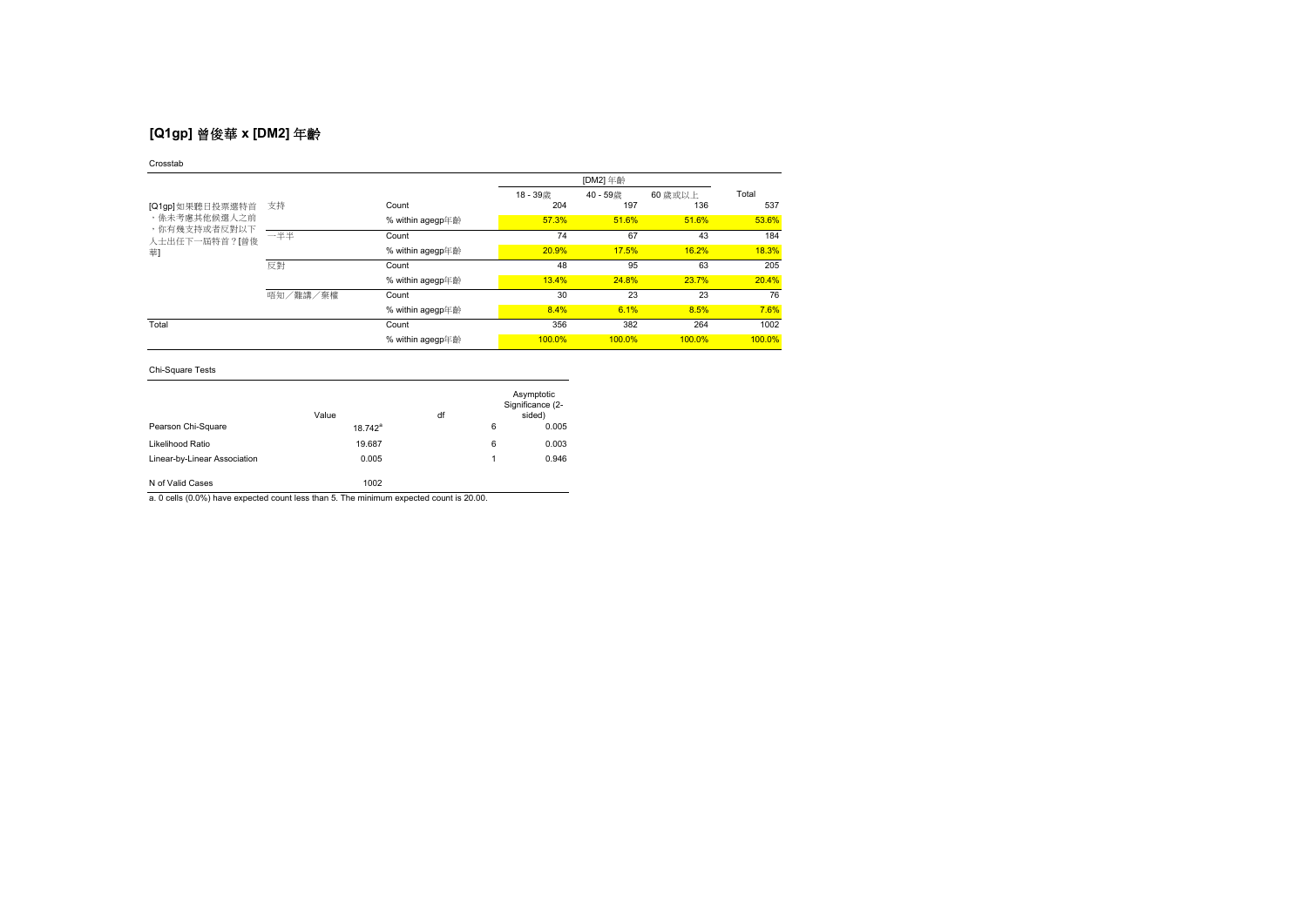# **[Q1gp]** 曾俊華 **x [DM2]** 年齡

### Crosstab

|                                 |          |                  | 18-39歳 | 40-59歳 | 60 歳或以上 | Total  |
|---------------------------------|----------|------------------|--------|--------|---------|--------|
| [Q1gp]如果聽日投票選特首<br>,係未考慮其他候選人之前 | 支持       | Count            | 204    | 197    | 136     | 537    |
|                                 |          | % within agegp年齡 | 57.3%  | 51.6%  | 51.6%   | 53.6%  |
| ,你有幾支持或者反對以下<br>人士出任下一屆特首?[曾俊   | 一半半      | Count            | 74     | 67     | 43      | 184    |
| 華                               |          | % within agegp年齡 | 20.9%  | 17.5%  | 16.2%   | 18.3%  |
|                                 | 反對       | Count            | 48     | 95     | 63      | 205    |
|                                 |          | % within agegp年齡 | 13.4%  | 24.8%  | 23.7%   | 20.4%  |
|                                 | 唔知/難講/棄權 | Count            | 30     | 23     | 23      | 76     |
|                                 |          | % within agegp年齡 | 8.4%   | 6.1%   | 8.5%    | 7.6%   |
| Total                           |          | Count            | 356    | 382    | 264     | 1002   |
|                                 |          | % within agegp年齡 | 100.0% | 100.0% | 100.0%  | 100.0% |

## Chi-Square Tests

|                              | Value      | df |   | Asymptotic<br>Significance (2-<br>sided) |
|------------------------------|------------|----|---|------------------------------------------|
| Pearson Chi-Square           | $18.742^a$ |    | 6 | 0.005                                    |
| Likelihood Ratio             | 19.687     |    | 6 | 0.003                                    |
| Linear-by-Linear Association | 0.005      |    | 1 | 0.946                                    |
| N of Valid Cases             | 1002       |    |   |                                          |

a. 0 cells (0.0%) have expected count less than 5. The minimum expected count is 20.00.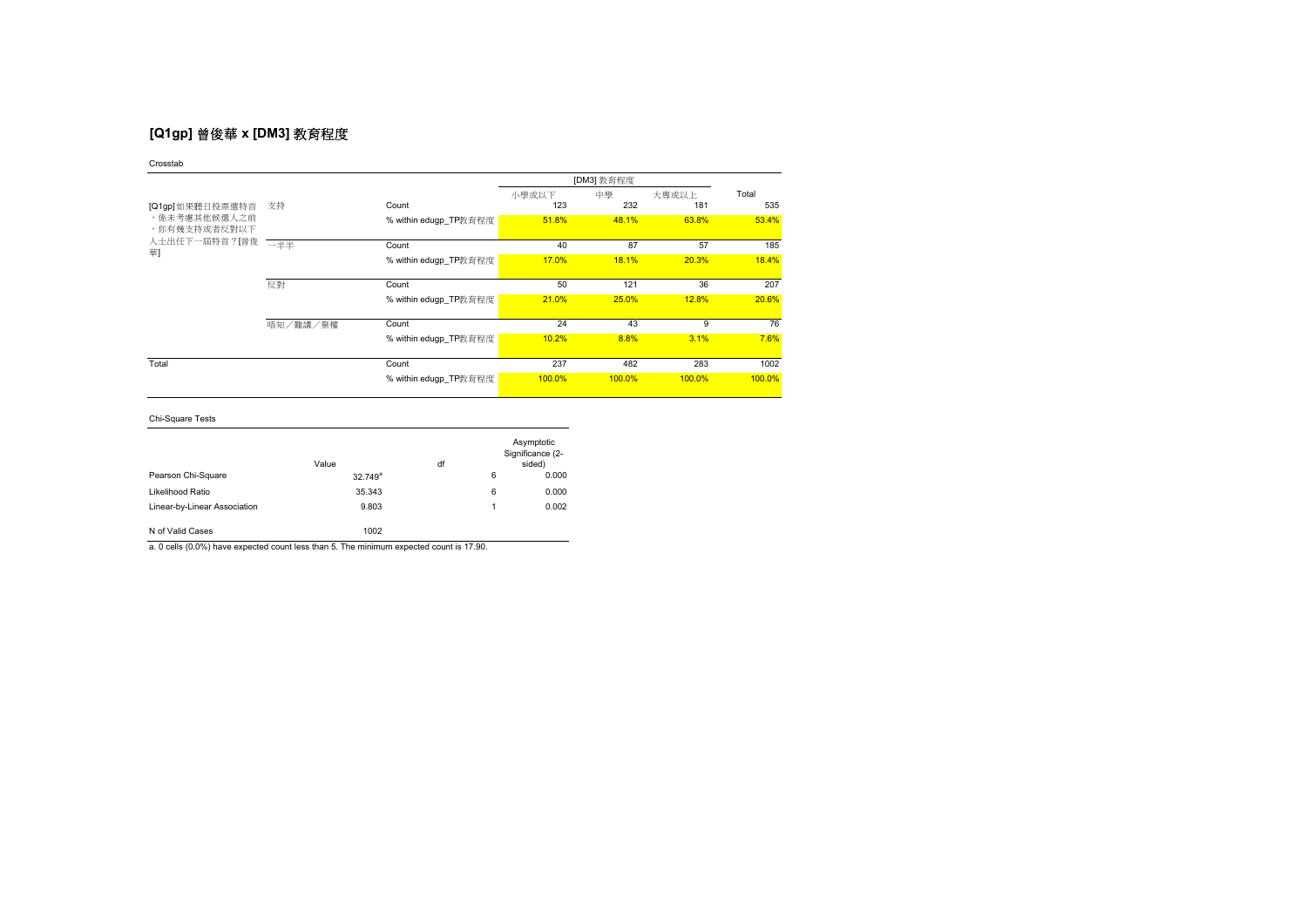# **[Q1gp]** 曾俊華 **x [DM3]** 教育程度

Crosstab

|                              |          |                       |        | [DM3] 教育程度 |        |        |
|------------------------------|----------|-----------------------|--------|------------|--------|--------|
|                              |          |                       | 小學或以下  | 中學         | 大專或以上  | Total  |
| [Q1gp] 如果聽日投票選特首             | 支持       | Count                 | 123    | 232        | 181    | 535    |
| ,係未考慮其他候選人之前<br>,你有幾支持或者反對以下 |          | % within edugp_TP教育程度 | 51.8%  | 48.1%      | 63.8%  | 53.4%  |
| 人士出任下一屆特首?[曾俊                |          |                       |        |            |        |        |
| 華                            | 一半半      | Count                 | 40     | 87         | 57     | 185    |
|                              |          | % within edugp TP教育程度 | 17.0%  | 18.1%      | 20.3%  | 18.4%  |
|                              |          |                       |        |            |        |        |
|                              | 反對       | Count                 | 50     | 121        | 36     | 207    |
|                              |          | % within edugp TP教育程度 | 21.0%  | 25.0%      | 12.8%  | 20.6%  |
|                              |          |                       |        |            |        |        |
|                              | 唔知/難講/棄權 | Count                 | 24     | 43         | 9      | 76     |
|                              |          | % within edugp TP教育程度 | 10.2%  | 8.8%       | 3.1%   | 7.6%   |
|                              |          |                       |        |            |        |        |
| Total                        |          | Count                 | 237    | 482        | 283    | 1002   |
|                              |          | % within edugp_TP教育程度 | 100.0% | 100.0%     | 100.0% | 100.0% |

Chi-Square Tests

|                              | Value      | df |   | Asymptotic<br>Significance (2-<br>sided) |
|------------------------------|------------|----|---|------------------------------------------|
| Pearson Chi-Square           | $32.749^a$ |    | 6 | 0.000                                    |
| Likelihood Ratio             | 35.343     |    | 6 | 0.000                                    |
| Linear-by-Linear Association | 9.803      |    | 1 | 0.002                                    |
| N of Valid Cases             | 1002       |    |   |                                          |

a. 0 cells (0.0%) have expected count less than 5. The minimum expected count is 17.90.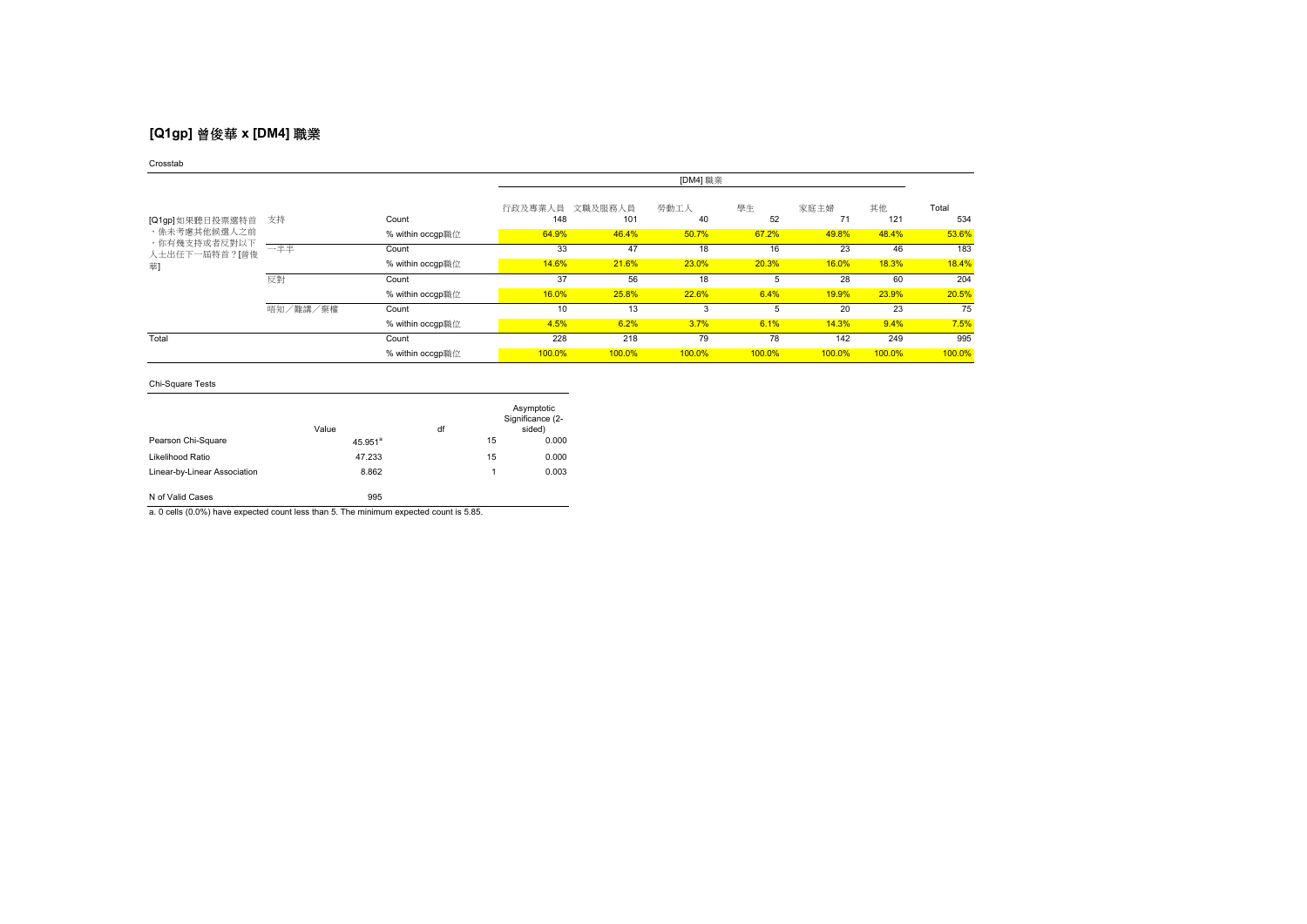# **[Q1gp]** 曾俊華 **x [DM4]** 職業

### Crosstab

|                              |          |                  | [DM4] 職業       |                |            |          |            |           |              |
|------------------------------|----------|------------------|----------------|----------------|------------|----------|------------|-----------|--------------|
| [Q1gp] 如果聽日投票選特首             | 支持       | Count            | 行政及專業人員<br>148 | 文職及服務人員<br>101 | 勞動工人<br>40 | 學生<br>52 | 家庭主婦<br>71 | 其他<br>121 | Total<br>534 |
| ,係未考慮其他候選人之前<br>,你有幾支持或者反對以下 |          | % within occgp職位 | 64.9%          | 46.4%          | 50.7%      | 67.2%    | 49.8%      | 48.4%     | 53.6%        |
| 人士出任下一屆特首?[曾俊                | 一半半      | Count            | 33             | 47             | 18         | 16       | 23         | 46        | 183          |
| 華                            |          | % within occgp職位 | 14.6%          | 21.6%          | 23.0%      | 20.3%    | 16.0%      | 18.3%     | 18.4%        |
|                              | 反對       | Count            | 37             | 56             | 18         | 5        | 28         | 60        | 204          |
|                              |          | % within occgp職位 | 16.0%          | 25.8%          | 22.6%      | 6.4%     | 19.9%      | 23.9%     | 20.5%        |
|                              | 唔知/難講/棄權 | Count            | 10             | 13             | 3          |          | 20         | 23        | 75           |
|                              |          | % within occgp職位 | 4.5%           | 6.2%           | 3.7%       | 6.1%     | 14.3%      | 9.4%      | 7.5%         |
| Total                        |          | Count            | 228            | 218            | 79         | 78       | 142        | 249       | 995          |
|                              |          | % within occgp職位 | 100.0%         | 100.0%         | 100.0%     | 100.0%   | 100.0%     | 100.0%    | 100.0%       |

## Chi-Square Tests

|                              | Value                 | df |    | Asymptotic<br>Significance (2-<br>sided) |
|------------------------------|-----------------------|----|----|------------------------------------------|
| Pearson Chi-Square           | $45.951$ <sup>a</sup> |    | 15 | 0.000                                    |
| Likelihood Ratio             | 47.233                |    | 15 | 0.000                                    |
| Linear-by-Linear Association | 8.862                 |    | 1  | 0.003                                    |
| N of Valid Cases             | 995                   |    |    |                                          |

a. 0 cells (0.0%) have expected count less than 5. The minimum expected count is 5.85.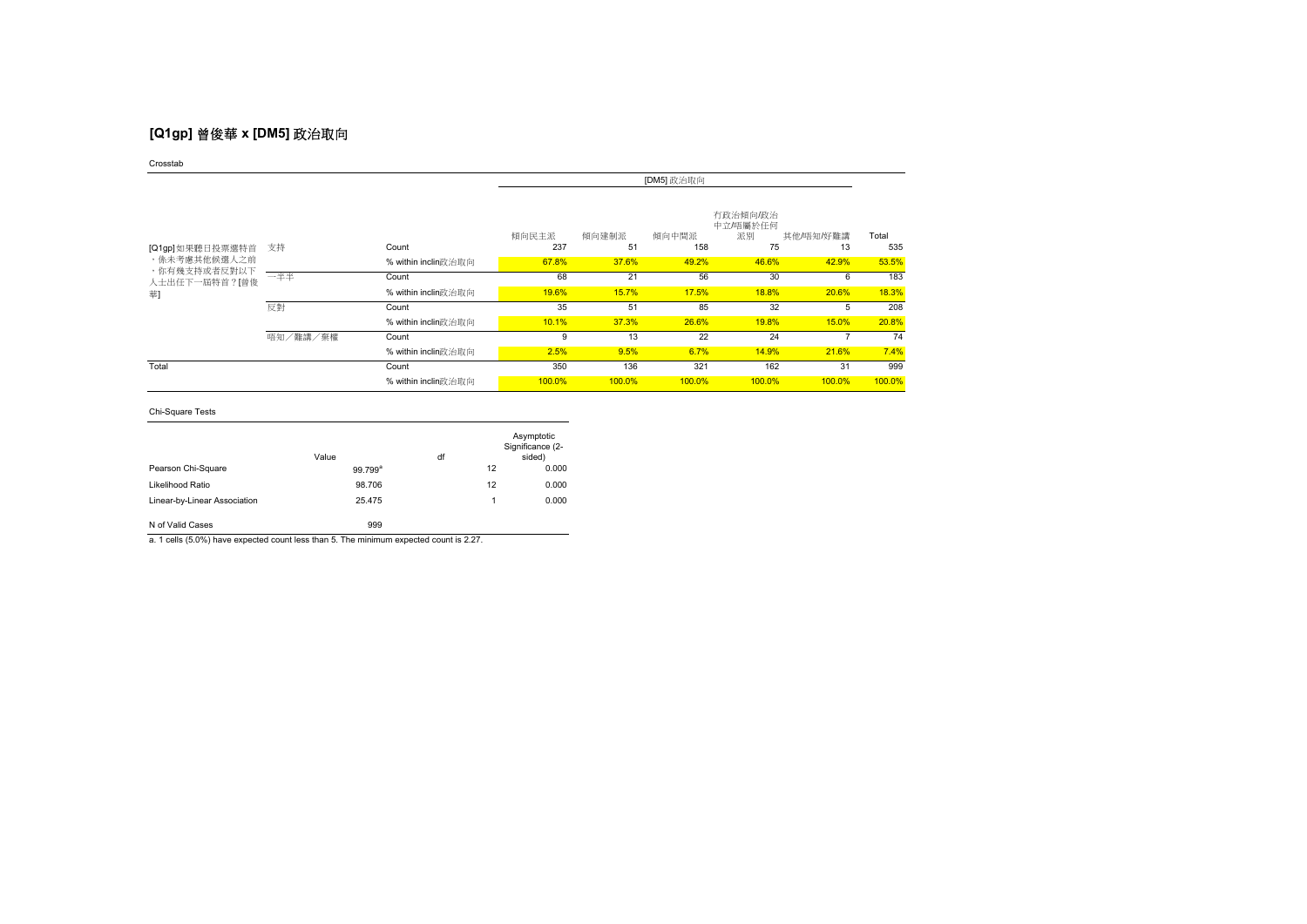# **[Q1gp]** 曾俊華 **x [DM5]** 政治取向

Crosstab

|                              |          |                     | [DM5] 政治取向   |             |              |                                  |                 |              |
|------------------------------|----------|---------------------|--------------|-------------|--------------|----------------------------------|-----------------|--------------|
| [Q1gp]如果聽日投票選特首              | 支持       | Count               | 傾向民主派<br>237 | 傾向建制派<br>51 | 傾向中間派<br>158 | 有政治傾向/政治<br>中立/唔屬於任何<br>派別<br>75 | 其他/唔知/好難講<br>13 | Total<br>535 |
| ,係未考慮其他候選人之前<br>,你有幾支持或者反對以下 |          | % within inclin政治取向 | 67.8%        | 37.6%       | 49.2%        | 46.6%                            | 42.9%           | 53.5%        |
| 人士出任下一屆特首?[曾俊                | 一半半      | Count               | 68           | 21          | 56           | 30                               | 6               | 183          |
| 華]                           |          | % within inclin政治取向 | 19.6%        | 15.7%       | 17.5%        | 18.8%                            | 20.6%           | 18.3%        |
|                              | 反對       | Count               | 35           | 51          | 85           | 32                               | 5               | 208          |
|                              |          | % within inclin政治取向 | 10.1%        | 37.3%       | 26.6%        | 19.8%                            | 15.0%           | 20.8%        |
|                              | 唔知/難講/棄權 | Count               | 9            | 13          | 22           | 24                               |                 | 74           |
|                              |          | % within inclin政治取向 | 2.5%         | 9.5%        | 6.7%         | 14.9%                            | 21.6%           | 7.4%         |
| Total                        |          | Count               | 350          | 136         | 321          | 162                              | 31              | 999          |
|                              |          | % within inclin政治取向 | 100.0%       | 100.0%      | 100.0%       | 100.0%                           | 100.0%          | 100.0%       |

Chi-Square Tests

|                              | Value      | df | Asymptotic<br>Significance (2-<br>sided) |
|------------------------------|------------|----|------------------------------------------|
| Pearson Chi-Square           | $99.799^a$ | 12 | 0.000                                    |
| Likelihood Ratio             | 98.706     | 12 | 0.000                                    |
| Linear-by-Linear Association | 25.475     |    | 0.000                                    |
| N of Valid Cases             | 999        |    |                                          |

a. 1 cells (5.0%) have expected count less than 5. The minimum expected count is 2.27.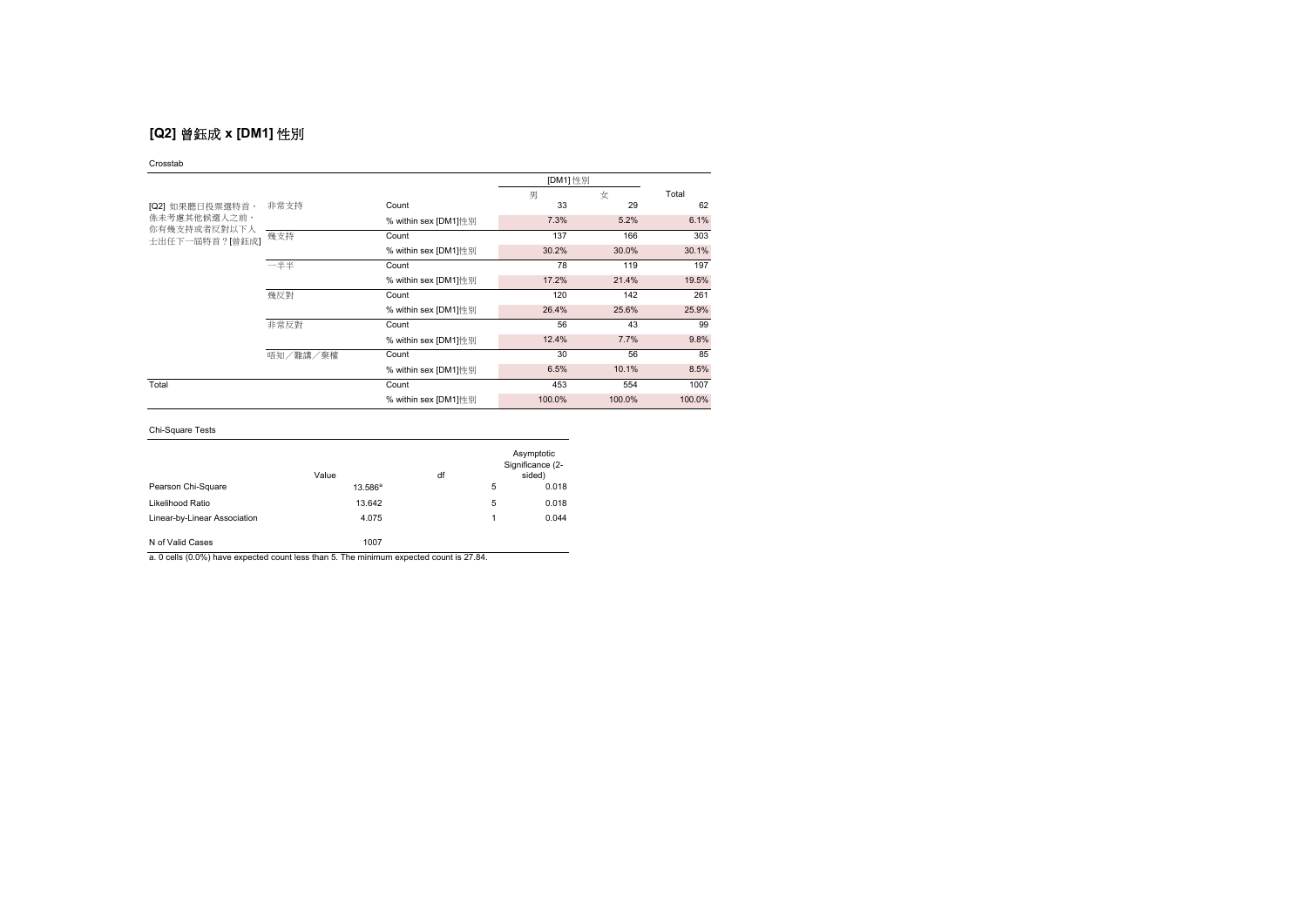# **[Q2]** 曾鈺成 **x [DM1]** 性別

### Crosstab

|                                |          | [DM1] 性別             |        |        |        |
|--------------------------------|----------|----------------------|--------|--------|--------|
|                                |          |                      | 男      | 女      | Total  |
| [Q2] 如果聽日投票選特首,                | 非常支持     | Count                | 33     | 29     | 62     |
| 係未考慮其他候選人之前,                   |          | % within sex [DM1]性别 | 7.3%   | 5.2%   | 6.1%   |
| 你有幾支持或者反對以下人<br>士出任下一屆特首?[曾鈺成] | 幾支持      | Count                | 137    | 166    | 303    |
|                                |          | % within sex [DM1]性别 | 30.2%  | 30.0%  | 30.1%  |
|                                | 一半半      | Count                | 78     | 119    | 197    |
|                                |          | % within sex [DM1]性别 | 17.2%  | 21.4%  | 19.5%  |
|                                | 幾反對      | Count                | 120    | 142    | 261    |
|                                |          | % within sex [DM1]性别 | 26.4%  | 25.6%  | 25.9%  |
|                                | 非常反對     | Count                | 56     | 43     | 99     |
|                                |          | % within sex [DM1]性别 | 12.4%  | 7.7%   | 9.8%   |
|                                | 唔知/難講/棄權 | Count                | 30     | 56     | 85     |
|                                |          | % within sex [DM1]性别 | 6.5%   | 10.1%  | 8.5%   |
| Total                          |          | Count                | 453    | 554    | 1007   |
|                                |          | % within sex [DM1]性别 | 100.0% | 100.0% | 100.0% |

## Chi-Square Tests

|                              | Value      | df |   | Asymptotic<br>Significance (2-<br>sided) |
|------------------------------|------------|----|---|------------------------------------------|
| Pearson Chi-Square           | $13.586^a$ |    | 5 | 0.018                                    |
| Likelihood Ratio             | 13.642     |    | 5 | 0.018                                    |
| Linear-by-Linear Association | 4.075      |    | 1 | 0.044                                    |
| N of Valid Cases             | 1007       |    |   |                                          |

a. 0 cells (0.0%) have expected count less than 5. The minimum expected count is 27.84.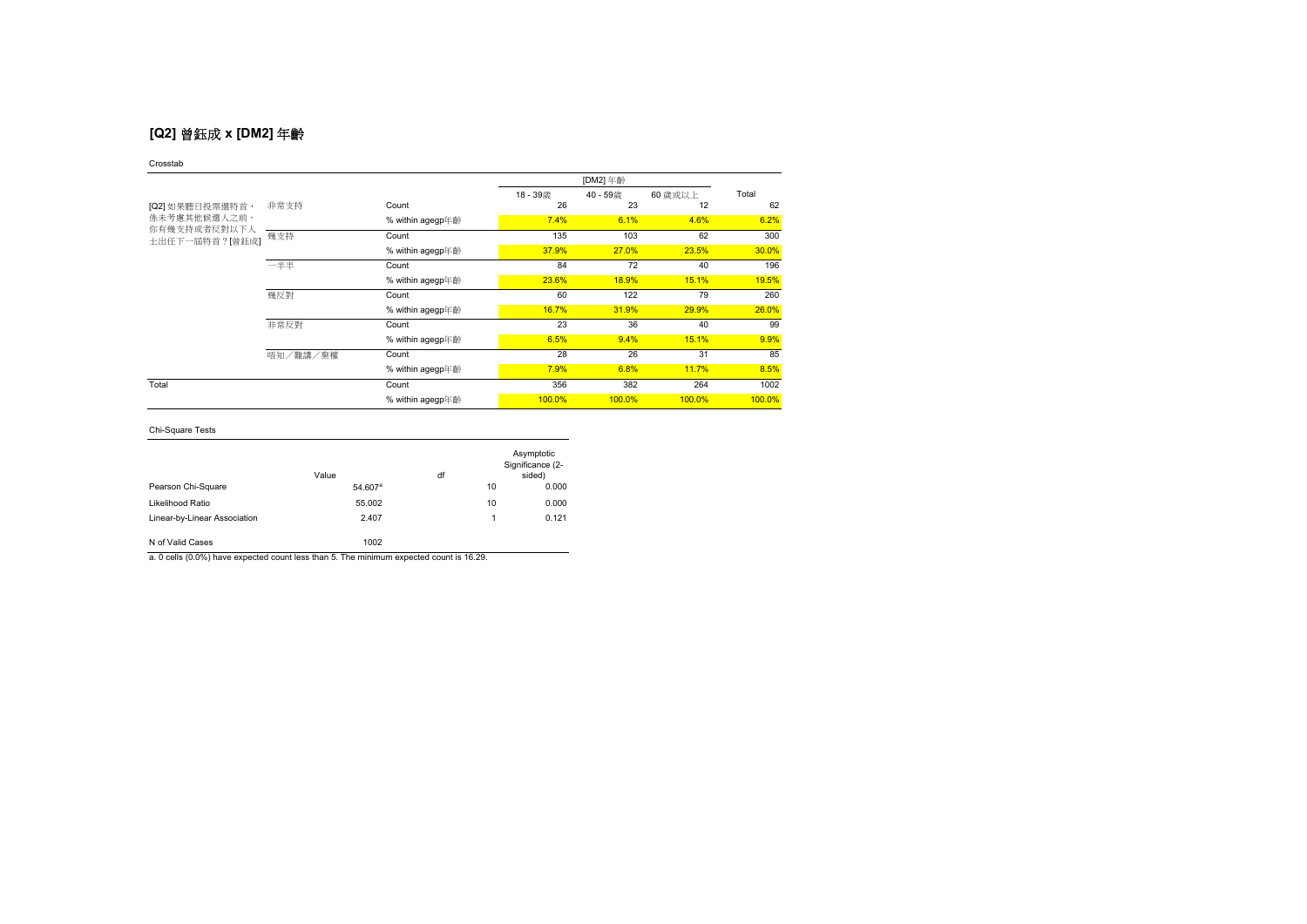# **[Q2]** 曾鈺成 **x [DM2]** 年齡

### Crosstab

|                                        |          |                  | 18-39歳 | 40 - 59歳 | 60 歳或以上 | Total  |
|----------------------------------------|----------|------------------|--------|----------|---------|--------|
| [Q2] 如果聽日投票選特首,<br><b>係未考慮其他候選人之前,</b> | 非常支持     | Count            | 26     | 23       | 12      | 62     |
|                                        |          | % within agegp年齡 | 7.4%   | 6.1%     | 4.6%    | 6.2%   |
| 你有幾支持或者反對以下人<br>土出任下一屆特首?[曾鈺成]         | 幾支持      | Count            | 135    | 103      | 62      | 300    |
|                                        |          | % within agegp年齡 | 37.9%  | 27.0%    | 23.5%   | 30.0%  |
|                                        | 一半半      | Count            | 84     | 72       | 40      | 196    |
|                                        |          | % within agegp年齡 | 23.6%  | 18.9%    | 15.1%   | 19.5%  |
|                                        | 幾反對      | Count            | 60     | 122      | 79      | 260    |
|                                        |          | % within agegp年齡 | 16.7%  | 31.9%    | 29.9%   | 26.0%  |
|                                        | 非常反對     | Count            | 23     | 36       | 40      | 99     |
|                                        |          | % within agegp年齡 | 6.5%   | 9.4%     | 15.1%   | 9.9%   |
|                                        | 唔知/難講/棄權 | Count            | 28     | 26       | 31      | 85     |
|                                        |          | % within agegp年齡 | 7.9%   | 6.8%     | 11.7%   | 8.5%   |
| Total                                  |          | Count            | 356    | 382      | 264     | 1002   |
|                                        |          | % within agegp年齡 | 100.0% | 100.0%   | 100.0%  | 100.0% |

## Chi-Square Tests

|                              | Value               | df |    | Asymptotic<br>Significance (2-<br>sided) |
|------------------------------|---------------------|----|----|------------------------------------------|
| Pearson Chi-Square           | 54.607 <sup>a</sup> |    | 10 | 0.000                                    |
| Likelihood Ratio             | 55.002              |    | 10 | 0.000                                    |
| Linear-by-Linear Association | 2.407               |    | 1  | 0.121                                    |
| N of Valid Cases             | 1002                |    |    |                                          |

a. 0 cells (0.0%) have expected count less than 5. The minimum expected count is 16.29.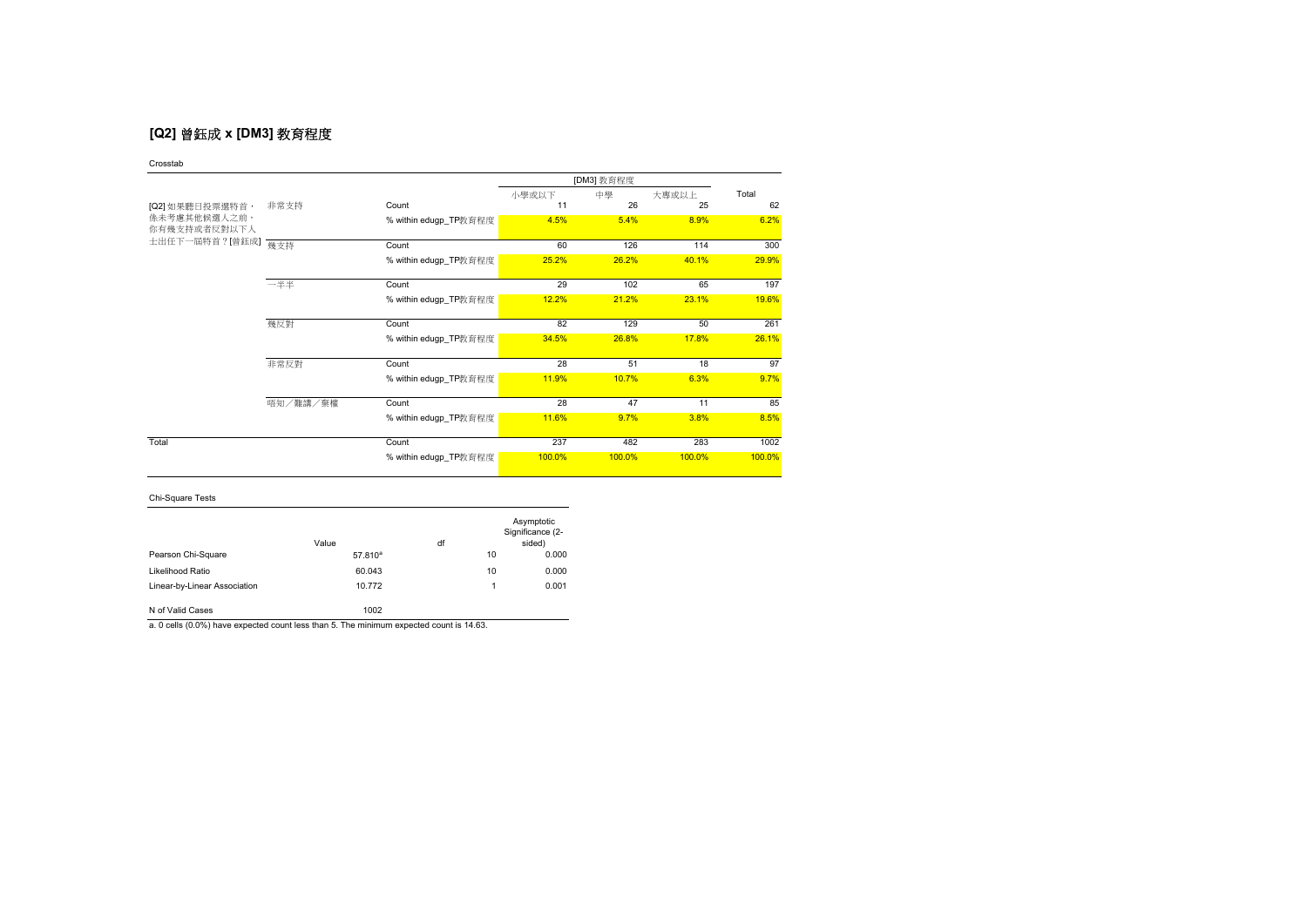# **[Q2]** 曾鈺成 **x [DM3]** 教育程度

Crosstab

|                              |          |                       |        | [DM3] 教育程度 |        |        |
|------------------------------|----------|-----------------------|--------|------------|--------|--------|
|                              |          |                       | 小學或以下  | 中學         | 大專或以上  | Total  |
| [Q2] 如果聽日投票選特首,              | 非常支持     | Count                 | 11     | 26         | 25     | 62     |
| 係未考慮其他候選人之前,<br>你有幾支持或者反對以下人 |          | % within edugp_TP教育程度 | 4.5%   | 5.4%       | 8.9%   | 6.2%   |
| 士出任下一屆特首?[曾鈺成]               | 幾支持      | Count                 | 60     | 126        | 114    | 300    |
|                              |          | % within edugp_TP教育程度 | 25.2%  | 26.2%      | 40.1%  | 29.9%  |
|                              | 一半半      | Count                 | 29     | 102        | 65     | 197    |
|                              |          | % within edugp_TP教育程度 | 12.2%  | 21.2%      | 23.1%  | 19.6%  |
|                              | 幾反對      | Count                 | 82     | 129        | 50     | 261    |
|                              |          | % within edugp_TP教育程度 | 34.5%  | 26.8%      | 17.8%  | 26.1%  |
|                              | 非常反對     | Count                 | 28     | 51         | 18     | 97     |
|                              |          | % within edugp_TP教育程度 | 11.9%  | 10.7%      | 6.3%   | 9.7%   |
|                              | 唔知/難講/棄權 | Count                 | 28     | 47         | 11     | 85     |
|                              |          | % within edugp_TP教育程度 | 11.6%  | 9.7%       | 3.8%   | 8.5%   |
| Total                        |          | Count                 | 237    | 482        | 283    | 1002   |
|                              |          | % within edugp_TP教育程度 | 100.0% | 100.0%     | 100.0% | 100.0% |

## Chi-Square Tests

|                              | Value        | df |    | Asymptotic<br>Significance (2-<br>sided) |
|------------------------------|--------------|----|----|------------------------------------------|
| Pearson Chi-Square           | $57.810^{a}$ |    | 10 | 0.000                                    |
| Likelihood Ratio             | 60.043       |    | 10 | 0.000                                    |
| Linear-by-Linear Association | 10.772       |    | 1  | 0.001                                    |
| N of Valid Cases             | 1002         |    |    |                                          |

a. 0 cells (0.0%) have expected count less than 5. The minimum expected count is 14.63.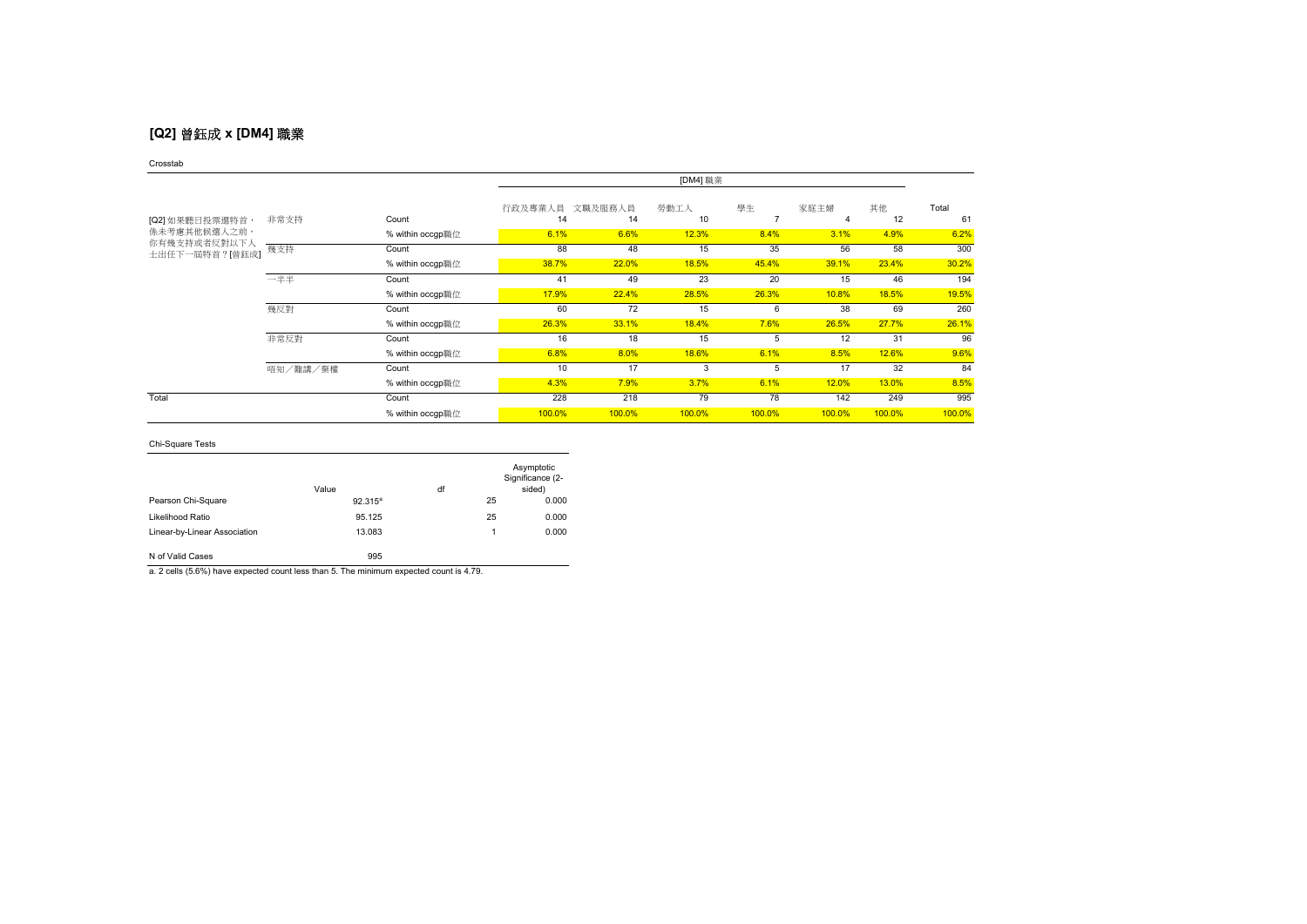# **[Q2]** 曾鈺成 **x [DM4]** 職業

### Crosstab

|                              |          |                  | [DM4] 職業              |        |            |         |        |          |             |
|------------------------------|----------|------------------|-----------------------|--------|------------|---------|--------|----------|-------------|
| [Q2] 如果聽日投票選特首,              | 非常支持     | Count            | 行政及專業人員 文職及服務人員<br>14 | 14     | 勞動工人<br>10 | 學生<br>7 | 家庭主婦   | 其他<br>12 | Total<br>61 |
| 係未考慮其他候選人之前,<br>你有幾支持或者反對以下人 |          | % within occgp職位 | 6.1%                  | 6.6%   | 12.3%      | 8.4%    | 3.1%   | 4.9%     | 6.2%        |
| 士出任下一屆特首?[曾鈺成]               | 幾支持      | Count            | 88                    | 48     | 15         | 35      | 56     | 58       | 300         |
|                              |          | % within occgp職位 | 38.7%                 | 22.0%  | 18.5%      | 45.4%   | 39.1%  | 23.4%    | 30.2%       |
|                              | 一半半      | Count            | 41                    | 49     | 23         | 20      | 15     | 46       | 194         |
|                              |          | % within occgp職位 | 17.9%                 | 22.4%  | 28.5%      | 26.3%   | 10.8%  | 18.5%    | 19.5%       |
|                              | 幾反對      | Count            | 60                    | 72     | 15         | 6       | 38     | 69       | 260         |
|                              |          | % within occgp職位 | 26.3%                 | 33.1%  | 18.4%      | 7.6%    | 26.5%  | 27.7%    | 26.1%       |
|                              | 非常反對     | Count            | 16                    | 18     | 15         | 5       | 12     | 31       | 96          |
|                              |          | % within occgp職位 | 6.8%                  | 8.0%   | 18.6%      | 6.1%    | 8.5%   | 12.6%    | 9.6%        |
|                              | 唔知/難講/棄權 | Count            | 10                    | 17     | 3          | 5       | 17     | 32       | 84          |
|                              |          | % within occgp職位 | 4.3%                  | 7.9%   | 3.7%       | 6.1%    | 12.0%  | 13.0%    | 8.5%        |
| Total                        |          | Count            | 228                   | 218    | 79         | 78      | 142    | 249      | 995         |
|                              |          | % within occgp職位 | 100.0%                | 100.0% | 100.0%     | 100.0%  | 100.0% | 100.0%   | 100.0%      |

### Chi-Square Tests

|                              | Value      | df |    | Asymptotic<br>Significance (2-<br>sided) |
|------------------------------|------------|----|----|------------------------------------------|
| Pearson Chi-Square           | $92.315^a$ |    | 25 | 0.000                                    |
| Likelihood Ratio             | 95.125     |    | 25 | 0.000                                    |
| Linear-by-Linear Association | 13.083     |    | 1  | 0.000                                    |

N of Valid Cases 995

a. 2 cells (5.6%) have expected count less than 5. The minimum expected count is 4.79.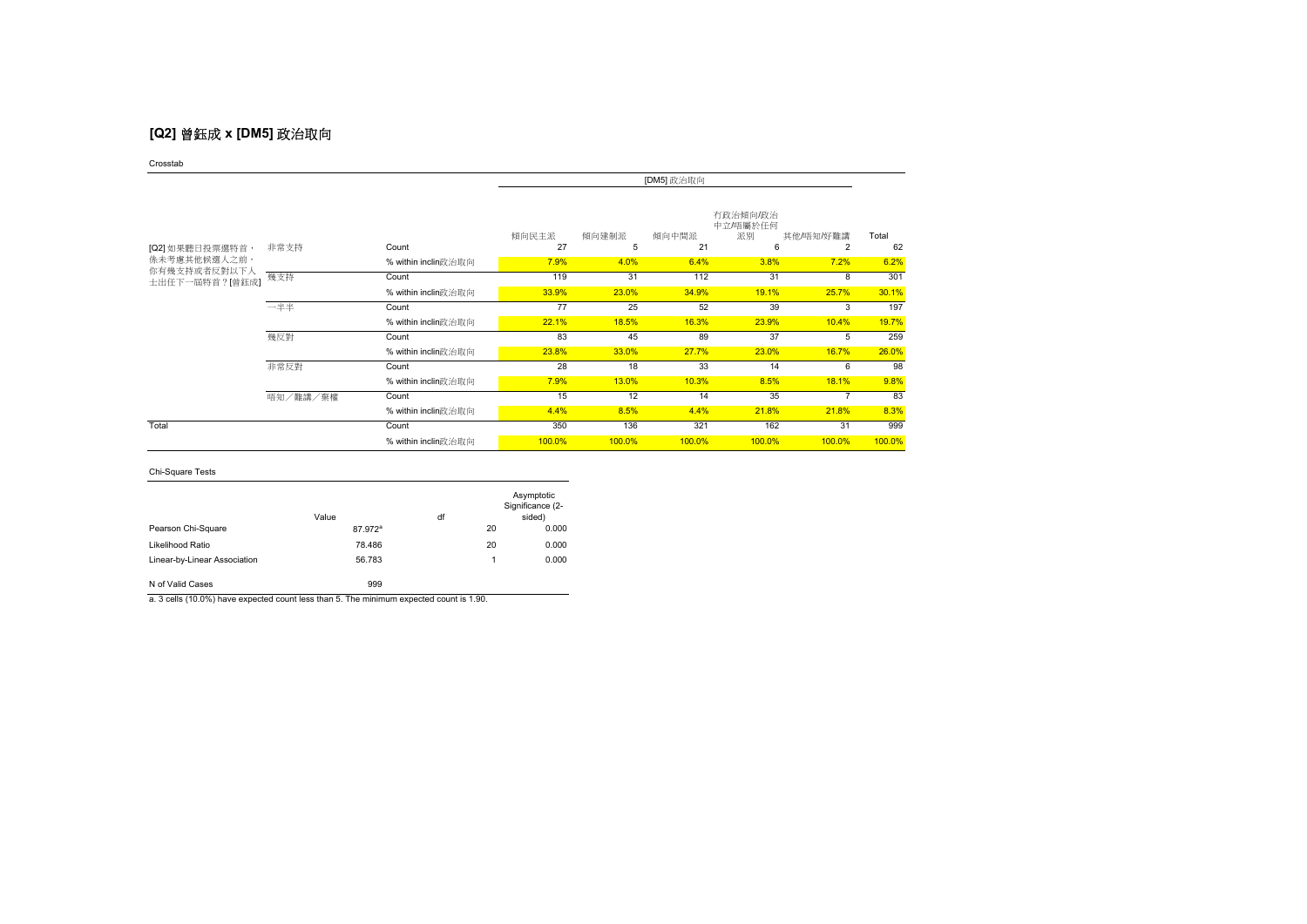# **[Q2]** 曾鈺成 **x [DM5]** 政治取向

Crosstab

|                                |          |                     | [DM5] 政治取向  |            |             |                                 |                |             |
|--------------------------------|----------|---------------------|-------------|------------|-------------|---------------------------------|----------------|-------------|
| [Q2] 如果聽日投票選特首,                | 非常支持     | Count               | 傾向民主派<br>27 | 傾向建制派<br>5 | 傾向中間派<br>21 | 有政治傾向/政治<br>中立/唔屬於任何<br>派別<br>6 | 其他/唔知/好難講<br>2 | Total<br>62 |
| <b>係未考慮其他候選人之前,</b>            |          | % within inclin政治取向 | 7.9%        | 4.0%       | 6.4%        | 3.8%                            | 7.2%           | 6.2%        |
| 你有幾支持或者反對以下人<br>士出任下一屆特首?[曾鈺成] | 幾支持      | Count               | 119         | 31         | 112         | 31                              | 8              | 301         |
|                                |          | % within inclin政治取向 | 33.9%       | 23.0%      | 34.9%       | 19.1%                           | 25.7%          | 30.1%       |
|                                | 一半半      | Count               | 77          | 25         | 52          | 39                              | 3              | 197         |
|                                |          | % within inclin政治取向 | 22.1%       | 18.5%      | 16.3%       | 23.9%                           | 10.4%          | 19.7%       |
|                                | 幾反對      | Count               | 83          | 45         | 89          | 37                              | 5              | 259         |
|                                |          | % within inclin政治取向 | 23.8%       | 33.0%      | 27.7%       | 23.0%                           | 16.7%          | 26.0%       |
|                                | 非常反對     | Count               | 28          | 18         | 33          | 14                              | 6              | 98          |
|                                |          | % within inclin政治取向 | 7.9%        | 13.0%      | 10.3%       | 8.5%                            | 18.1%          | 9.8%        |
|                                | 唔知/難講/棄權 | Count               | 15          | 12         | 14          | 35                              |                | 83          |
|                                |          | % within inclin政治取向 | 4.4%        | 8.5%       | 4.4%        | 21.8%                           | 21.8%          | 8.3%        |
| Total                          |          | Count               | 350         | 136        | 321         | 162                             | 31             | 999         |
|                                |          | % within inclin政治取向 | 100.0%      | 100.0%     | 100.0%      | 100.0%                          | 100.0%         | 100.0%      |

### Chi-Square Tests

|                              | Value               | df |    | Asymptotic<br>Significance (2-<br>sided) |
|------------------------------|---------------------|----|----|------------------------------------------|
| Pearson Chi-Square           | 87.972 <sup>a</sup> |    | 20 | 0.000                                    |
| Likelihood Ratio             | 78.486              |    | 20 | 0.000                                    |
| Linear-by-Linear Association | 56.783              |    | 1  | 0.000                                    |
| N of Valid Cases             | 999                 |    |    |                                          |

a. 3 cells (10.0%) have expected count less than 5. The minimum expected count is 1.90.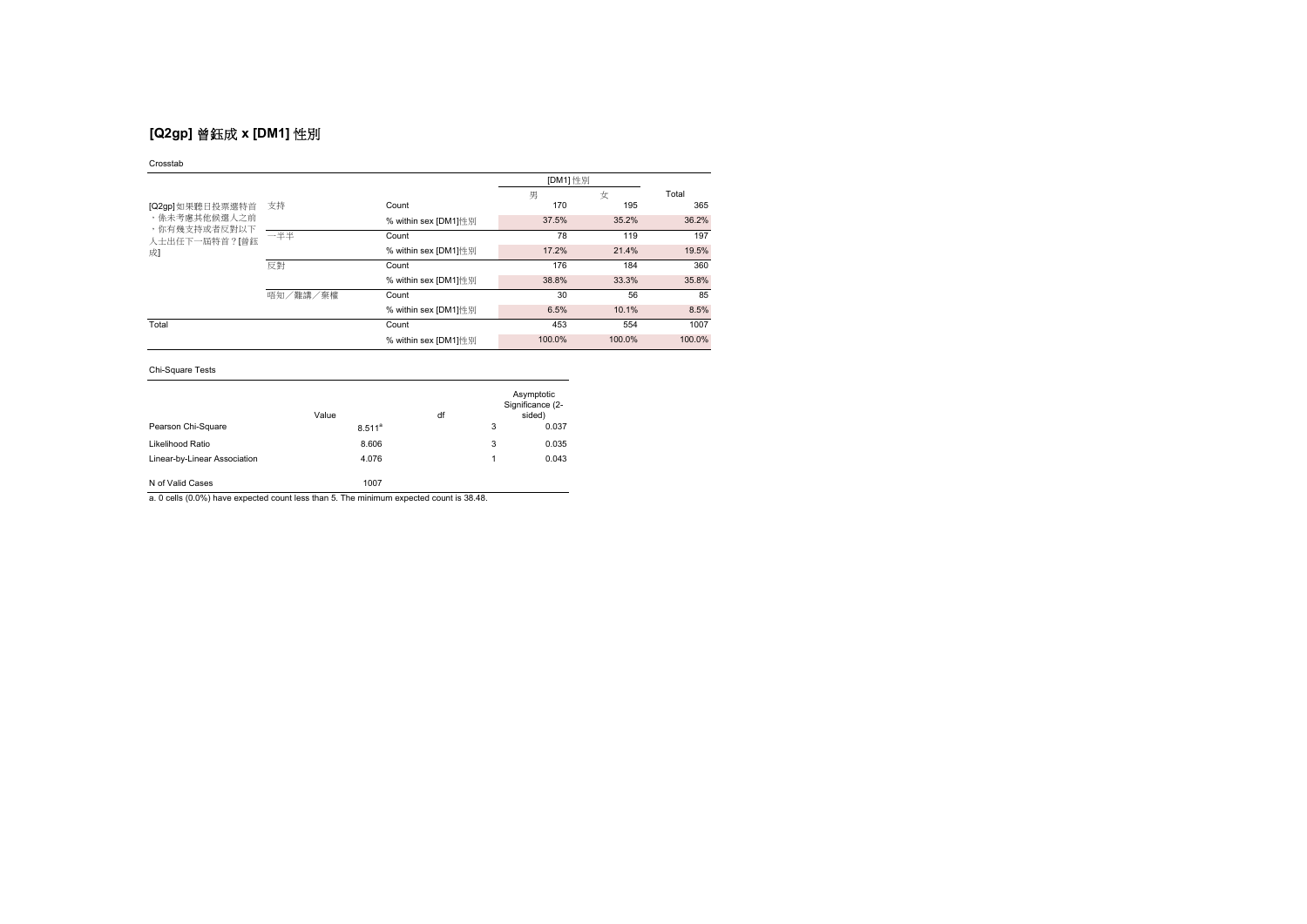# **[Q2gp]** 曾鈺成 **x [DM1]** 性別

### Crosstab

|                               |          |                      | [DM1] 性別 |        |        |
|-------------------------------|----------|----------------------|----------|--------|--------|
|                               |          |                      | 男        | 女      | Total  |
| [Q2gp]如果聽日投票選特首               | 支持       | Count                | 170      | 195    | 365    |
| ,係未考慮其他候選人之前                  |          | % within sex [DM1]性别 | 37.5%    | 35.2%  | 36.2%  |
| ,你有幾支持或者反對以下<br>人士出任下一届特首?[曾鈺 | 一半半      | Count                | 78       | 119    | 197    |
| 成]                            |          | % within sex [DM1]性别 | 17.2%    | 21.4%  | 19.5%  |
|                               | 反對       | Count                | 176      | 184    | 360    |
|                               |          | % within sex [DM1]性别 | 38.8%    | 33.3%  | 35.8%  |
|                               | 唔知/難講/棄權 | Count                | 30       | 56     | 85     |
|                               |          | % within sex [DM1]性別 | 6.5%     | 10.1%  | 8.5%   |
| Total                         |          | Count                | 453      | 554    | 1007   |
|                               |          | % within sex [DM1]性别 | 100.0%   | 100.0% | 100.0% |

### Chi-Square Tests

|                              | Value       | df |   | Asymptotic<br>Significance (2-<br>sided) |
|------------------------------|-------------|----|---|------------------------------------------|
| Pearson Chi-Square           | $8.511^{a}$ |    | 3 | 0.037                                    |
| Likelihood Ratio             | 8.606       |    | 3 | 0.035                                    |
| Linear-by-Linear Association | 4.076       |    |   | 0.043                                    |
| N of Valid Cases             | 1007        |    |   |                                          |

a. 0 cells (0.0%) have expected count less than 5. The minimum expected count is 38.48.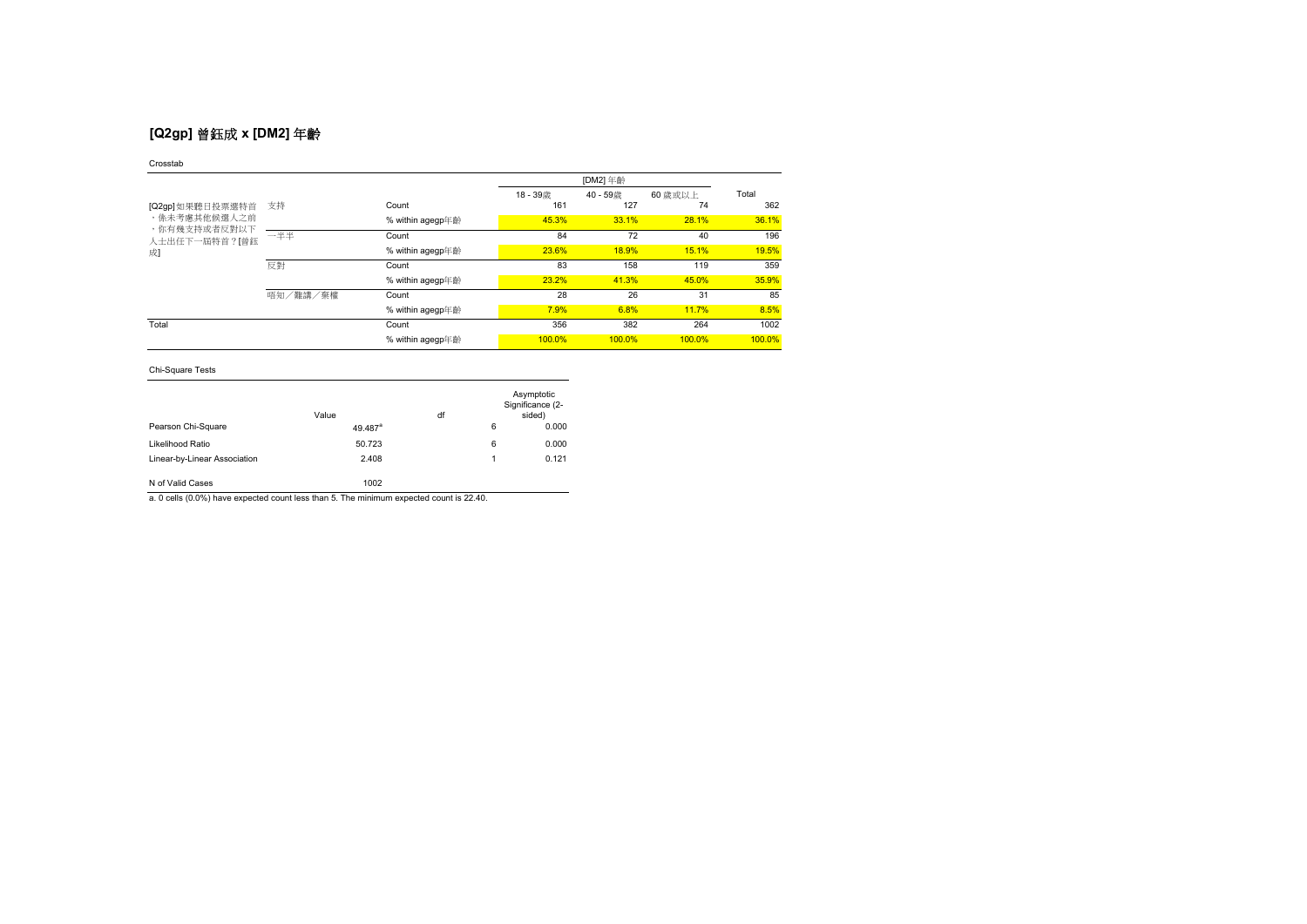# **[Q2gp]** 曾鈺成 **x [DM2]** 年齡

### Crosstab

|                               |          |                  |        | [DM2] 年齡 |         |        |
|-------------------------------|----------|------------------|--------|----------|---------|--------|
|                               |          |                  | 18-39歳 | 40-59歳   | 60 歳或以上 | Total  |
| [Q2gp]如果聽日投票選特首               | 支持       | Count            | 161    | 127      | 74      | 362    |
| ,係未考慮其他候選人之前                  |          | % within agegp年齡 | 45.3%  | 33.1%    | 28.1%   | 36.1%  |
| ,你有幾支持或者反對以下<br>人士出任下一屆特首?[曾鈺 | 一半半      | Count            | 84     | 72       | 40      | 196    |
| 成                             |          | % within agegp年齡 | 23.6%  | 18.9%    | 15.1%   | 19.5%  |
|                               | 反對       | Count            | 83     | 158      | 119     | 359    |
|                               |          | % within agegp年齡 | 23.2%  | 41.3%    | 45.0%   | 35.9%  |
|                               | 唔知/難講/棄權 | Count            | 28     | 26       | 31      | 85     |
|                               |          | % within agegp年齡 | 7.9%   | 6.8%     | 11.7%   | 8.5%   |
| Total                         |          | Count            | 356    | 382      | 264     | 1002   |
|                               |          | % within agegp年齡 | 100.0% | 100.0%   | 100.0%  | 100.0% |

## Chi-Square Tests

|                              | Value               | df |   | Asymptotic<br>Significance (2-<br>sided) |
|------------------------------|---------------------|----|---|------------------------------------------|
| Pearson Chi-Square           | 49.487 <sup>a</sup> |    | 6 | 0.000                                    |
| Likelihood Ratio             | 50.723              |    | 6 | 0.000                                    |
| Linear-by-Linear Association | 2.408               |    | 1 | 0.121                                    |
| N of Valid Cases             | 1002                |    |   |                                          |

a. 0 cells (0.0%) have expected count less than 5. The minimum expected count is 22.40.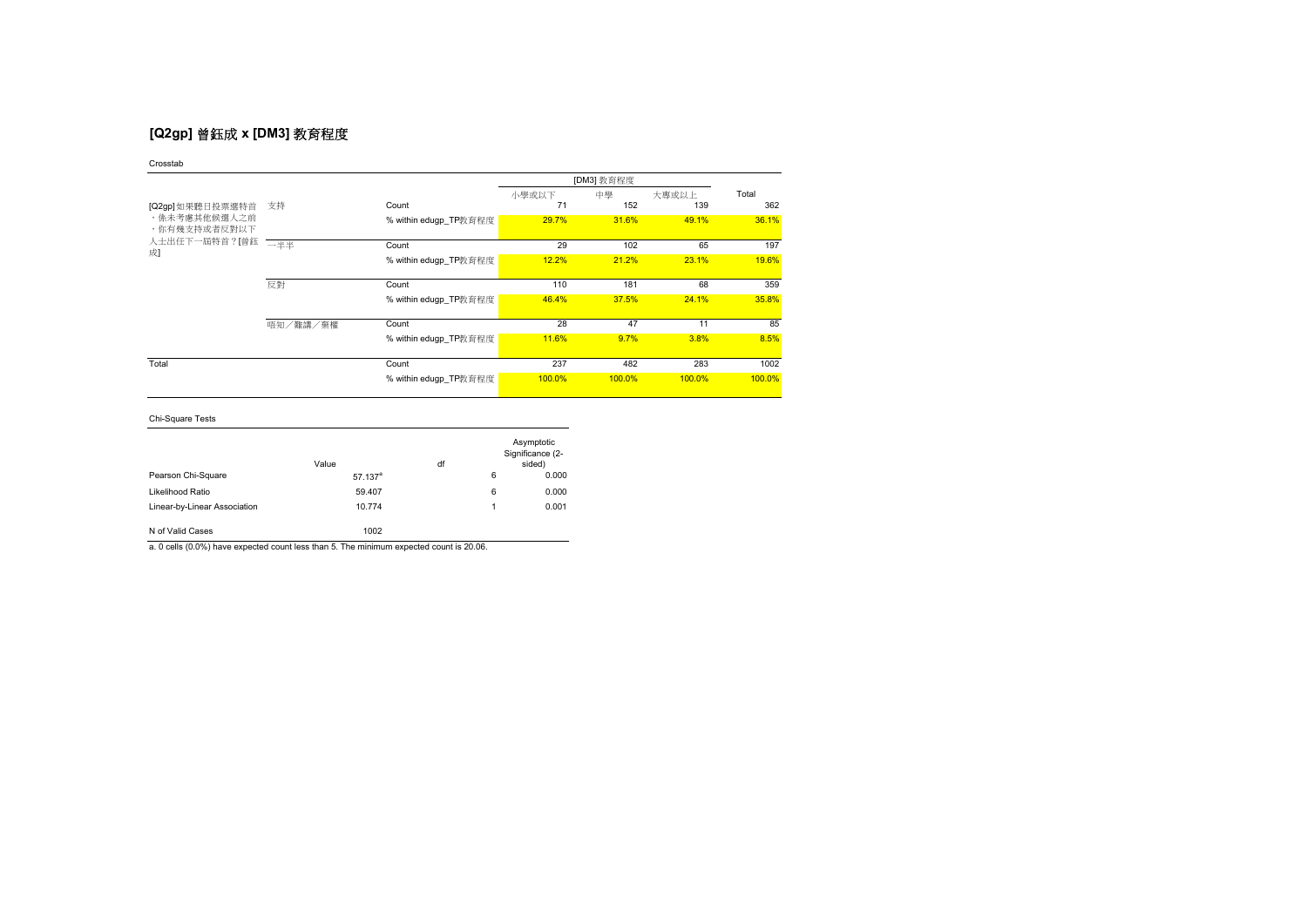# **[Q2gp]** 曾鈺成 **x [DM3]** 教育程度

|                                                     |          | [DM3] 教育程度            |        |        |        |        |
|-----------------------------------------------------|----------|-----------------------|--------|--------|--------|--------|
|                                                     |          |                       | 小學或以下  | 中學     | 大專或以上  | Total  |
| [Q2gp]如果聽日投票選特首                                     | 支持       | Count                 | 71     | 152    | 139    | 362    |
| ,係未考慮其他候選人之前<br>,你有幾支持或者反對以下<br>人士出任下一屆特首?[曾鈺<br>成] |          | % within edugp_TP教育程度 | 29.7%  | 31.6%  | 49.1%  | 36.1%  |
|                                                     | 一半来      | Count                 | 29     | 102    | 65     | 197    |
|                                                     |          | % within edugp_TP教育程度 | 12.2%  | 21.2%  | 23.1%  | 19.6%  |
|                                                     | 反對       | Count                 | 110    | 181    | 68     | 359    |
|                                                     |          | % within edugp_TP教育程度 | 46.4%  | 37.5%  | 24.1%  | 35.8%  |
|                                                     | 唔知/難講/棄權 | Count                 | 28     | 47     | 11     | 85     |
|                                                     |          | % within edugp_TP教育程度 | 11.6%  | 9.7%   | 3.8%   | 8.5%   |
| Total                                               |          | Count                 | 237    | 482    | 283    | 1002   |
|                                                     |          | % within edugp_TP教育程度 | 100.0% | 100.0% | 100.0% | 100.0% |

Chi-Square Tests

|                              | Value                 | df |   | Asymptotic<br>Significance (2-<br>sided) |
|------------------------------|-----------------------|----|---|------------------------------------------|
| Pearson Chi-Square           | $57.137$ <sup>a</sup> |    | 6 | 0.000                                    |
| Likelihood Ratio             | 59.407                |    | 6 | 0.000                                    |
| Linear-by-Linear Association | 10.774                |    | 1 | 0.001                                    |
| N of Valid Cases             | 1002                  |    |   |                                          |

a. 0 cells (0.0%) have expected count less than 5. The minimum expected count is 20.06.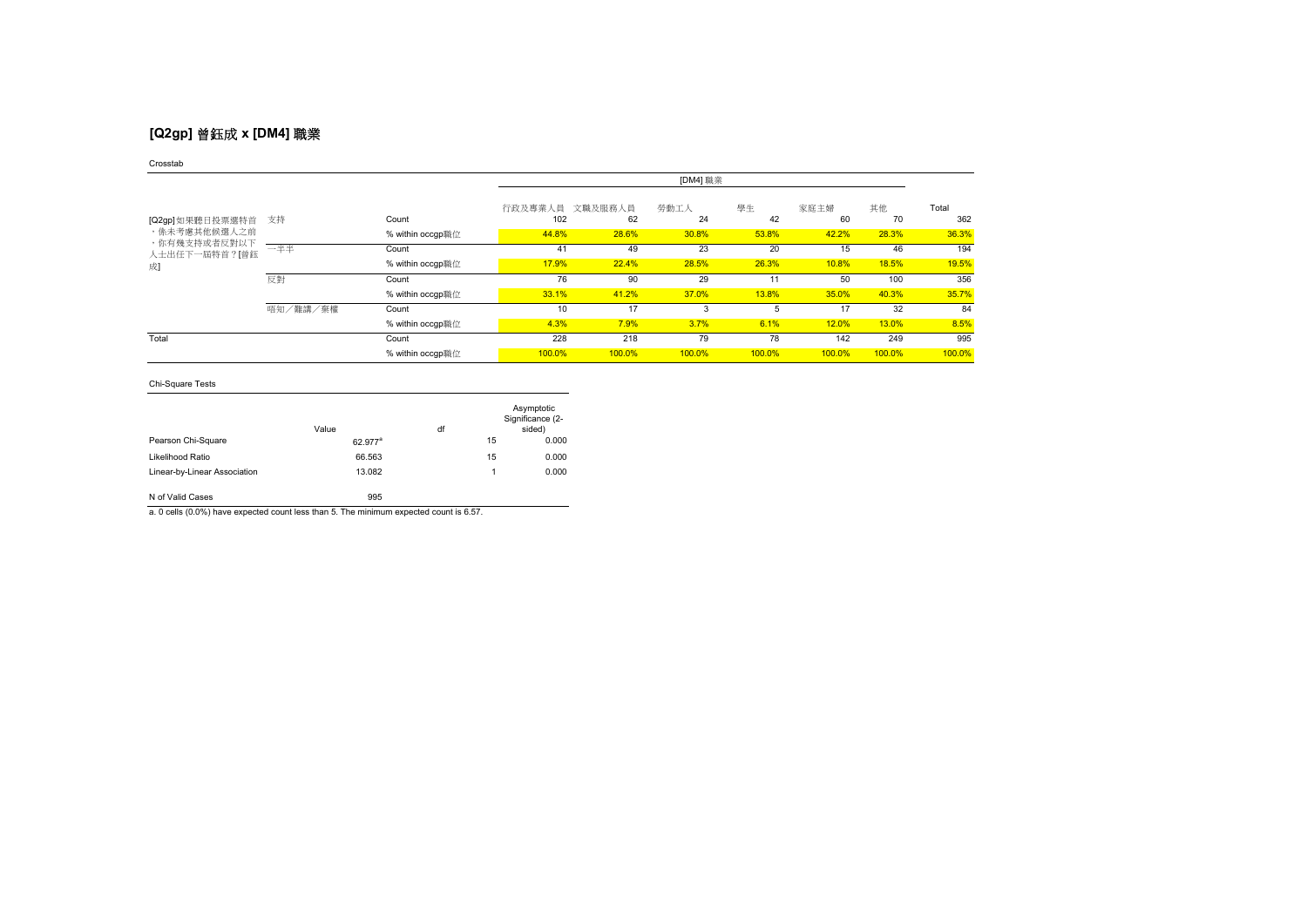# **[Q2gp]** 曾鈺成 **x [DM4]** 職業

### Crosstab

|                              |          |                  |                | [DM4] 職業      |            |          |            |          |              |
|------------------------------|----------|------------------|----------------|---------------|------------|----------|------------|----------|--------------|
| [Q2gp] 如果聽日投票選特首             | 支持       | Count            | 行政及專業人員<br>102 | 文職及服務人員<br>62 | 勞動工人<br>24 | 學生<br>42 | 家庭主婦<br>60 | 其他<br>70 | Total<br>362 |
| ,係未考慮其他候選人之前<br>,你有幾支持或者反對以下 |          | % within occgp職位 | 44.8%          | 28.6%         | 30.8%      | 53.8%    | 42.2%      | 28.3%    | 36.3%        |
| 人士出任下一屆特首?[曾鈺                | 一半半      | Count            | 41             | 49            | 23         | 20       | 15         | 46       | 194          |
| 成                            |          | % within occgp職位 | 17.9%          | 22.4%         | 28.5%      | 26.3%    | 10.8%      | 18.5%    | 19.5%        |
|                              | 反對       | Count            | 76             | 90            | 29         | 11       | 50         | 100      | 356          |
|                              |          | % within occgp職位 | 33.1%          | 41.2%         | 37.0%      | 13.8%    | 35.0%      | 40.3%    | 35.7%        |
|                              | 唔知/難講/棄權 | Count            | 10             | 17            | 3          |          |            | 32       | 84           |
|                              |          | % within occgp職位 | 4.3%           | 7.9%          | 3.7%       | 6.1%     | 12.0%      | 13.0%    | 8.5%         |
| Total                        |          | Count            | 228            | 218           | 79         | 78       | 142        | 249      | 995          |
|                              |          | % within occgp職位 | 100.0%         | 100.0%        | 100.0%     | 100.0%   | 100.0%     | 100.0%   | 100.0%       |

## Chi-Square Tests

|                              | Value               | df |    | Asymptotic<br>Significance (2-<br>sided) |
|------------------------------|---------------------|----|----|------------------------------------------|
| Pearson Chi-Square           | 62.977 <sup>a</sup> |    | 15 | 0.000                                    |
| Likelihood Ratio             | 66.563              |    | 15 | 0.000                                    |
| Linear-by-Linear Association | 13.082              |    | 1  | 0.000                                    |
| N of Valid Cases             | 995                 |    |    |                                          |

a. 0 cells (0.0%) have expected count less than 5. The minimum expected count is 6.57.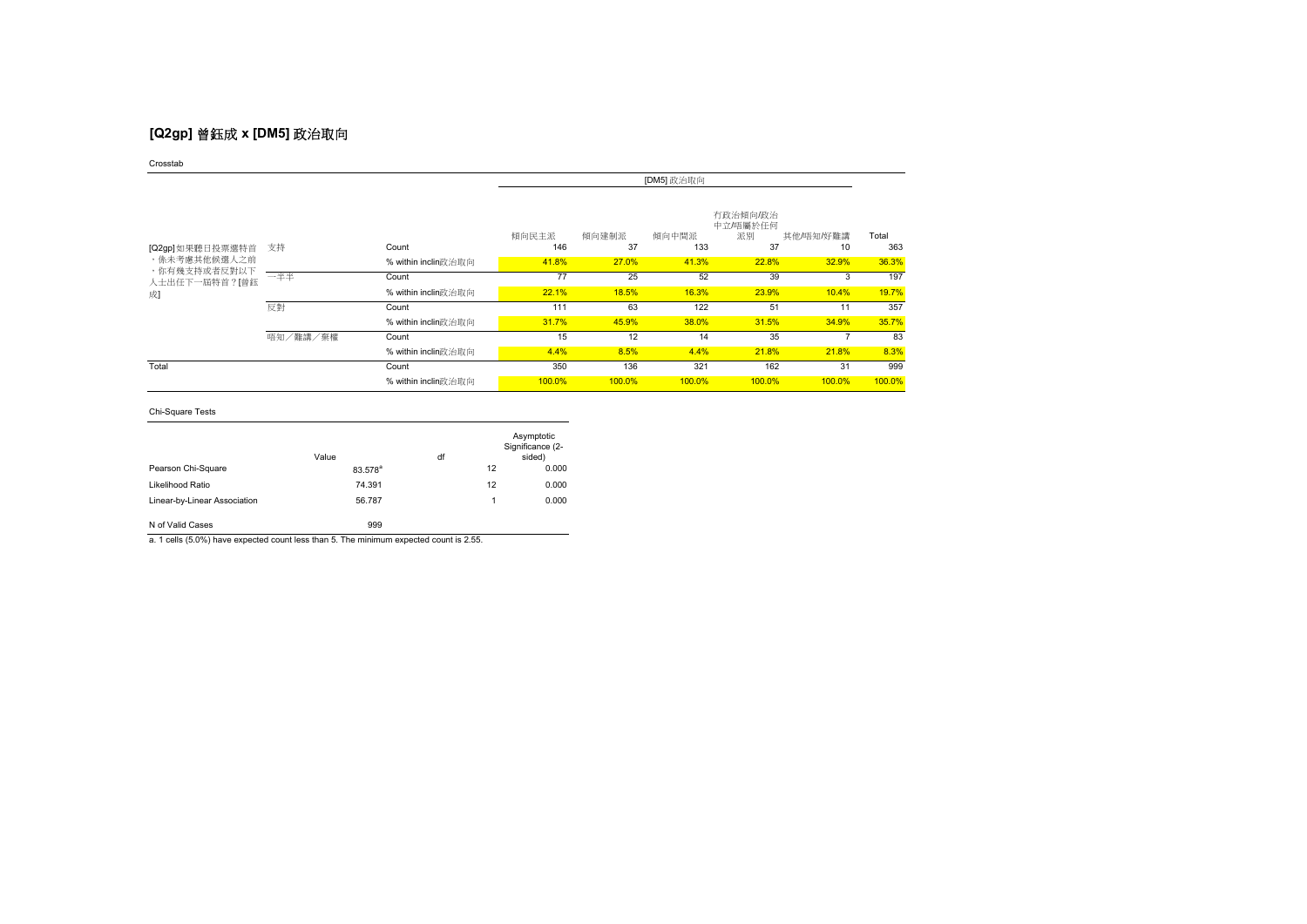# **[Q2gp]** 曾鈺成 **x [DM5]** 政治取向

Crosstab

|                              |          |                     | [DM5] 政治取向   |             |              |                                  |                 |              |
|------------------------------|----------|---------------------|--------------|-------------|--------------|----------------------------------|-----------------|--------------|
| [Q2gp] 如果聽日投票選特首             | 支持       | Count               | 傾向民主派<br>146 | 傾向建制派<br>37 | 傾向中間派<br>133 | 有政治傾向/政治<br>中立/唔屬於任何<br>派別<br>37 | 其他/唔知/好難講<br>10 | Total<br>363 |
| ,係未考慮其他候選人之前<br>,你有幾支持或者反對以下 |          | % within inclin政治取向 | 41.8%        | 27.0%       | 41.3%        | 22.8%                            | 32.9%           | 36.3%        |
| 人士出任下一屆特首?[曾鈺                | 一半半      | Count               | 77           | 25          | 52           | 39                               | 3               | 197          |
| 成]                           |          | % within inclin政治取向 | 22.1%        | 18.5%       | 16.3%        | 23.9%                            | 10.4%           | 19.7%        |
|                              | 反對       | Count               | 111          | 63          | 122          | 51                               | 11              | 357          |
|                              |          | % within inclin政治取向 | 31.7%        | 45.9%       | 38.0%        | 31.5%                            | 34.9%           | 35.7%        |
|                              | 唔知/難講/棄權 | Count               | 15           | 12          | 14           | 35                               |                 | 83           |
|                              |          | % within inclin政治取向 | 4.4%         | 8.5%        | 4.4%         | 21.8%                            | 21.8%           | 8.3%         |
| Total                        |          | Count               | 350          | 136         | 321          | 162                              | 31              | 999          |
|                              |          | % within inclin政治取向 | 100.0%       | 100.0%      | 100.0%       | 100.0%                           | 100.0%          | 100.0%       |

Chi-Square Tests

|                              | Value               | df | Asymptotic<br>Significance (2-<br>sided) |
|------------------------------|---------------------|----|------------------------------------------|
| Pearson Chi-Square           | 83.578 <sup>a</sup> | 12 | 0.000                                    |
| Likelihood Ratio             | 74.391              | 12 | 0.000                                    |
| Linear-by-Linear Association | 56.787              | 1  | 0.000                                    |
| N of Valid Cases             | 999                 |    |                                          |

a. 1 cells (5.0%) have expected count less than 5. The minimum expected count is 2.55.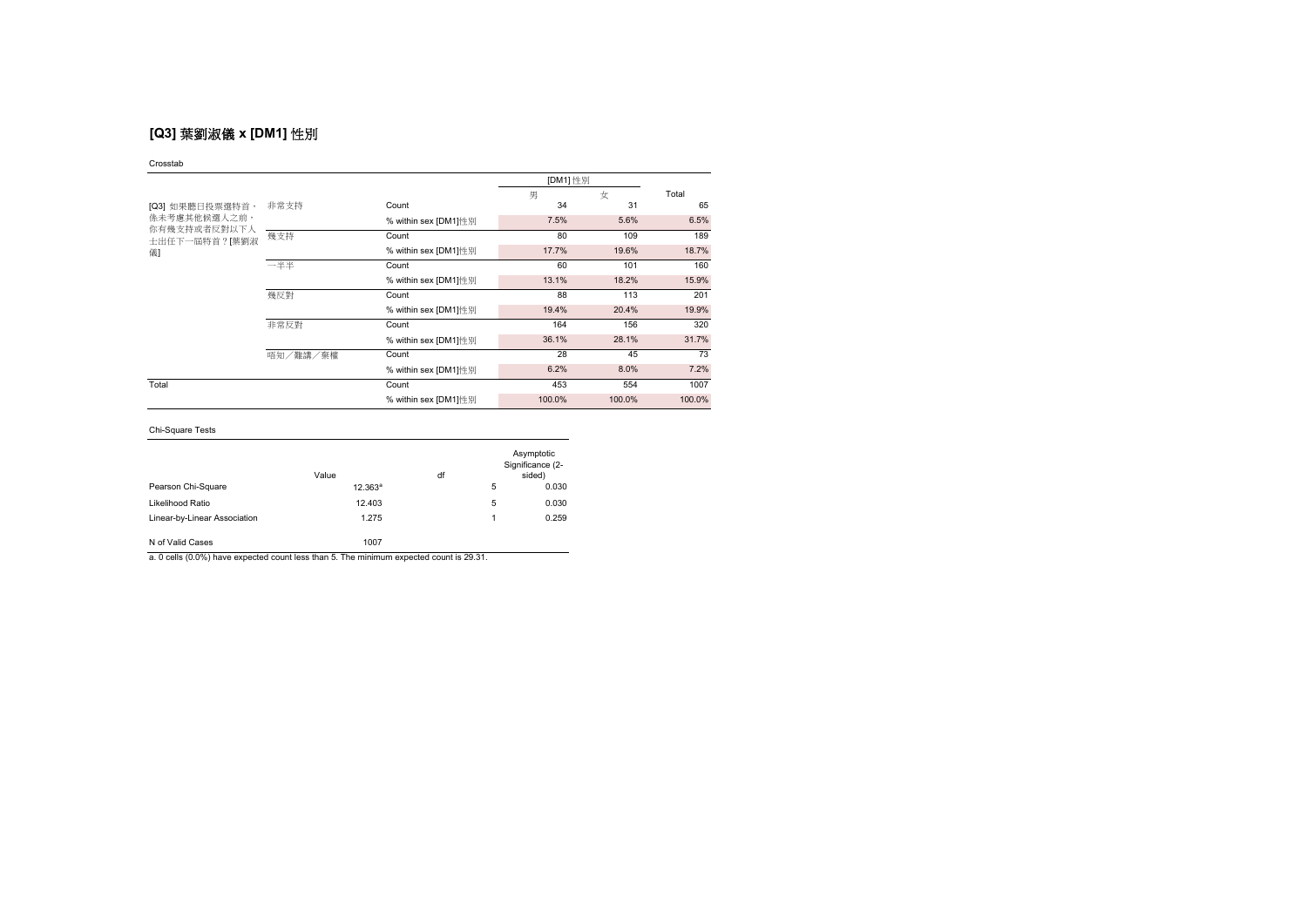# **[Q3]** 葉劉淑儀 **x [DM1]** 性別

#### Crosstab

|                              |          |                      |        | [DM1] 性別 |        |  |
|------------------------------|----------|----------------------|--------|----------|--------|--|
|                              |          |                      | 男      | 女        | Total  |  |
| [Q3] 如果聽日投票選特首,              | 非常支持     | Count                | 34     | 31       | 65     |  |
| 係未考慮其他候選人之前,<br>你有幾支持或者反對以下人 |          | % within sex [DM1]性别 | 7.5%   | 5.6%     | 6.5%   |  |
| 士出任下一屆特首?[葉劉淑                | 幾支持      | Count                | 80     | 109      | 189    |  |
| 儀                            |          | % within sex [DM1]性别 | 17.7%  | 19.6%    | 18.7%  |  |
|                              | 一半半      | Count                | 60     | 101      | 160    |  |
|                              |          | % within sex [DM1]性别 | 13.1%  | 18.2%    | 15.9%  |  |
|                              | 幾反對      | Count                | 88     | 113      | 201    |  |
|                              |          | % within sex [DM1]性别 | 19.4%  | 20.4%    | 19.9%  |  |
|                              | 非常反對     | Count                | 164    | 156      | 320    |  |
|                              |          | % within sex [DM1]性别 | 36.1%  | 28.1%    | 31.7%  |  |
|                              | 唔知/難講/棄權 | Count                | 28     | 45       | 73     |  |
|                              |          | % within sex [DM1]性别 | 6.2%   | 8.0%     | 7.2%   |  |
| Total                        |          | Count                | 453    | 554      | 1007   |  |
|                              |          | % within sex [DM1]性别 | 100.0% | 100.0%   | 100.0% |  |

## Chi-Square Tests

|                              | Value      | df |   | Asymptotic<br>Significance (2-<br>sided) |
|------------------------------|------------|----|---|------------------------------------------|
| Pearson Chi-Square           | $12.363^a$ |    | 5 | 0.030                                    |
| Likelihood Ratio             | 12.403     |    | 5 | 0.030                                    |
| Linear-by-Linear Association | 1.275      |    |   | 0.259                                    |
| N of Valid Cases             | 1007       |    |   |                                          |

a. 0 cells (0.0%) have expected count less than 5. The minimum expected count is 29.31.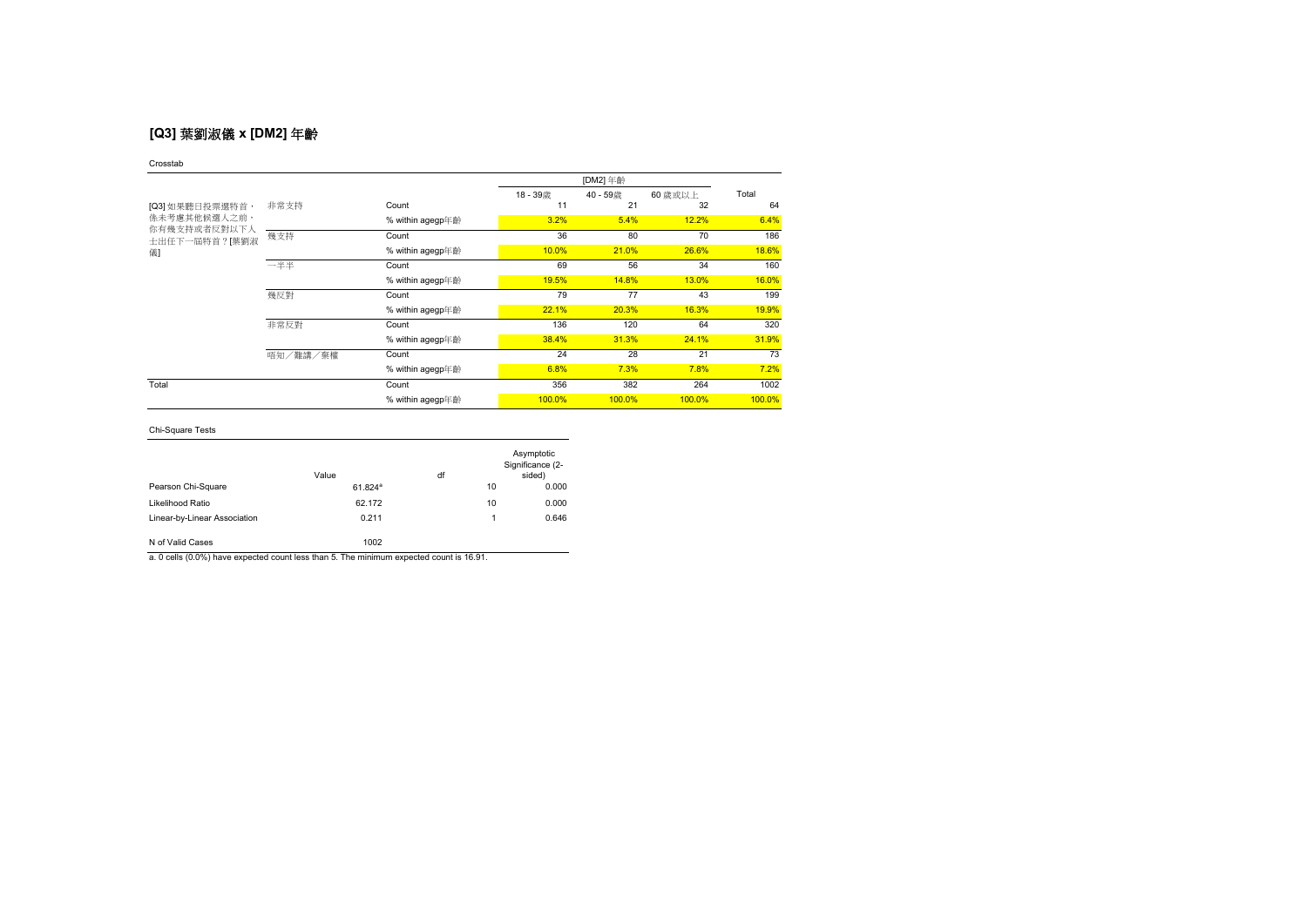# **[Q3]** 葉劉淑儀 **x [DM2]** 年齡

### Crosstab

|                                                                         |          |                  | 18-39歳 | 40-59歳 | 60 歳或以上 | Total  |
|-------------------------------------------------------------------------|----------|------------------|--------|--------|---------|--------|
| [Q3] 如果聽日投票選特首,<br><b>係未考慮其他候選人之前,</b><br>你有幾支持或者反對以下人<br>士出任下一屆特首?「葉劉淑 | 非常支持     | Count            | 11     | 21     | 32      | 64     |
|                                                                         |          | % within agegp年齡 | 3.2%   | 5.4%   | 12.2%   | 6.4%   |
|                                                                         | 幾支持      | Count            | 36     | 80     | 70      | 186    |
| 儀                                                                       |          | % within agegp年齡 | 10.0%  | 21.0%  | 26.6%   | 18.6%  |
|                                                                         | 一半半      | Count            | 69     | 56     | 34      | 160    |
|                                                                         |          | % within agegp年齡 | 19.5%  | 14.8%  | 13.0%   | 16.0%  |
|                                                                         | 幾反對      | Count            | 79     | 77     | 43      | 199    |
|                                                                         |          | % within agegp年齡 | 22.1%  | 20.3%  | 16.3%   | 19.9%  |
|                                                                         | 非常反對     | Count            | 136    | 120    | 64      | 320    |
|                                                                         |          | % within agegp年齡 | 38.4%  | 31.3%  | 24.1%   | 31.9%  |
|                                                                         | 唔知/難講/棄權 | Count            | 24     | 28     | 21      | 73     |
|                                                                         |          | % within agegp年齡 | 6.8%   | 7.3%   | 7.8%    | 7.2%   |
| Total                                                                   |          | Count            | 356    | 382    | 264     | 1002   |
|                                                                         |          | % within agegp年齡 | 100.0% | 100.0% | 100.0%  | 100.0% |

## Chi-Square Tests

|                              | Value                 | df |    | Asymptotic<br>Significance (2-<br>sided) |
|------------------------------|-----------------------|----|----|------------------------------------------|
| Pearson Chi-Square           | $61.824$ <sup>a</sup> |    | 10 | 0.000                                    |
| Likelihood Ratio             | 62.172                |    | 10 | 0.000                                    |
| Linear-by-Linear Association | 0.211                 |    | 1  | 0.646                                    |
| N of Valid Cases             | 1002                  |    |    |                                          |

a. 0 cells (0.0%) have expected count less than 5. The minimum expected count is 16.91.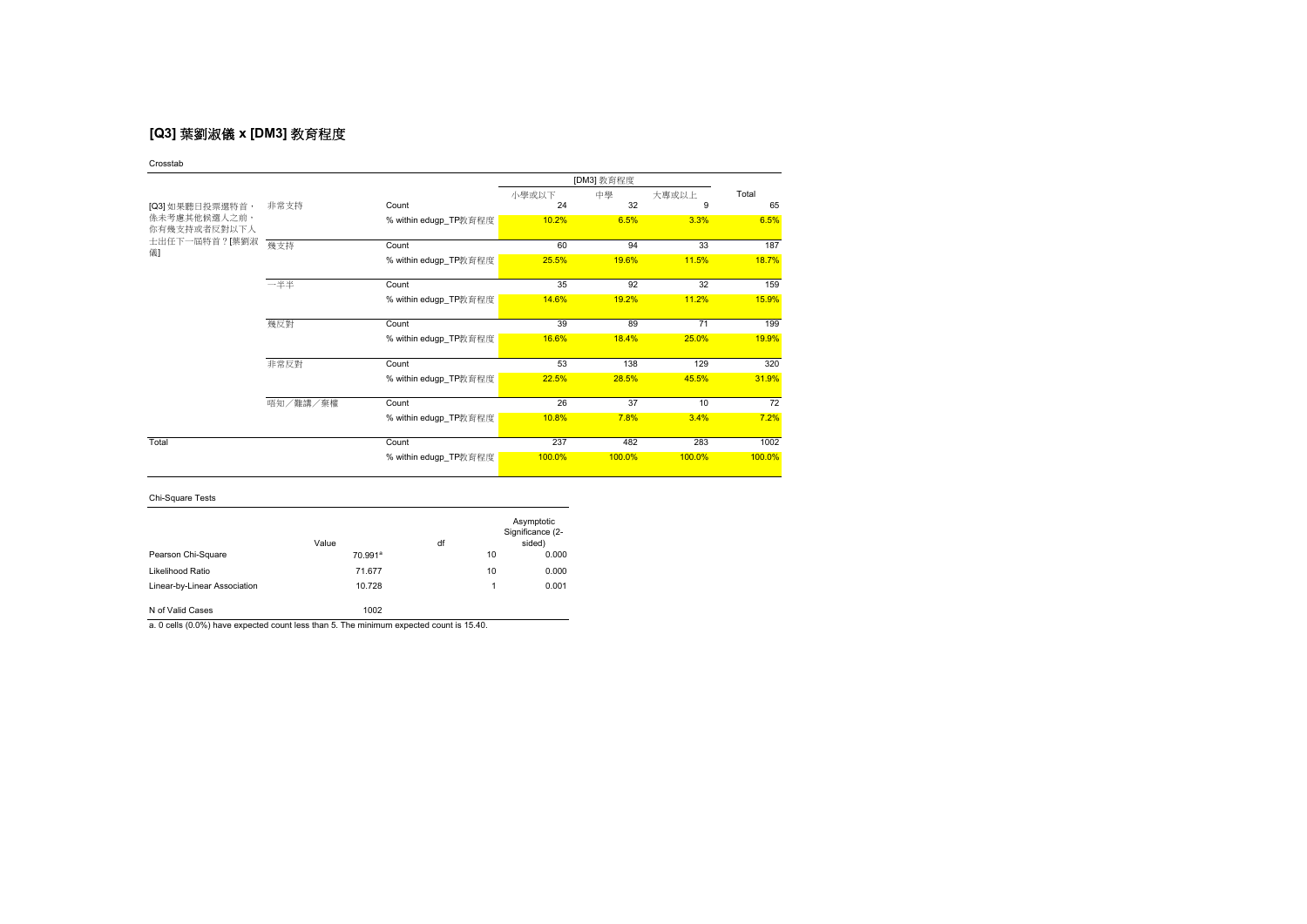# **[Q3]** 葉劉淑儀 **x [DM3]** 教育程度

Crosstab

|                              |          |                       |        | [DM3] 教育程度 |                 |        |  |
|------------------------------|----------|-----------------------|--------|------------|-----------------|--------|--|
|                              |          |                       | 小學或以下  | 中學         | 大專或以上           | Total  |  |
| [Q3] 如果聽日投票選特首,              | 非常支持     | Count                 | 24     | 32         | 9               | 65     |  |
| 係未考慮其他候選人之前,<br>你有幾支持或者反對以下人 |          | % within edugp_TP教育程度 | 10.2%  | 6.5%       | 3.3%            | 6.5%   |  |
| 士出任下一屆特首?[葉劉淑<br>儀           | 幾支持      | Count                 | 60     | 94         | 33              | 187    |  |
|                              |          | % within edugp_TP教育程度 | 25.5%  | 19.6%      | 11.5%           | 18.7%  |  |
|                              | 一半半      | Count                 | 35     | 92         | 32              | 159    |  |
|                              |          | % within edugp_TP教育程度 | 14.6%  | 19.2%      | 11.2%           | 15.9%  |  |
|                              | 幾反對      | Count                 | 39     | 89         | 71              | 199    |  |
|                              |          | % within edugp_TP教育程度 | 16.6%  | 18.4%      | 25.0%           | 19.9%  |  |
|                              | 非常反對     | Count                 | 53     | 138        | 129             | 320    |  |
|                              |          | % within edugp_TP教育程度 | 22.5%  | 28.5%      | 45.5%           | 31.9%  |  |
|                              | 唔知/難講/棄權 | Count                 | 26     | 37         | 10 <sup>1</sup> | 72     |  |
|                              |          | % within edugp_TP教育程度 | 10.8%  | 7.8%       | 3.4%            | 7.2%   |  |
| Total                        |          | Count                 | 237    | 482        | 283             | 1002   |  |
|                              |          | % within edugp_TP教育程度 | 100.0% | 100.0%     | 100.0%          | 100.0% |  |

## Chi-Square Tests

|                              | Value               | df |    | Asymptotic<br>Significance (2-<br>sided) |
|------------------------------|---------------------|----|----|------------------------------------------|
| Pearson Chi-Square           | 70.991 <sup>a</sup> |    | 10 | 0.000                                    |
| Likelihood Ratio             | 71.677              |    | 10 | 0.000                                    |
| Linear-by-Linear Association | 10.728              |    | 1  | 0.001                                    |
| N of Valid Cases             | 1002                |    |    |                                          |

a. 0 cells (0.0%) have expected count less than 5. The minimum expected count is 15.40.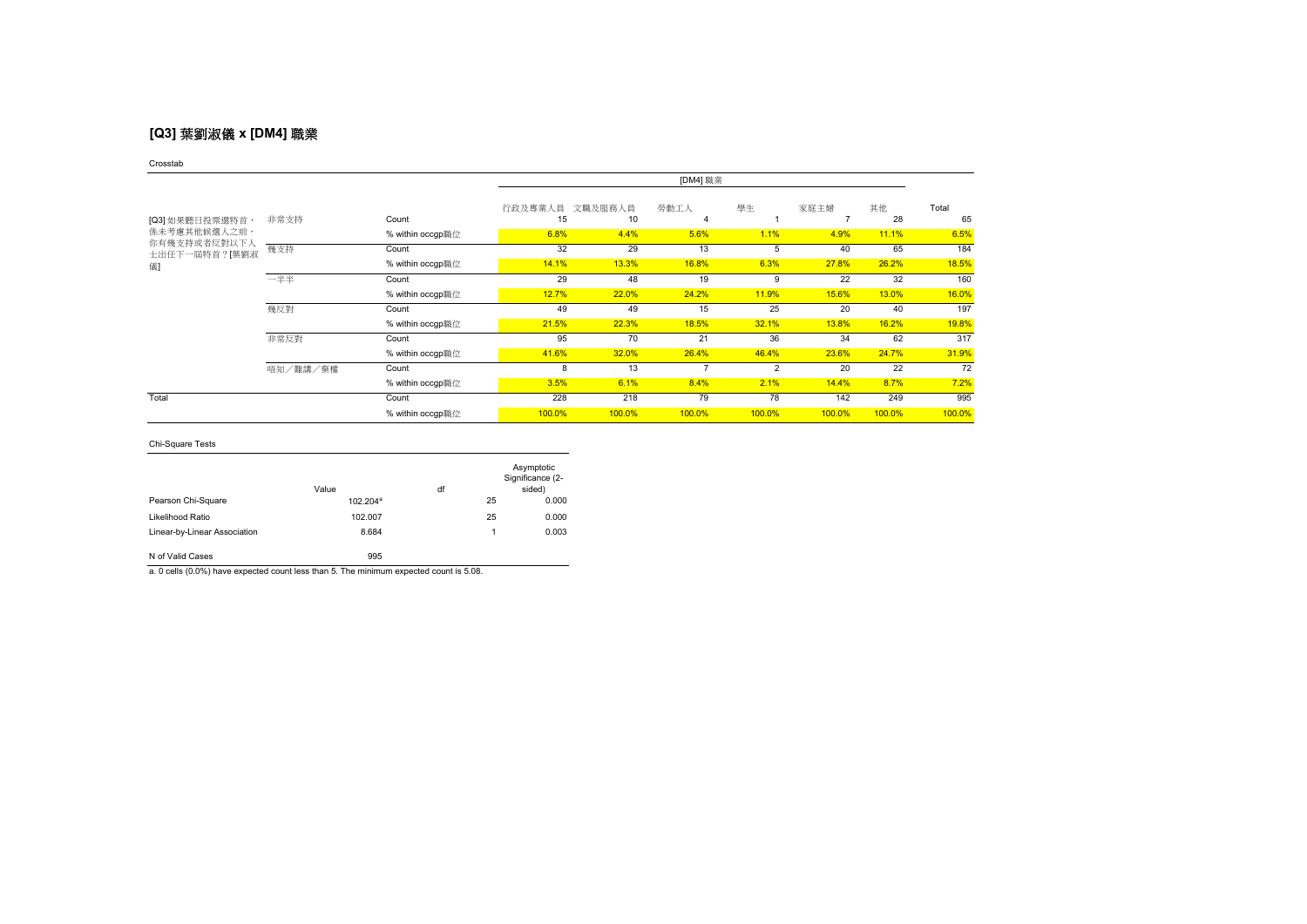## **[Q3]** 葉劉淑儀 **x [DM4]** 職業

### Crosstab

|                               |          |                  |               |               | [DM4] 職業 |                |        |          |             |
|-------------------------------|----------|------------------|---------------|---------------|----------|----------------|--------|----------|-------------|
| [Q3] 如果聽日投票選特首,               | 非常支持     | Count            | 行政及專業人員<br>15 | 文職及服務人員<br>10 | 勞動工人     | 學生             | 家庭主婦   | 其他<br>28 | Total<br>65 |
| <b>係未考慮其他候選人之前,</b>           |          | % within occgp職位 | 6.8%          | 4.4%          | 5.6%     | 1.1%           | 4.9%   | 11.1%    | 6.5%        |
| 你有幾支持或者反對以下人<br>士出任下一屆特首?[葉劉淑 | 幾支持      | Count            | 32            | 29            | 13       | 5              | 40     | 65       | 184         |
| 儀]                            |          | % within occgp職位 | 14.1%         | 13.3%         | 16.8%    | 6.3%           | 27.8%  | 26.2%    | 18.5%       |
|                               | 一半半      | Count            | 29            | 48            | 19       | 9              | 22     | 32       | 160         |
|                               |          | % within occgp職位 | 12.7%         | 22.0%         | 24.2%    | 11.9%          | 15.6%  | 13.0%    | 16.0%       |
|                               | 幾反對      | Count            | 49            | 49            | 15       | 25             | 20     | 40       | 197         |
|                               |          | % within occgp職位 | 21.5%         | 22.3%         | 18.5%    | 32.1%          | 13.8%  | 16.2%    | 19.8%       |
|                               | 非常反對     | Count            | 95            | 70            | 21       | 36             | 34     | 62       | 317         |
|                               |          | % within occgp職位 | 41.6%         | 32.0%         | 26.4%    | 46.4%          | 23.6%  | 24.7%    | 31.9%       |
|                               | 唔知/難講/棄權 | Count            | 8             | 13            |          | $\overline{2}$ | 20     | 22       | 72          |
|                               |          | % within occgp職位 | 3.5%          | 6.1%          | 8.4%     | 2.1%           | 14.4%  | 8.7%     | 7.2%        |
| Total                         |          | Count            | 228           | 218           | 79       | 78             | 142    | 249      | 995         |
|                               |          | % within occgp職位 | 100.0%        | 100.0%        | 100.0%   | 100.0%         | 100.0% | 100.0%   | 100.0%      |

## Chi-Square Tests

|                              | Value                | df |    | Asymptotic<br>Significance (2-<br>sided) |
|------------------------------|----------------------|----|----|------------------------------------------|
| Pearson Chi-Square           | 102.204 <sup>ª</sup> |    | 25 | 0.000                                    |
| Likelihood Ratio             | 102.007              |    | 25 | 0.000                                    |
| Linear-by-Linear Association | 8.684                |    | 1. | 0.003                                    |
| N of Valid Cases             | 995                  |    |    |                                          |

a. 0 cells (0.0%) have expected count less than 5. The minimum expected count is 5.08.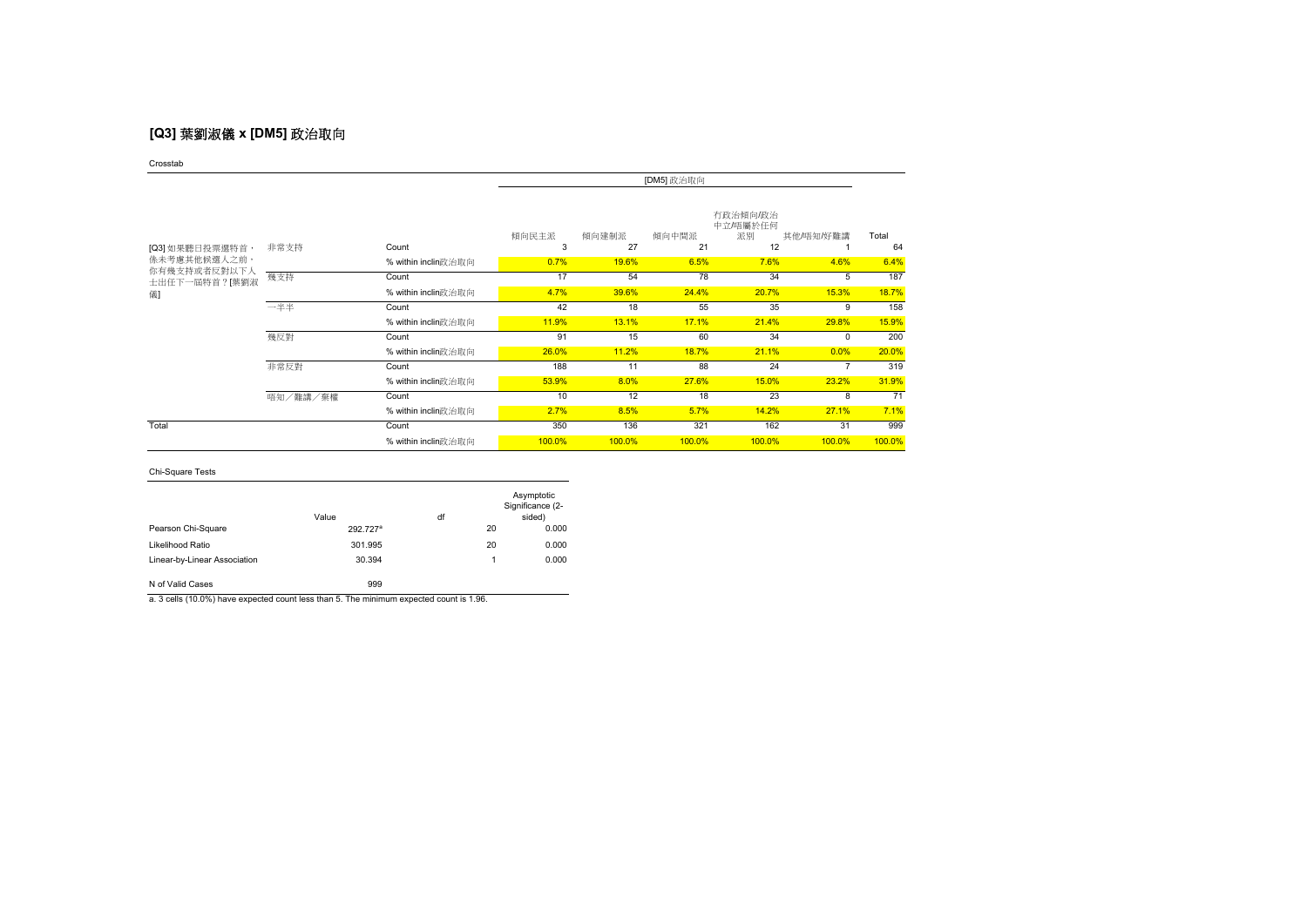# **[Q3]** 葉劉淑儀 **x [DM5]** 政治取向

Crosstab

|                               |          |                     | [DM5] 政治取向 |             |             |                                  |           |             |
|-------------------------------|----------|---------------------|------------|-------------|-------------|----------------------------------|-----------|-------------|
| [Q3] 如果聽日投票選特首,               | 非常支持     | Count               | 傾向民主派<br>3 | 傾向建制派<br>27 | 傾向中間派<br>21 | 有政治傾向/政治<br>中立/唔屬於任何<br>派別<br>12 | 其他/唔知/好難講 | Total<br>64 |
| 係未考慮其他候選人之前,                  |          | % within inclin政治取向 | 0.7%       | 19.6%       | 6.5%        | 7.6%                             | 4.6%      | 6.4%        |
| 你有幾支持或者反對以下人<br>士出任下一屆特首?[葉劉淑 | 幾支持      | Count               | 17         | 54          | 78          | 34                               | 5         | 187         |
| 儀                             |          | % within inclin政治取向 | 4.7%       | 39.6%       | 24.4%       | 20.7%                            | 15.3%     | 18.7%       |
|                               | 一半半      | Count               | 42         | 18          | 55          | 35                               | 9         | 158         |
|                               |          | % within inclin政治取向 | 11.9%      | 13.1%       | 17.1%       | 21.4%                            | 29.8%     | 15.9%       |
|                               | 幾反對      | Count               | 91         | 15          | 60          | 34                               | $\Omega$  | 200         |
|                               |          | % within inclin政治取向 | 26.0%      | 11.2%       | 18.7%       | 21.1%                            | 0.0%      | 20.0%       |
|                               | 非常反對     | Count               | 188        | 11          | 88          | 24                               |           | 319         |
|                               |          | % within inclin政治取向 | 53.9%      | 8.0%        | 27.6%       | 15.0%                            | 23.2%     | 31.9%       |
|                               | 唔知/難講/棄權 | Count               | 10         | 12          | 18          | 23                               | 8         | 71          |
|                               |          | % within inclin政治取向 | 2.7%       | 8.5%        | 5.7%        | 14.2%                            | 27.1%     | 7.1%        |
| Total                         |          | Count               | 350        | 136         | 321         | 162                              | 31        | 999         |
|                               |          | % within inclin政治取向 | 100.0%     | 100.0%      | 100.0%      | 100.0%                           | 100.0%    | 100.0%      |

### Chi-Square Tests

|                              | Value                | df |    | Asymptotic<br>Significance (2-<br>sided) |
|------------------------------|----------------------|----|----|------------------------------------------|
| Pearson Chi-Square           | 292.727 <sup>a</sup> |    | 20 | 0.000                                    |
| Likelihood Ratio             | 301.995              |    | 20 | 0.000                                    |
| Linear-by-Linear Association | 30.394               |    | 1  | 0.000                                    |
| N of Valid Cases             | 999                  |    |    |                                          |

a. 3 cells (10.0%) have expected count less than 5. The minimum expected count is 1.96.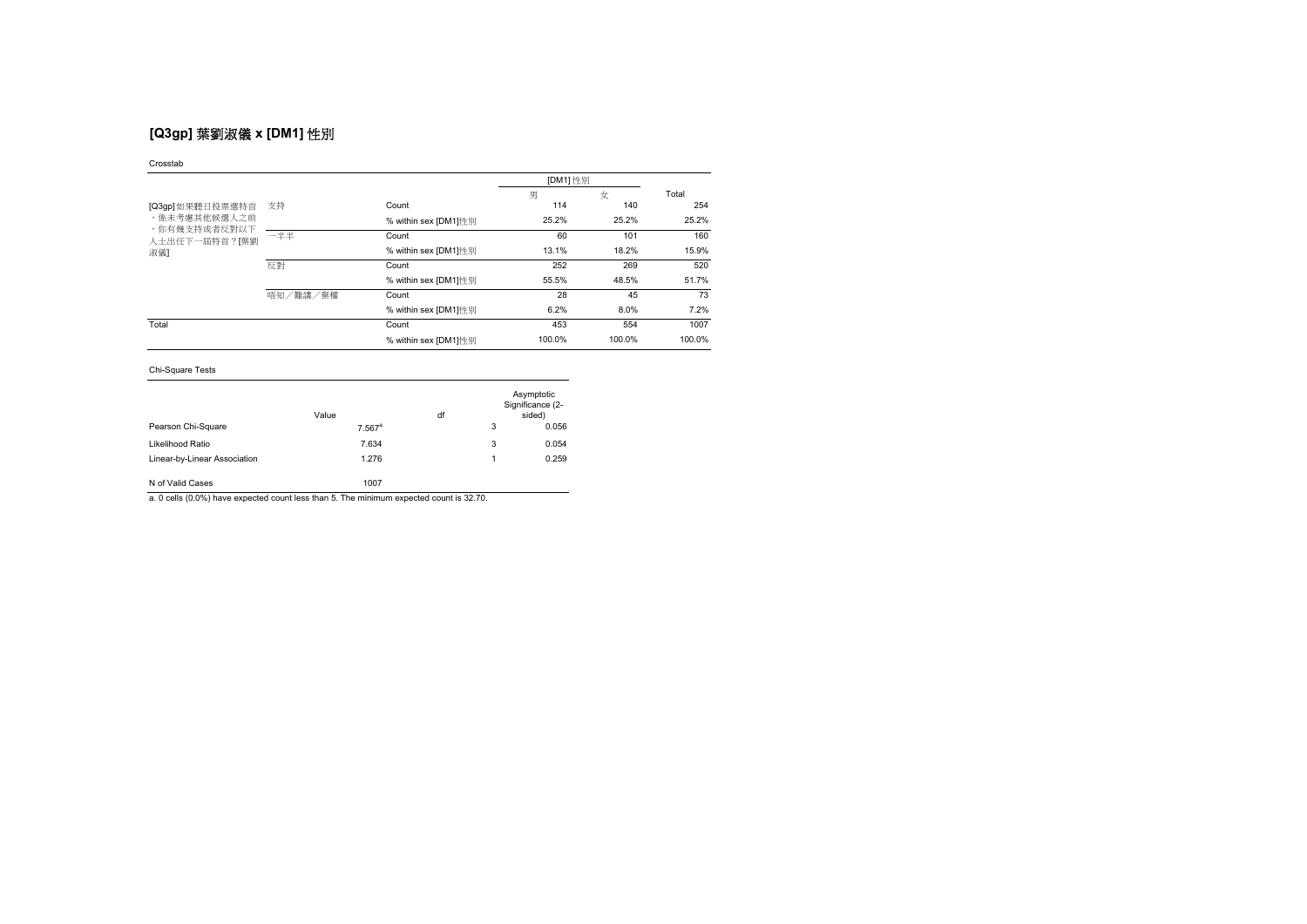# **[Q3gp]** 葉劉淑儀 **x [DM1]** 性別

### Crosstab

|                               |          |                      | [DM1] 性別 |        |        |
|-------------------------------|----------|----------------------|----------|--------|--------|
|                               |          |                      | 男        | 女      | Total  |
| [Q3gp]如果聽日投票選特首               | 支持       | Count                | 114      | 140    | 254    |
| ,係未考慮其他候選人之前                  |          | % within sex [DM1]性别 | 25.2%    | 25.2%  | 25.2%  |
| ,你有幾支持或者反對以下<br>人士出任下一屆特首?[葉劉 | 一半半      | Count                | 60       | 101    | 160    |
| 淑儀】                           |          | % within sex [DM1]性别 | 13.1%    | 18.2%  | 15.9%  |
|                               | 反對       | Count                | 252      | 269    | 520    |
|                               |          | % within sex IDM11性别 | 55.5%    | 48.5%  | 51.7%  |
|                               | 唔知/難講/棄權 | Count                | 28       | 45     | 73     |
|                               |          | % within sex [DM1]性别 | 6.2%     | 8.0%   | 7.2%   |
| Total                         |          | Count                | 453      | 554    | 1007   |
|                               |          | % within sex [DM1]性别 | 100.0%   | 100.0% | 100.0% |

### Chi-Square Tests

|                              | Value                | df |   | Asymptotic<br>Significance (2-<br>sided) |
|------------------------------|----------------------|----|---|------------------------------------------|
| Pearson Chi-Square           | $7.567$ <sup>a</sup> |    | 3 | 0.056                                    |
| Likelihood Ratio             | 7.634                |    | 3 | 0.054                                    |
| Linear-by-Linear Association | 1.276                |    |   | 0.259                                    |
| N of Valid Cases             | 1007                 |    |   |                                          |

a. 0 cells (0.0%) have expected count less than 5. The minimum expected count is 32.70.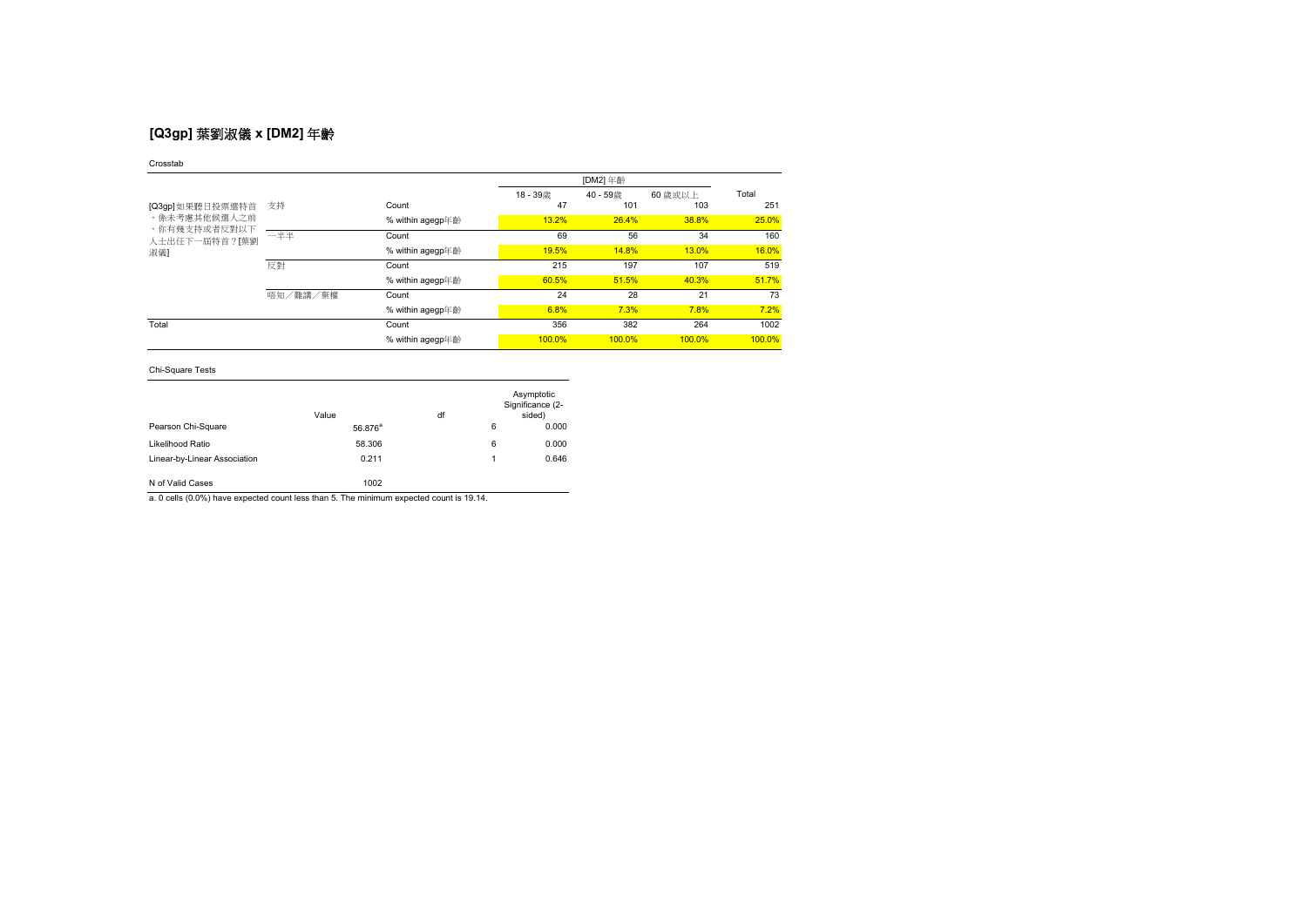# **[Q3gp]** 葉劉淑儀 **x [DM2]** 年齡

### Crosstab

|                              |          |                  |        | [DM2] 年齡 |         |        |
|------------------------------|----------|------------------|--------|----------|---------|--------|
|                              |          |                  | 18-39歳 | 40-59歳   | 60 歳或以上 | Total  |
| [Q3gp]如果聽日投票選特首              | 支持       | Count            | 47     | 101      | 103     | 251    |
| ,係未考慮其他候選人之前<br>,你有幾支持或者反對以下 |          | % within agegp年齡 | 13.2%  | 26.4%    | 38.8%   | 25.0%  |
| 人士出任下一屆特首?[葉劉                | 一半半      | Count            | 69     | 56       | 34      | 160    |
| 淑儀1                          |          | % within agegp年齡 | 19.5%  | 14.8%    | 13.0%   | 16.0%  |
|                              | 反對       | Count            | 215    | 197      | 107     | 519    |
|                              |          | % within agegp年齡 | 60.5%  | 51.5%    | 40.3%   | 51.7%  |
|                              | 唔知/難講/棄權 | Count            | 24     | 28       | 21      | 73     |
|                              |          | % within agegp年齡 | 6.8%   | 7.3%     | 7.8%    | 7.2%   |
| Total                        |          | Count            | 356    | 382      | 264     | 1002   |
|                              |          | % within agegp年齡 | 100.0% | 100.0%   | 100.0%  | 100.0% |

## Chi-Square Tests

|                              | Value               | df |   | Asymptotic<br>Significance (2-<br>sided) |
|------------------------------|---------------------|----|---|------------------------------------------|
| Pearson Chi-Square           | 56.876 <sup>ª</sup> |    | 6 | 0.000                                    |
| Likelihood Ratio             | 58.306              |    | 6 | 0.000                                    |
| Linear-by-Linear Association | 0.211               |    | 1 | 0.646                                    |
| N of Valid Cases             | 1002                |    |   |                                          |

a. 0 cells (0.0%) have expected count less than 5. The minimum expected count is 19.14.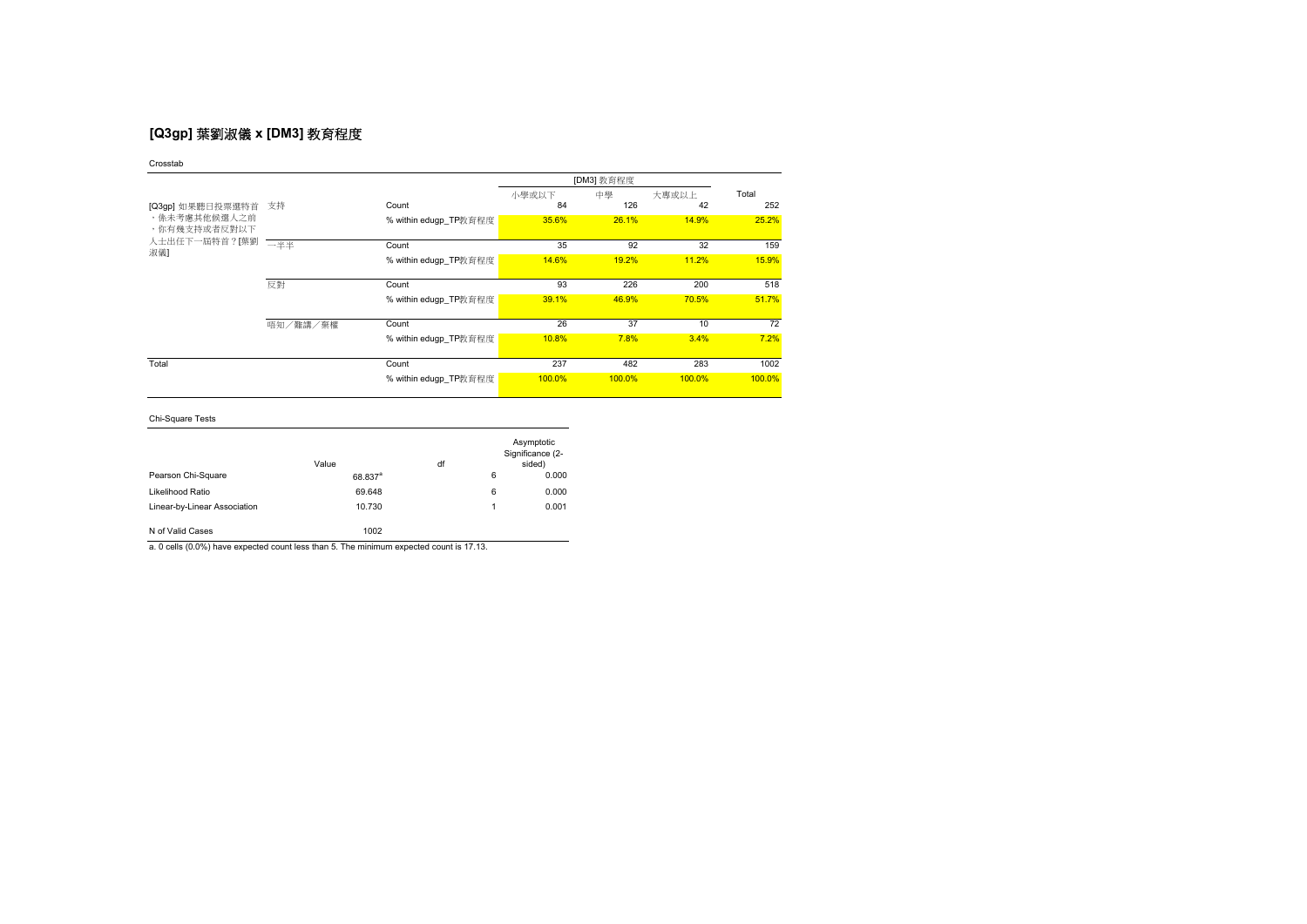# **[Q3gp]** 葉劉淑儀 **x [DM3]** 教育程度

小學或以下 中學 大專或以上<br>84 126 4 Count 84 126 42 252 % within edugp\_TP教育程度 35.6% 26.1% 14.9% 25.2% Count 35 92 32 159 % within edugp\_TP教育程度 14.6% 19.2% 11.2% 11.2% 15.9% Count 93 226 200 518 % within edugp\_TP教育程度 39.1% 46.9% 70.5% 51.7% Count 26 37 10 72 % within edugp\_TP教育程度 10.8% 7.8% 3.4% 7.2% Count 237 482 283 1002 % within edugp\_TP教育程度 100.0% 100.0% 100.0% 100.0% 100.0% Crosstab [DM3] 教育程度 Total [Q3gp] 如果聽日投票選特首 支持 人士出任下一屆特首?[葉劉 <del>一半半</del><br>、 反對 唔知/難講/棄權 ,係未考慮其他候選人之前,<br>,你有幾支持或者反對以下 淑儀] Total

Chi-Square Tests

|                              | Value               | df |   | Asymptotic<br>Significance (2-<br>sided) |
|------------------------------|---------------------|----|---|------------------------------------------|
| Pearson Chi-Square           | 68.837 <sup>a</sup> |    | 6 | 0.000                                    |
| Likelihood Ratio             | 69.648              |    | 6 | 0.000                                    |
| Linear-by-Linear Association | 10.730              |    |   | 0.001                                    |
| N of Valid Cases             | 1002                |    |   |                                          |

a. 0 cells (0.0%) have expected count less than 5. The minimum expected count is 17.13.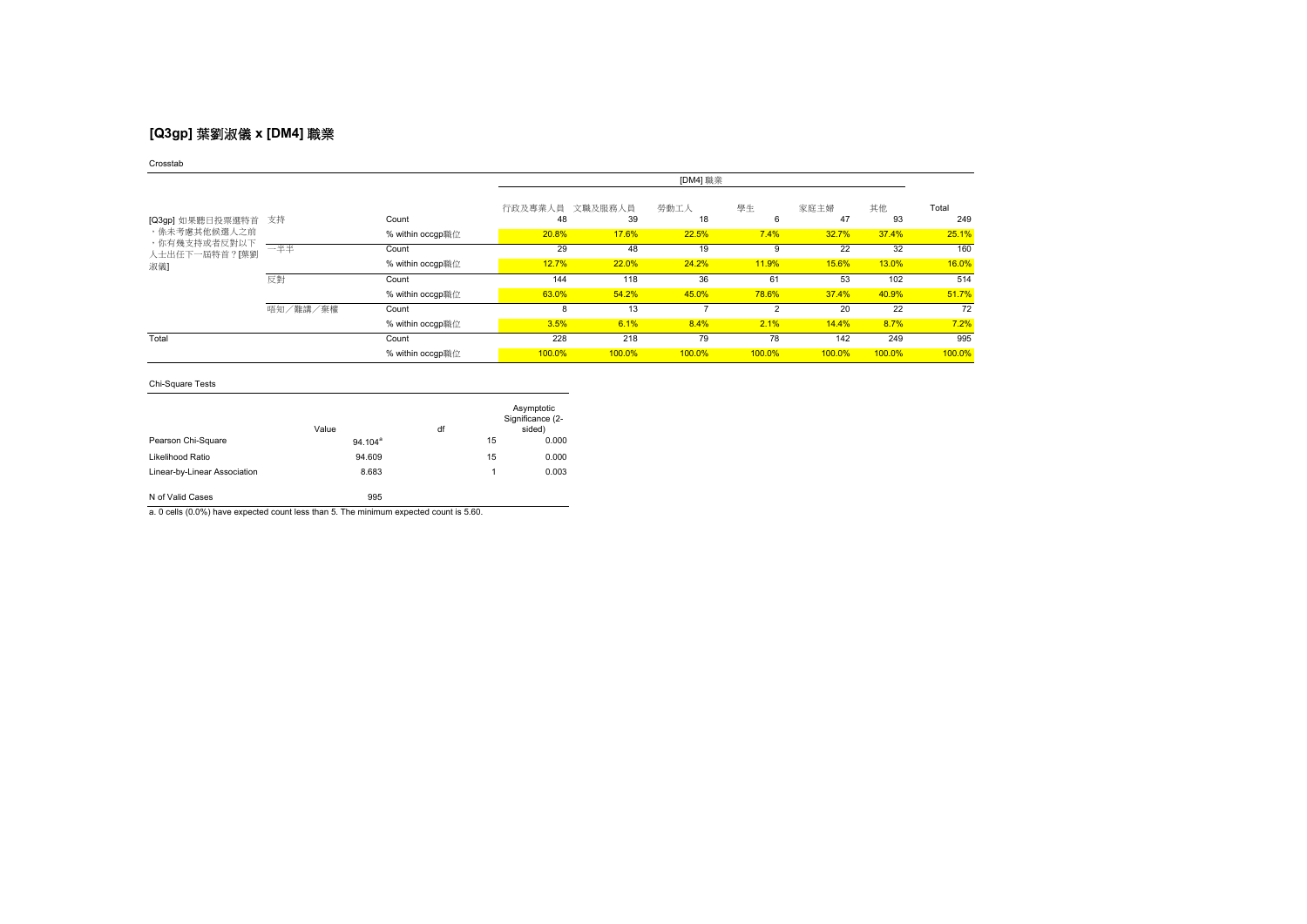# **[Q3gp]** 葉劉淑儀 **x [DM4]** 職業

### Crosstab

|                               |          |                  | [DM4] 職業      |               |            |         |            |          |              |
|-------------------------------|----------|------------------|---------------|---------------|------------|---------|------------|----------|--------------|
| [Q3gp] 如果聽日投票選特首              | 支持       | Count            | 行政及專業人員<br>48 | 文職及服務人員<br>39 | 勞動工人<br>18 | 學生<br>6 | 家庭主婦<br>47 | 其他<br>93 | Total<br>249 |
| ,係未考慮其他候選人之前                  |          | % within occgp職位 | 20.8%         | 17.6%         | 22.5%      | 7.4%    | 32.7%      | 37.4%    | 25.1%        |
| ,你有幾支持或者反對以下<br>人士出任下一屆特首?[葉劉 | 一半半      | Count            | 29            | 48            | 19         | 9       | 22         | 32       | 160          |
| 淑儀】                           |          | % within occgp職位 | 12.7%         | 22.0%         | 24.2%      | 11.9%   | 15.6%      | 13.0%    | 16.0%        |
|                               | 反對       | Count            | 144           | 118           | 36         | 61      | 53         | 102      | 514          |
|                               |          | % within occgp職位 | 63.0%         | 54.2%         | 45.0%      | 78.6%   | 37.4%      | 40.9%    | 51.7%        |
|                               | 唔知/難講/棄權 | Count            | 8             | 13            |            | 2       | 20         | 22       | 72           |
|                               |          | % within occap職位 | 3.5%          | 6.1%          | 8.4%       | 2.1%    | 14.4%      | 8.7%     | 7.2%         |
| Total                         |          | Count            | 228           | 218           | 79         | 78      | 142        | 249      | 995          |
|                               |          | % within occap職位 | 100.0%        | 100.0%        | 100.0%     | 100.0%  | 100.0%     | 100.0%   | 100.0%       |

## Chi-Square Tests

|                              | Value      | df |    | Asymptotic<br>Significance (2-<br>sided) |
|------------------------------|------------|----|----|------------------------------------------|
| Pearson Chi-Square           | $94.104^a$ |    | 15 | 0.000                                    |
| Likelihood Ratio             | 94.609     |    | 15 | 0.000                                    |
| Linear-by-Linear Association | 8.683      |    | 1  | 0.003                                    |
| N of Valid Cases             | 995        |    |    |                                          |

a. 0 cells (0.0%) have expected count less than 5. The minimum expected count is 5.60.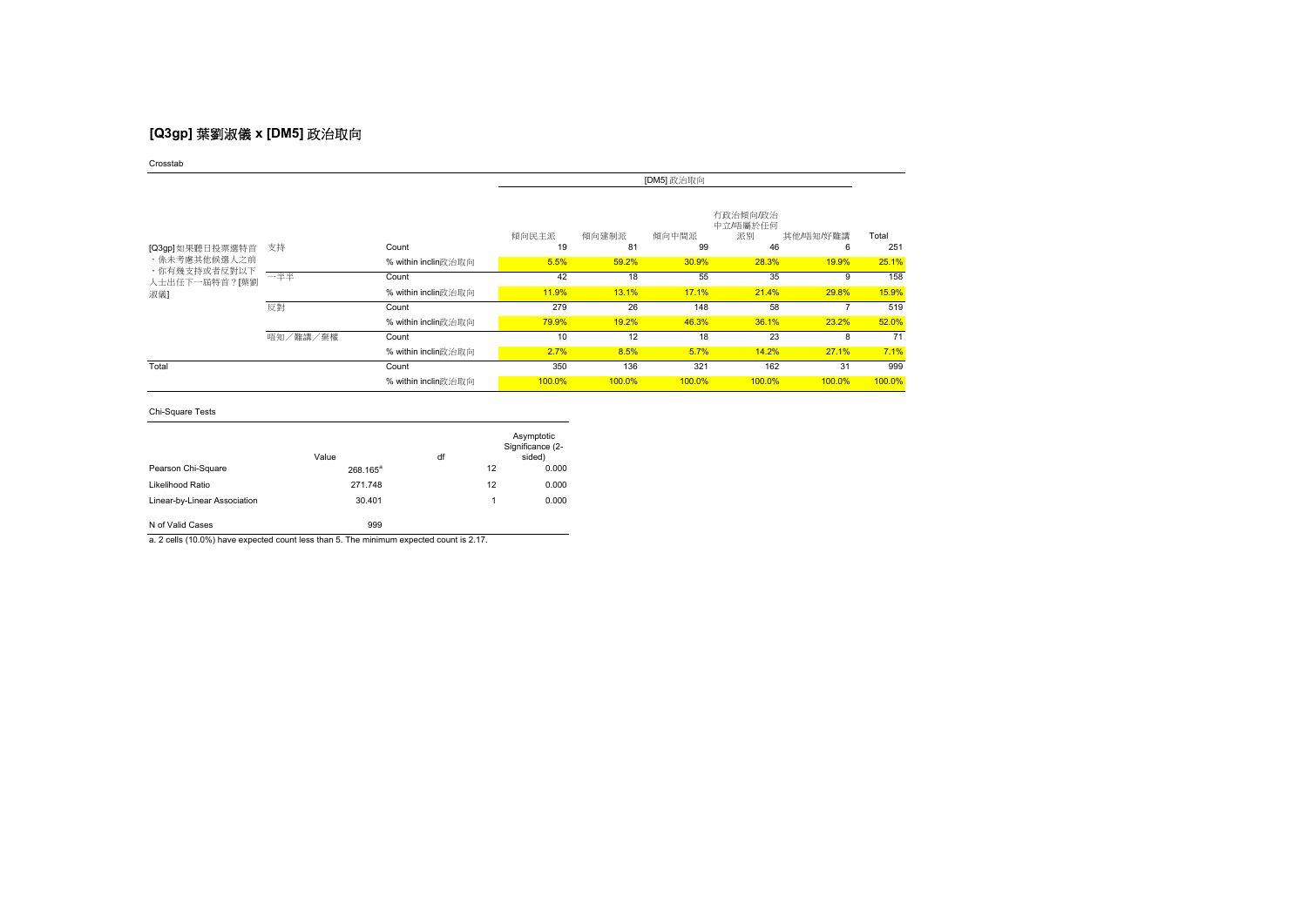# **[Q3gp]** 葉劉淑儀 **x [DM5]** 政治取向

Crosstab

|                              | [DM5] 政治取向 |                     |             |             |             |                                  |                |              |
|------------------------------|------------|---------------------|-------------|-------------|-------------|----------------------------------|----------------|--------------|
| [Q3gp]如果聽日投票選特首              | 支持         | Count               | 傾向民主派<br>19 | 傾向建制派<br>81 | 傾向中間派<br>99 | 有政治傾向/政治<br>中立/唔屬於任何<br>派別<br>46 | 其他/唔知/好難講<br>6 | Total<br>251 |
| ,係未考慮其他候選人之前<br>,你有幾支持或者反對以下 |            | % within inclin政治取向 | 5.5%        | 59.2%       | 30.9%       | 28.3%                            | 19.9%          | 25.1%        |
| 人士出任下一屆特首?[葉劉                | 一半半        | Count               | 42          | 18          | 55          | 35                               | 9              | 158          |
| 淑儀】                          |            | % within inclin政治取向 | 11.9%       | 13.1%       | 17.1%       | 21.4%                            | 29.8%          | 15.9%        |
|                              | 反對         | Count               | 279         | 26          | 148         | 58                               |                | 519          |
|                              |            | % within inclin政治取向 | 79.9%       | 19.2%       | 46.3%       | 36.1%                            | 23.2%          | 52.0%        |
|                              | 唔知/難講/棄權   | Count               | 10          | 12          | 18          | 23                               | 8              | 71           |
|                              |            | % within inclin政治取向 | 2.7%        | 8.5%        | 5.7%        | 14.2%                            | 27.1%          | 7.1%         |
| Total                        |            | Count               | 350         | 136         | 321         | 162                              | 31             | 999          |
|                              |            | % within inclin政治取向 | 100.0%      | 100.0%      | 100.0%      | 100.0%                           | 100.0%         | 100.0%       |

Chi-Square Tests

|                              | Value                | df |    | Asymptotic<br>Significance (2-<br>sided) |
|------------------------------|----------------------|----|----|------------------------------------------|
| Pearson Chi-Square           | 268.165 <sup>a</sup> |    | 12 | 0.000                                    |
| Likelihood Ratio             | 271.748              |    | 12 | 0.000                                    |
| Linear-by-Linear Association | 30.401               |    |    | 0.000                                    |
| N of Valid Cases             | 999                  |    |    |                                          |

a. 2 cells (10.0%) have expected count less than 5. The minimum expected count is 2.17.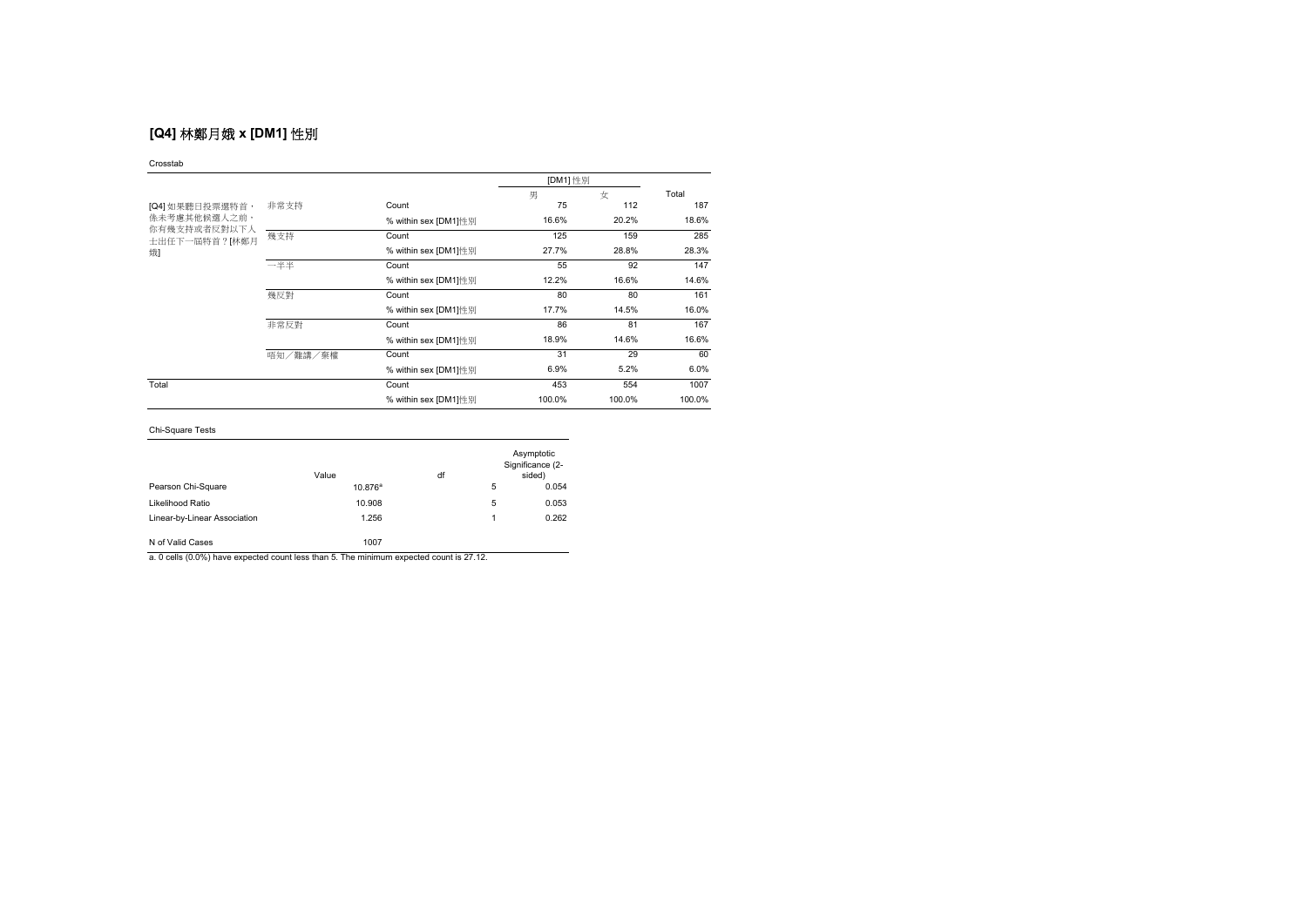# **[Q4]** 林鄭月娥 **x [DM1]** 性別

### Crosstab

|                               |          |                      | [DM1] 性別 |        |        |
|-------------------------------|----------|----------------------|----------|--------|--------|
|                               |          |                      | 男        | 女      | Total  |
| [Q4] 如果聽日投票選特首,               | 非常支持     | Count                | 75       | 112    | 187    |
| 係未考慮其他候選人之前,                  |          | % within sex [DM1]性别 | 16.6%    | 20.2%  | 18.6%  |
| 你有幾支持或者反對以下人<br>士出任下一屆特首?[林鄭月 | 幾支持      | Count                | 125      | 159    | 285    |
| 娥                             |          | % within sex [DM1]性别 | 27.7%    | 28.8%  | 28.3%  |
|                               | 一半半      | Count                | 55       | 92     | 147    |
|                               |          | % within sex [DM1]性别 | 12.2%    | 16.6%  | 14.6%  |
|                               | 幾反對      | Count                | 80       | 80     | 161    |
|                               |          | % within sex [DM1]性别 | 17.7%    | 14.5%  | 16.0%  |
|                               | 非常反對     | Count                | 86       | 81     | 167    |
|                               |          | % within sex [DM1]性別 | 18.9%    | 14.6%  | 16.6%  |
|                               | 唔知/難講/棄權 | Count                | 31       | 29     | 60     |
|                               |          | % within sex [DM1]性别 | 6.9%     | 5.2%   | 6.0%   |
| Total                         |          | Count                | 453      | 554    | 1007   |
|                               |          | % within sex [DM1]性别 | 100.0%   | 100.0% | 100.0% |

## Chi-Square Tests

|                              | Value      | df |   | Asymptotic<br>Significance (2-<br>sided) |
|------------------------------|------------|----|---|------------------------------------------|
| Pearson Chi-Square           | $10.876^a$ |    | 5 | 0.054                                    |
| Likelihood Ratio             | 10.908     |    | 5 | 0.053                                    |
| Linear-by-Linear Association | 1.256      |    |   | 0.262                                    |
| N of Valid Cases             | 1007       |    |   |                                          |

a. 0 cells (0.0%) have expected count less than 5. The minimum expected count is 27.12.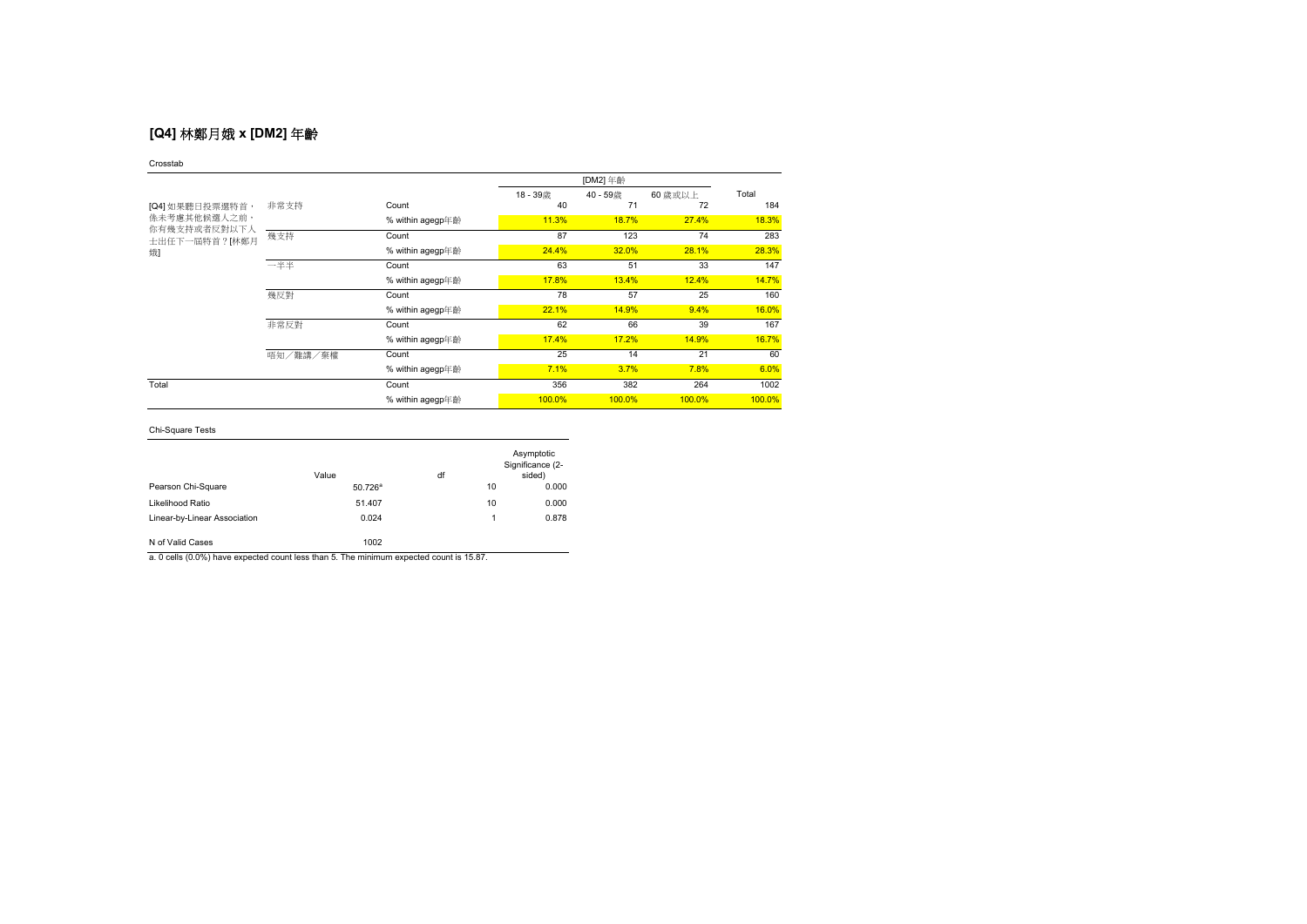## **[Q4]** 林鄭月娥 **x [DM2]** 年齡

### Crosstab

|                                                                       |          |                  | 18-39歳 | 40 - 59歳 | 60 歳或以上 | Total  |
|-----------------------------------------------------------------------|----------|------------------|--------|----------|---------|--------|
| [Q4] 如果聽日投票選特首,<br>係未考慮其他候選人之前,<br>你有幾支持或者反對以下人<br>士出任下一屆特首?[林鄭月<br>娥 | 非常支持     | Count            | 40     | 71       | 72      | 184    |
|                                                                       |          | % within agegp年齡 | 11.3%  | 18.7%    | 27.4%   | 18.3%  |
|                                                                       | 幾支持      | Count            | 87     | 123      | 74      | 283    |
|                                                                       |          | % within agegp年齡 | 24.4%  | 32.0%    | 28.1%   | 28.3%  |
|                                                                       | 一半半      | Count            | 63     | 51       | 33      | 147    |
|                                                                       |          | % within agegp年齡 | 17.8%  | 13.4%    | 12.4%   | 14.7%  |
|                                                                       | 幾反對      | Count            | 78     | 57       | 25      | 160    |
|                                                                       |          | % within agegp年齡 | 22.1%  | 14.9%    | 9.4%    | 16.0%  |
|                                                                       | 非常反對     | Count            | 62     | 66       | 39      | 167    |
|                                                                       |          | % within agegp年齡 | 17.4%  | 17.2%    | 14.9%   | 16.7%  |
|                                                                       | 唔知/難講/棄權 | Count            | 25     | 14       | 21      | 60     |
|                                                                       |          | % within agegp年齡 | 7.1%   | 3.7%     | 7.8%    | 6.0%   |
| Total                                                                 |          | Count            | 356    | 382      | 264     | 1002   |
|                                                                       |          | % within agegp年齡 | 100.0% | 100.0%   | 100.0%  | 100.0% |

## Chi-Square Tests

|                              | Value               | df |    | Asymptotic<br>Significance (2-<br>sided) |
|------------------------------|---------------------|----|----|------------------------------------------|
| Pearson Chi-Square           | $50.726^{\text{a}}$ |    | 10 | 0.000                                    |
| Likelihood Ratio             | 51.407              |    | 10 | 0.000                                    |
| Linear-by-Linear Association | 0.024               |    | 1  | 0.878                                    |
| N of Valid Cases             | 1002                |    |    |                                          |

a. 0 cells (0.0%) have expected count less than 5. The minimum expected count is 15.87.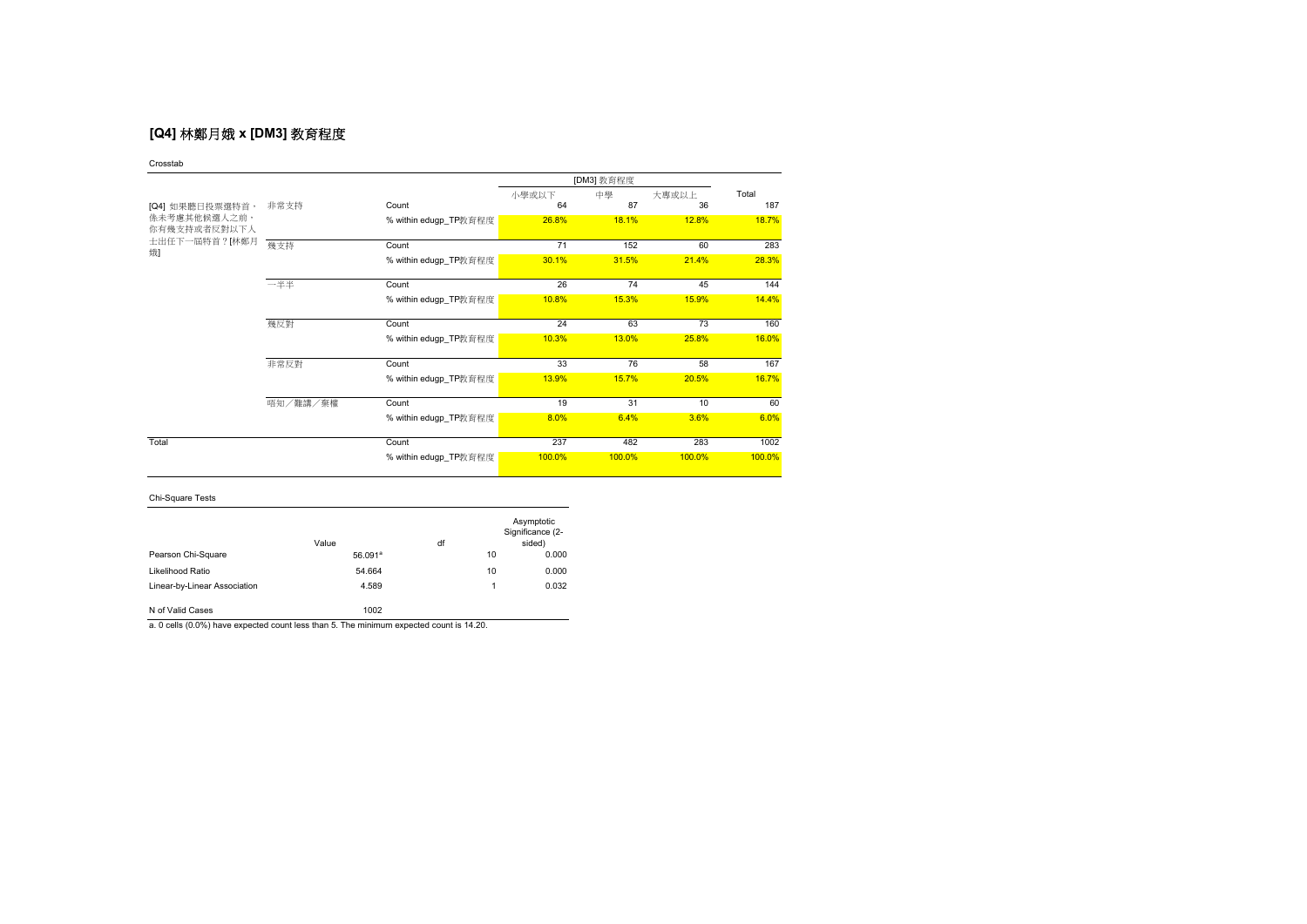# **[Q4]** 林鄭月娥 **x [DM3]** 教育程度

Crosstab

|                              |          |                       |        | [DM3] 教育程度 |        |        |
|------------------------------|----------|-----------------------|--------|------------|--------|--------|
|                              |          |                       | 小學或以下  | 中學         | 大專或以上  | Total  |
| [Q4] 如果聽日投票選特首,              | 非常支持     | Count                 | 64     | 87         | 36     | 187    |
| 係未考慮其他候選人之前,<br>你有幾支持或者反對以下人 |          | % within edugp_TP教育程度 | 26.8%  | 18.1%      | 12.8%  | 18.7%  |
| 士出任下一屆特首?[林鄭月<br>娥           | 幾支持      | Count                 | 71     | 152        | 60     | 283    |
|                              |          | % within edugp_TP教育程度 | 30.1%  | 31.5%      | 21.4%  | 28.3%  |
|                              | 一半半      | Count                 | 26     | 74         | 45     | 144    |
|                              |          | % within edugp_TP教育程度 | 10.8%  | 15.3%      | 15.9%  | 14.4%  |
|                              | 幾反對      | Count                 | 24     | 63         | 73     | 160    |
|                              |          | % within edugp_TP教育程度 | 10.3%  | 13.0%      | 25.8%  | 16.0%  |
|                              | 非常反對     | Count                 | 33     | 76         | 58     | 167    |
|                              |          | % within edugp_TP教育程度 | 13.9%  | 15.7%      | 20.5%  | 16.7%  |
|                              | 唔知/難講/棄權 | Count                 | 19     | 31         | 10     | 60     |
|                              |          | % within edugp_TP教育程度 | 8.0%   | 6.4%       | 3.6%   | 6.0%   |
| Total                        |          | Count                 | 237    | 482        | 283    | 1002   |
|                              |          | % within edugp_TP教育程度 | 100.0% | 100.0%     | 100.0% | 100.0% |

Chi-Square Tests

|                              | Value      | df |    | Asymptotic<br>Significance (2-<br>sided) |
|------------------------------|------------|----|----|------------------------------------------|
| Pearson Chi-Square           | $56.091^a$ |    | 10 | 0.000                                    |
| Likelihood Ratio             | 54.664     |    | 10 | 0.000                                    |
| Linear-by-Linear Association | 4.589      |    | 1  | 0.032                                    |
| N of Valid Cases             | 1002       |    |    |                                          |

a. 0 cells (0.0%) have expected count less than 5. The minimum expected count is 14.20.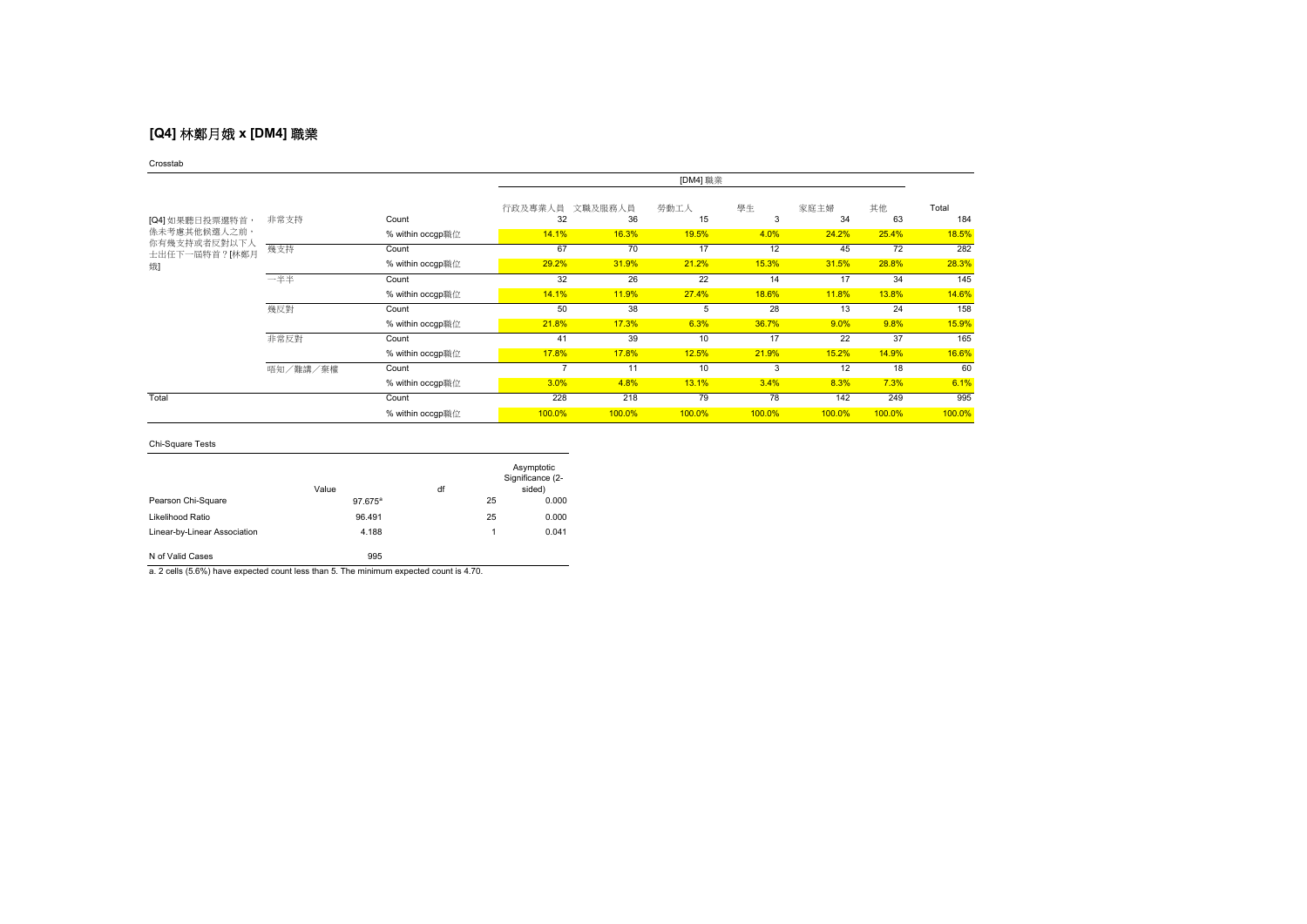## **[Q4]** 林鄭月娥 **x [DM4]** 職業

### Crosstab

|                                     |          |                  | [DM4] 職業      |               |            |         |            |          |              |
|-------------------------------------|----------|------------------|---------------|---------------|------------|---------|------------|----------|--------------|
| [Q4] 如果聽日投票選特首,                     | 非常支持     | Count            | 行政及專業人員<br>32 | 文職及服務人員<br>36 | 勞動工人<br>15 | 學生<br>3 | 家庭主婦<br>34 | 其他<br>63 | Total<br>184 |
| <b>係未考慮其他候選人之前,</b><br>你有幾支持或者反對以下人 |          | % within occgp職位 | 14.1%         | 16.3%         | 19.5%      | 4.0%    | 24.2%      | 25.4%    | 18.5%        |
| 士出任下一屆特首?[林鄭月                       | 幾支持      | Count            | 67            | 70            | 17         | 12      | 45         | 72       | 282          |
| 娥                                   |          | % within occgp職位 | 29.2%         | 31.9%         | 21.2%      | 15.3%   | 31.5%      | 28.8%    | 28.3%        |
|                                     | 一半半      | Count            | 32            | 26            | 22         | 14      | 17         | 34       | 145          |
|                                     |          | % within occgp職位 | 14.1%         | 11.9%         | 27.4%      | 18.6%   | 11.8%      | 13.8%    | 14.6%        |
|                                     | 幾反對      | Count            | 50            | 38            | 5          | 28      | 13         | 24       | 158          |
|                                     |          | % within occgp職位 | 21.8%         | 17.3%         | 6.3%       | 36.7%   | 9.0%       | 9.8%     | 15.9%        |
|                                     | 非常反對     | Count            | 41            | 39            | 10         | 17      | 22         | 37       | 165          |
|                                     |          | % within occgp職位 | 17.8%         | 17.8%         | 12.5%      | 21.9%   | 15.2%      | 14.9%    | 16.6%        |
|                                     | 唔知/難講/棄權 | Count            |               | 11            | 10         | 3       | 12         | 18       | 60           |
|                                     |          | % within occgp職位 | 3.0%          | 4.8%          | 13.1%      | 3.4%    | 8.3%       | 7.3%     | 6.1%         |
| Total                               |          | Count            | 228           | 218           | 79         | 78      | 142        | 249      | 995          |
|                                     |          | % within occgp職位 | 100.0%        | 100.0%        | 100.0%     | 100.0%  | 100.0%     | 100.0%   | 100.0%       |

## Chi-Square Tests

|                              | Value      | df |    | Asymptotic<br>Significance (2-<br>sided) |
|------------------------------|------------|----|----|------------------------------------------|
| Pearson Chi-Square           | $97.675^a$ |    | 25 | 0.000                                    |
| Likelihood Ratio             | 96.491     |    | 25 | 0.000                                    |
| Linear-by-Linear Association | 4.188      |    | 1  | 0.041                                    |
| N of Valid Cases             | 995        |    |    |                                          |

a. 2 cells (5.6%) have expected count less than 5. The minimum expected count is 4.70.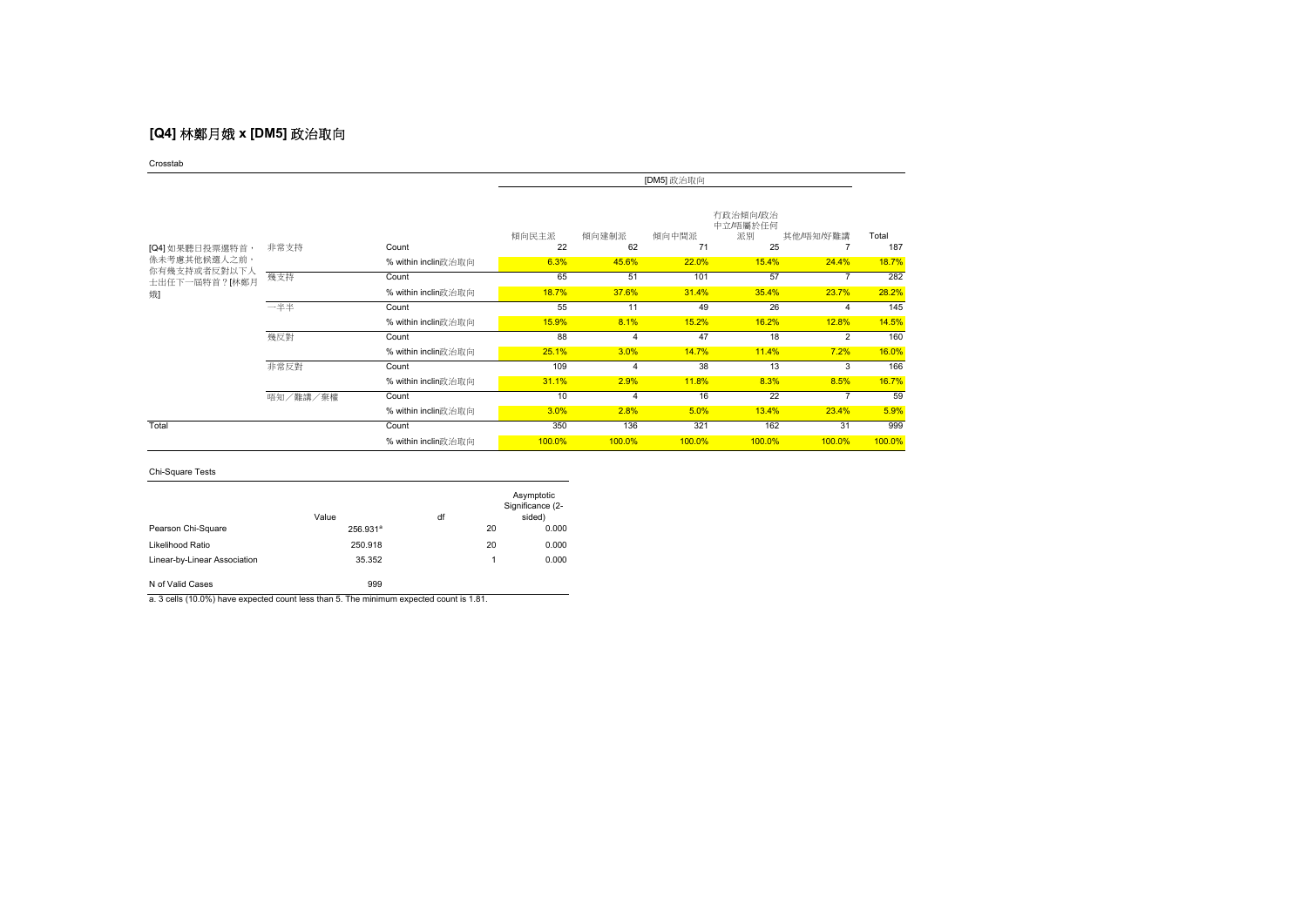# **[Q4]** 林鄭月娥 **x [DM5]** 政治取向

Crosstab

|                               |          |                     | [DM5] 政治取向  |             |             |                                  |                |              |
|-------------------------------|----------|---------------------|-------------|-------------|-------------|----------------------------------|----------------|--------------|
| [Q4] 如果聽日投票選特首,               | 非常支持     | Count               | 傾向民主派<br>22 | 傾向建制派<br>62 | 傾向中間派<br>71 | 有政治傾向/政治<br>中立/唔屬於任何<br>派別<br>25 | 其他/唔知/好難講      | Total<br>187 |
| 係未考慮其他候選人之前,                  |          | % within inclin政治取向 | 6.3%        | 45.6%       | 22.0%       | 15.4%                            | 24.4%          | 18.7%        |
| 你有幾支持或者反對以下人<br>士出任下一屆特首?[林鄭月 | 幾支持      | Count               | 65          | 51          | 101         | 57                               |                | 282          |
| 娥                             |          | % within inclin政治取向 | 18.7%       | 37.6%       | 31.4%       | 35.4%                            | 23.7%          | 28.2%        |
|                               | 一半半      | Count               | 55          | 11          | 49          | 26                               |                | 145          |
|                               |          | % within inclin政治取向 | 15.9%       | 8.1%        | 15.2%       | 16.2%                            | 12.8%          | 14.5%        |
|                               | 幾反對      | Count               | 88          | 4           | 47          | 18                               | $\overline{2}$ | 160          |
|                               |          | % within inclin政治取向 | 25.1%       | 3.0%        | 14.7%       | 11.4%                            | 7.2%           | 16.0%        |
|                               | 非常反對     | Count               | 109         | 4           | 38          | 13                               | 3              | 166          |
|                               |          | % within inclin政治取向 | 31.1%       | 2.9%        | 11.8%       | 8.3%                             | 8.5%           | 16.7%        |
|                               | 唔知/難講/棄權 | Count               | 10          | 4           | 16          | 22                               |                | 59           |
|                               |          | % within inclin政治取向 | 3.0%        | 2.8%        | 5.0%        | 13.4%                            | 23.4%          | 5.9%         |
| Total                         |          | Count               | 350         | 136         | 321         | 162                              | 31             | 999          |
|                               |          | % within inclin政治取向 | 100.0%      | 100.0%      | 100.0%      | 100.0%                           | 100.0%         | 100.0%       |

### Chi-Square Tests

|                              | Value                | df |    | Asymptotic<br>Significance (2-<br>sided) |
|------------------------------|----------------------|----|----|------------------------------------------|
| Pearson Chi-Square           | 256.931 <sup>a</sup> |    | 20 | 0.000                                    |
| Likelihood Ratio             | 250.918              |    | 20 | 0.000                                    |
| Linear-by-Linear Association | 35.352               |    | 1  | 0.000                                    |
| N of Valid Cases             | 999                  |    |    |                                          |

a. 3 cells (10.0%) have expected count less than 5. The minimum expected count is 1.81.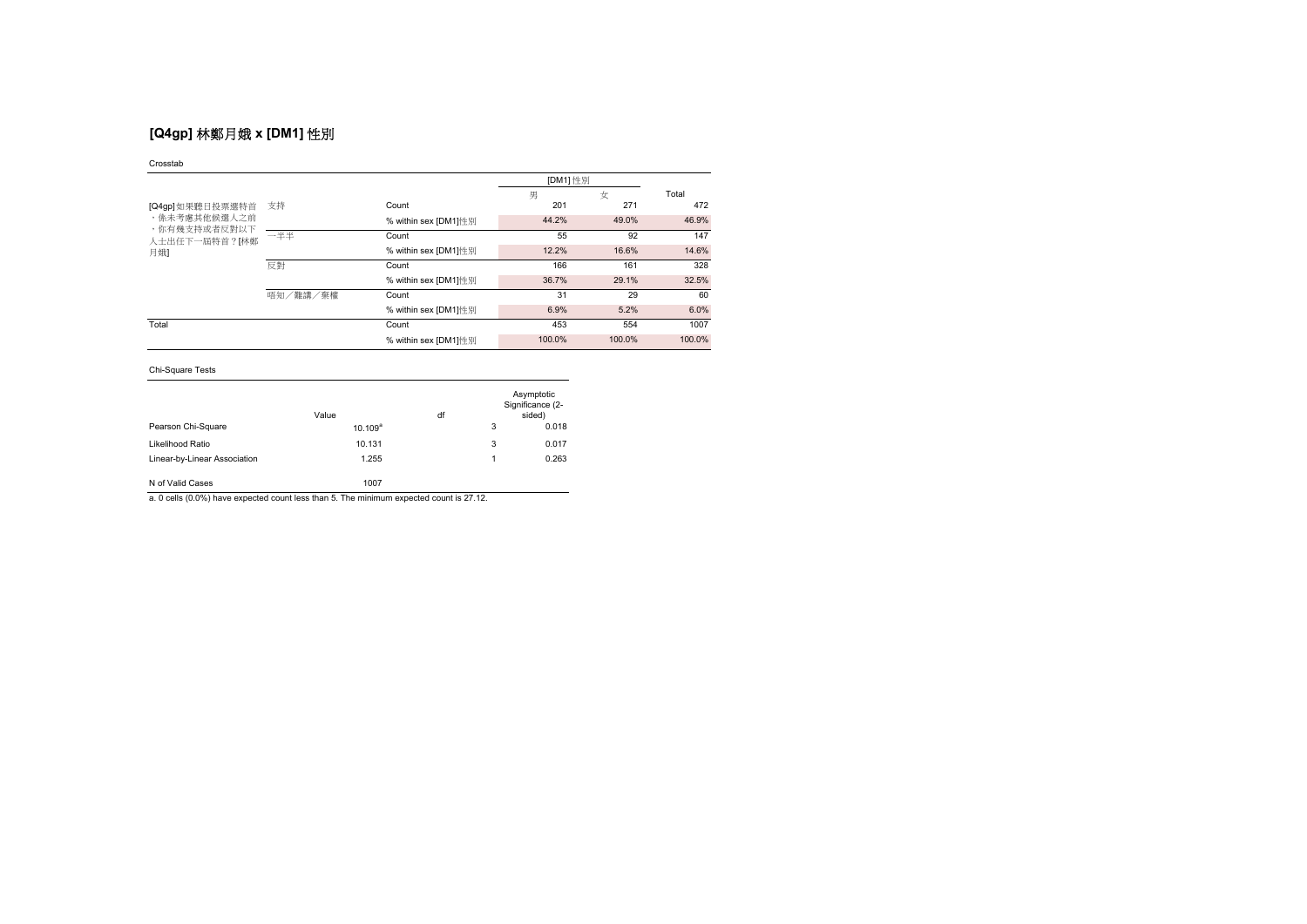# **[Q4gp]** 林鄭月娥 **x [DM1]** 性別

### Crosstab

|                                                      |          |                      | [DM1] 性別 |        |        |
|------------------------------------------------------|----------|----------------------|----------|--------|--------|
|                                                      |          |                      | 男        | 女      | Total  |
| [Q4gp]如果聽日投票選特首                                      | 支持       | Count                | 201      | 271    | 472    |
| ,係未考慮其他候選人之前<br>,你有幾支持或者反對以下<br>人士出任下一屆特首?[林鄭<br>月娥] |          | % within sex [DM1]性别 | 44.2%    | 49.0%  | 46.9%  |
|                                                      | 一半半      | Count                | 55       | 92     | 147    |
|                                                      |          | % within sex [DM1]性别 | 12.2%    | 16.6%  | 14.6%  |
|                                                      | 反對       | Count                | 166      | 161    | 328    |
|                                                      |          | % within sex [DM1]性别 | 36.7%    | 29.1%  | 32.5%  |
|                                                      | 唔知/難講/棄權 | Count                | 31       | 29     | 60     |
|                                                      |          | % within sex [DM1]性別 | 6.9%     | 5.2%   | 6.0%   |
| Total                                                |          | Count                | 453      | 554    | 1007   |
|                                                      |          | % within sex [DM1]性别 | 100.0%   | 100.0% | 100.0% |

## Chi-Square Tests

|                              | Value      | df |   | Asymptotic<br>Significance (2-<br>sided) |
|------------------------------|------------|----|---|------------------------------------------|
| Pearson Chi-Square           | $10.109^a$ |    | 3 | 0.018                                    |
| Likelihood Ratio             | 10.131     |    | 3 | 0.017                                    |
| Linear-by-Linear Association | 1.255      |    | 1 | 0.263                                    |
| N of Valid Cases             | 1007       |    |   |                                          |

a. 0 cells (0.0%) have expected count less than 5. The minimum expected count is 27.12.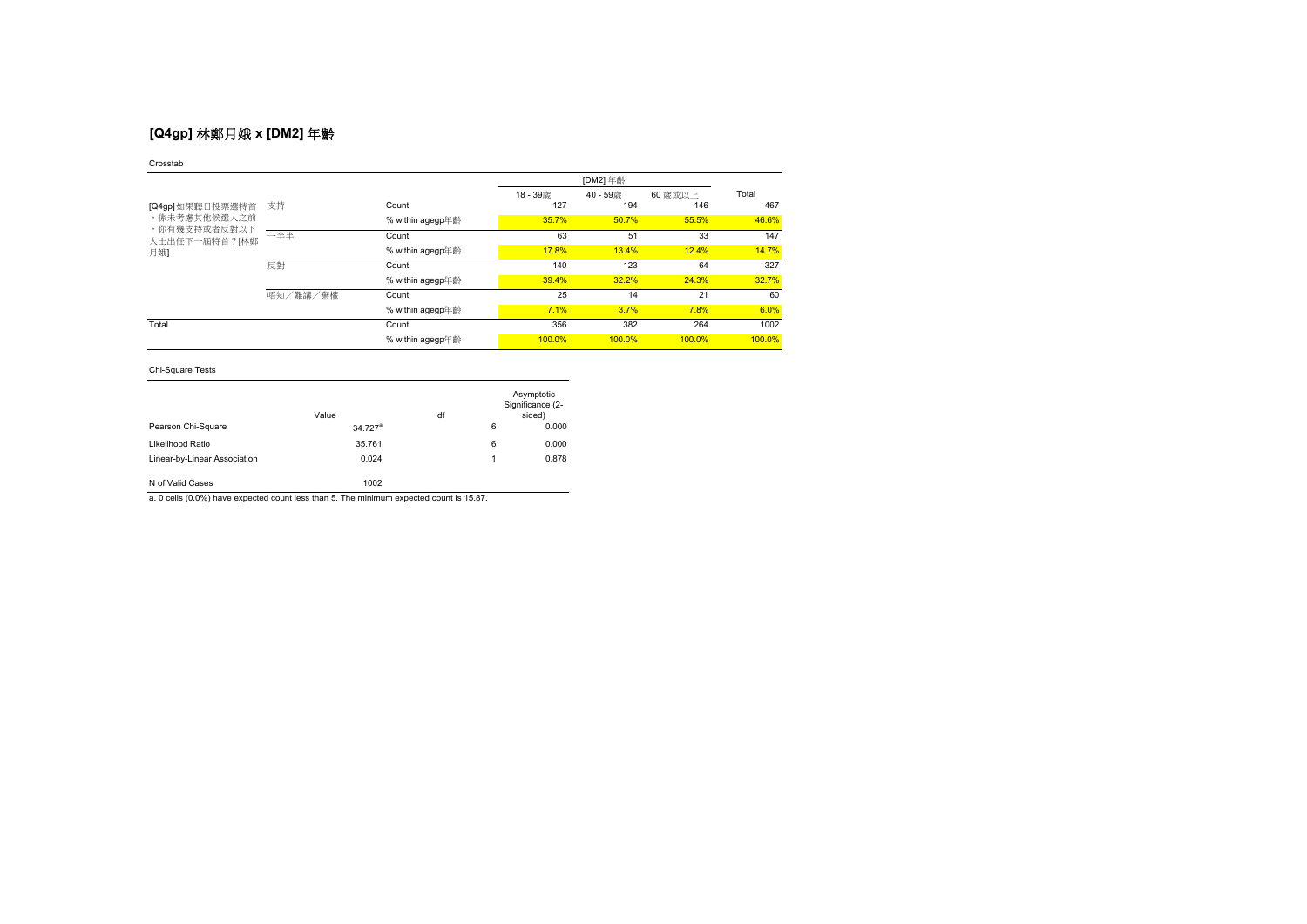# **[Q4gp]** 林鄭月娥 **x [DM2]** 年齡

### Crosstab

|                                                                         |          |                  |        | [DM2] 年齡 |         |        |  |
|-------------------------------------------------------------------------|----------|------------------|--------|----------|---------|--------|--|
|                                                                         |          |                  | 18-39歳 | 40-59歳   | 60 歳或以上 | Total  |  |
| [Q4gp]如果聽日投票選特首<br>,係未考慮其他候選人之前<br>,你有幾支持或者反對以下<br>人士出任下一屆特首?[林鄭<br>月娥】 | 支持       | Count            | 127    | 194      | 146     | 467    |  |
|                                                                         |          | % within agegp年齡 | 35.7%  | 50.7%    | 55.5%   | 46.6%  |  |
|                                                                         | 一半半      | Count            | 63     | 51       | 33      | 147    |  |
|                                                                         |          | % within agegp年齡 | 17.8%  | 13.4%    | 12.4%   | 14.7%  |  |
|                                                                         | 反對       | Count            | 140    | 123      | 64      | 327    |  |
|                                                                         |          | % within agegp年齡 | 39.4%  | 32.2%    | 24.3%   | 32.7%  |  |
|                                                                         | 唔知/難講/棄權 | Count            | 25     | 14       | 21      | 60     |  |
|                                                                         |          | % within agegp年齡 | 7.1%   | 3.7%     | 7.8%    | 6.0%   |  |
| Total                                                                   |          | Count            | 356    | 382      | 264     | 1002   |  |
|                                                                         |          | % within agegp年齡 | 100.0% | 100.0%   | 100.0%  | 100.0% |  |

## Chi-Square Tests

|                              | Value                 | df |   | Asymptotic<br>Significance (2-<br>sided) |
|------------------------------|-----------------------|----|---|------------------------------------------|
| Pearson Chi-Square           | $34.727$ <sup>a</sup> |    | 6 | 0.000                                    |
| Likelihood Ratio             | 35.761                |    | 6 | 0.000                                    |
| Linear-by-Linear Association | 0.024                 |    | 1 | 0.878                                    |
| N of Valid Cases             | 1002                  |    |   |                                          |

a. 0 cells (0.0%) have expected count less than 5. The minimum expected count is 15.87.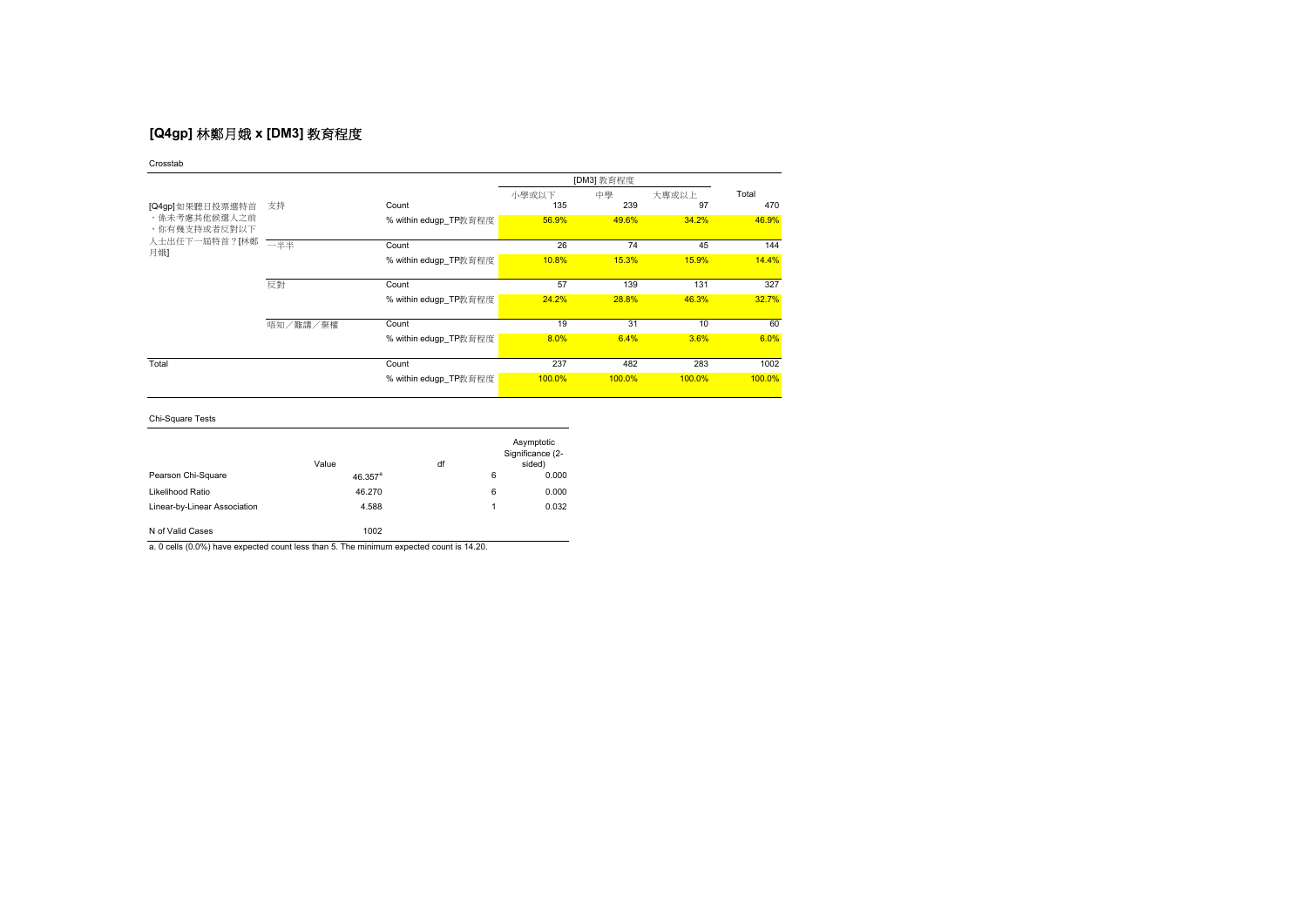# **[Q4gp]** 林鄭月娥 **x [DM3]** 教育程度

Crosstab

|                              |          |                       |        | [DM3] 教育程度 |        |        |
|------------------------------|----------|-----------------------|--------|------------|--------|--------|
|                              |          |                       | 小學或以下  | 中學         | 大專或以上  | Total  |
| [Q4gp]如果聽日投票選特首              | 支持       | Count                 | 135    | 239        | 97     | 470    |
| ,係未考慮其他候選人之前<br>,你有幾支持或者反對以下 |          | % within edugp TP教育程度 | 56.9%  | 49.6%      | 34.2%  | 46.9%  |
| 人士出任下一屆特首?[林鄭                | 一半半      | Count                 | 26     | 74         | 45     | 144    |
| 月娥】                          |          | % within edugp_TP教育程度 | 10.8%  | 15.3%      | 15.9%  | 14.4%  |
|                              | 反對       | Count                 | 57     | 139        | 131    | 327    |
|                              |          | % within edugp_TP教育程度 | 24.2%  | 28.8%      | 46.3%  | 32.7%  |
|                              | 唔知/難講/棄權 | Count                 | 19     | 31         | 10     | 60     |
|                              |          | % within edugp_TP教育程度 | 8.0%   | 6.4%       | 3.6%   | 6.0%   |
| Total                        |          | Count                 | 237    | 482        | 283    | 1002   |
|                              |          | % within edugp_TP教育程度 | 100.0% | 100.0%     | 100.0% | 100.0% |

Chi-Square Tests

|                              | Value      | df |   | Asymptotic<br>Significance (2-<br>sided) |
|------------------------------|------------|----|---|------------------------------------------|
| Pearson Chi-Square           | $46.357^a$ |    | 6 | 0.000                                    |
| Likelihood Ratio             | 46.270     |    | 6 | 0.000                                    |
| Linear-by-Linear Association | 4.588      |    | 4 | 0.032                                    |
| N of Valid Cases             | 1002       |    |   |                                          |

a. 0 cells (0.0%) have expected count less than 5. The minimum expected count is 14.20.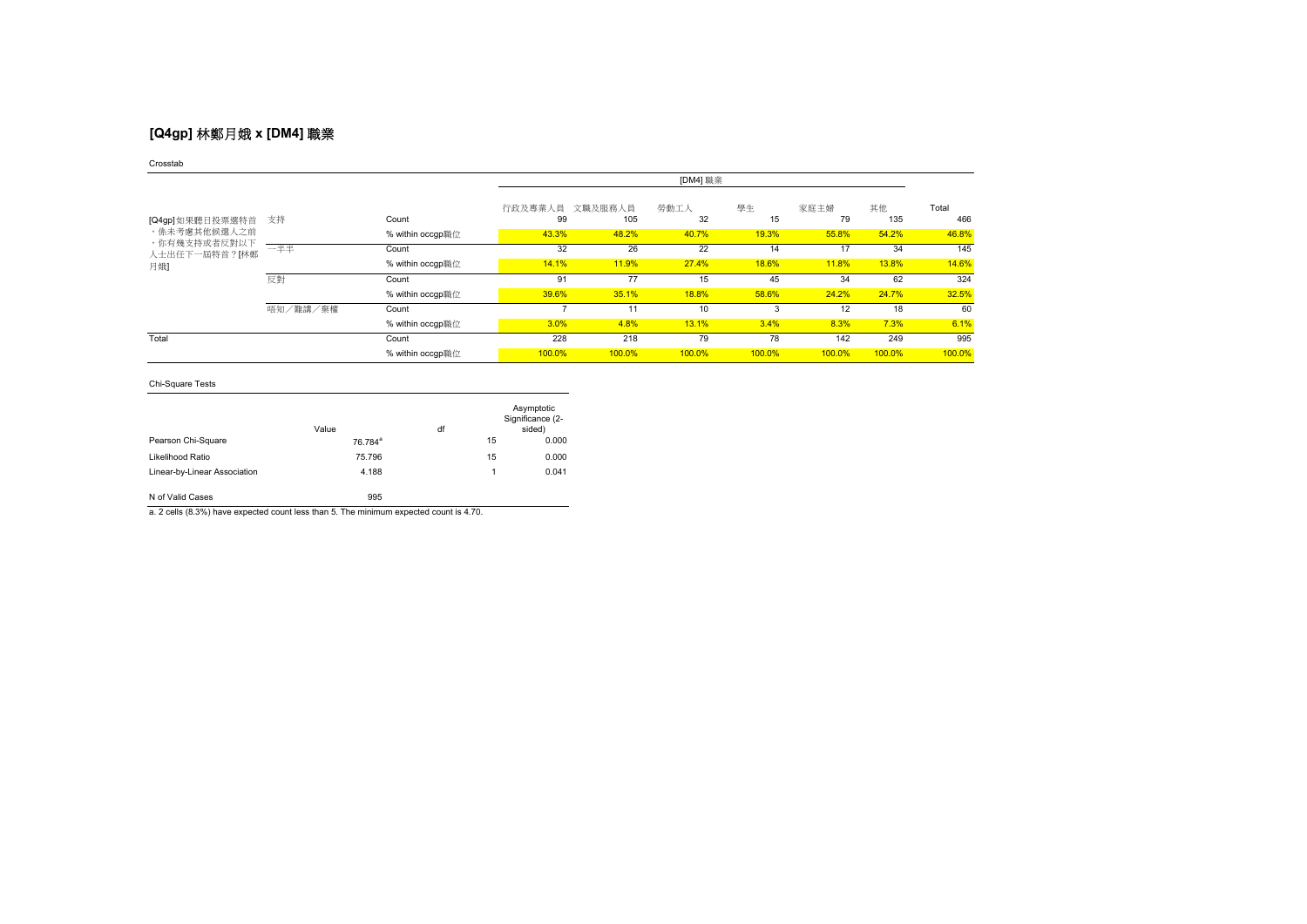# **[Q4gp]** 林鄭月娥 **x [DM4]** 職業

### Crosstab

|                               |          |                  | [DM4] 職業      |                |            |          |            |           |              |
|-------------------------------|----------|------------------|---------------|----------------|------------|----------|------------|-----------|--------------|
| [Q4gp]如果聽日投票選特首               | 支持       | Count            | 行政及專業人員<br>99 | 文職及服務人員<br>105 | 勞動工人<br>32 | 學生<br>15 | 家庭主婦<br>79 | 其他<br>135 | Total<br>466 |
| ,係未考慮其他候選人之前                  |          | % within occap職位 | 43.3%         | 48.2%          | 40.7%      | 19.3%    | 55.8%      | 54.2%     | 46.8%        |
| ,你有幾支持或者反對以下<br>人士出任下一屆特首?[林鄭 | 一半半      | Count            | 32            | 26             | 22         | 14       | 17         | 34        | 145          |
| 月娥】                           |          | % within occgp職位 | 14.1%         | 11.9%          | 27.4%      | 18.6%    | 11.8%      | 13.8%     | 14.6%        |
|                               | 反對       | Count            | 91            | 77             | 15         | 45       | 34         | 62        | 324          |
|                               |          | % within occgp職位 | 39.6%         | 35.1%          | 18.8%      | 58.6%    | 24.2%      | 24.7%     | 32.5%        |
|                               | 唔知/難講/棄權 | Count            |               | 11             | 10         | 3        | 12         | 18        | 60           |
|                               |          | % within occgp職位 | 3.0%          | 4.8%           | 13.1%      | 3.4%     | 8.3%       | 7.3%      | 6.1%         |
| Total                         |          | Count            | 228           | 218            | 79         | 78       | 142        | 249       | 995          |
|                               |          | % within occgp職位 | 100.0%        | 100.0%         | 100.0%     | 100.0%   | 100.0%     | 100.0%    | 100.0%       |

## Chi-Square Tests

|                              | Value               | df |    | Asymptotic<br>Significance (2-<br>sided) |
|------------------------------|---------------------|----|----|------------------------------------------|
| Pearson Chi-Square           | 76.784 <sup>a</sup> |    | 15 | 0.000                                    |
| Likelihood Ratio             | 75.796              |    | 15 | 0.000                                    |
| Linear-by-Linear Association | 4.188               |    | 1  | 0.041                                    |
| N of Valid Cases             | 995                 |    |    |                                          |

a. 2 cells (8.3%) have expected count less than 5. The minimum expected count is 4.70.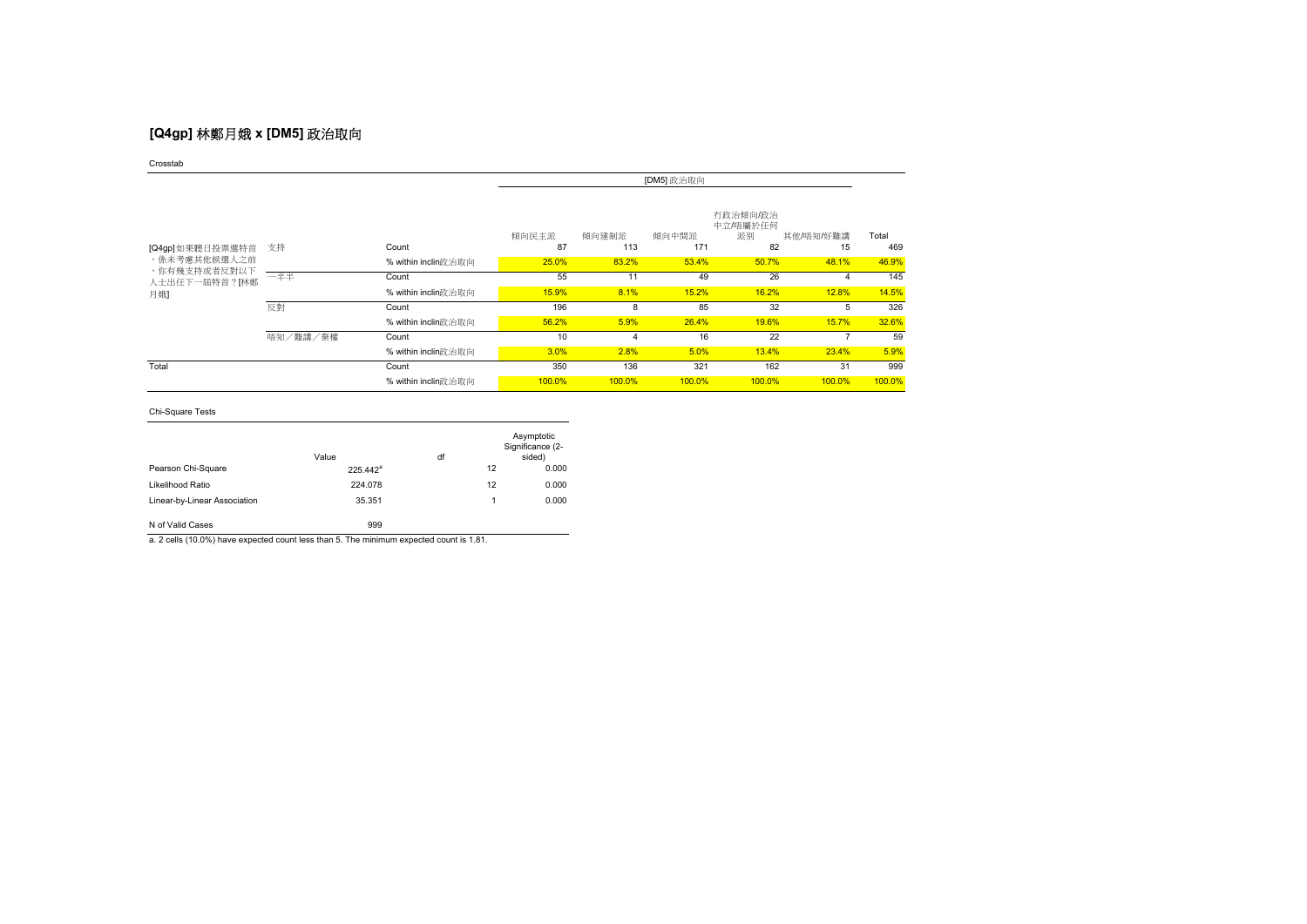# **[Q4gp]** 林鄭月娥 **x [DM5]** 政治取向

Crosstab

|                                 | [DM5] 政治取向 |                     |             |              |              |                                  |                 |              |
|---------------------------------|------------|---------------------|-------------|--------------|--------------|----------------------------------|-----------------|--------------|
| [Q4gp]如果聽日投票選特首<br>,係未考慮其他候選人之前 | 支持         | Count               | 傾向民主派<br>87 | 傾向建制派<br>113 | 傾向中間派<br>171 | 有政治傾向/政治<br>中立/唔屬於任何<br>派別<br>82 | 其他/唔知/好難講<br>15 | Total<br>469 |
|                                 |            | % within inclin政治取向 | 25.0%       | 83.2%        | 53.4%        | 50.7%                            | 48.1%           | 46.9%        |
| ,你有幾支持或者反對以下<br>人士出任下一屆特首?[林鄭   | 一半半        | Count               | 55          | 11           | 49           | 26                               | 4               | 145          |
| 月娥]                             |            | % within inclin政治取向 | 15.9%       | 8.1%         | 15.2%        | 16.2%                            | 12.8%           | 14.5%        |
|                                 | 反對         | Count               | 196         | 8            | 85           | 32                               | 5               | 326          |
|                                 |            | % within inclin政治取向 | 56.2%       | 5.9%         | 26.4%        | 19.6%                            | 15.7%           | 32.6%        |
|                                 | 唔知/難講/棄權   | Count               | 10          | 4            | 16           | 22                               |                 | 59           |
|                                 |            | % within inclin政治取向 | 3.0%        | 2.8%         | 5.0%         | 13.4%                            | 23.4%           | 5.9%         |
| Total                           |            | Count               | 350         | 136          | 321          | 162                              | 31              | 999          |
|                                 |            | % within inclin政治取向 | 100.0%      | 100.0%       | 100.0%       | 100.0%                           | 100.0%          | 100.0%       |

Chi-Square Tests

|                              | Value       | df |    | Asymptotic<br>Significance (2-<br>sided) |
|------------------------------|-------------|----|----|------------------------------------------|
| Pearson Chi-Square           | $225.442^a$ |    | 12 | 0.000                                    |
| Likelihood Ratio             | 224.078     |    | 12 | 0.000                                    |
| Linear-by-Linear Association | 35.351      |    |    | 0.000                                    |
| N of Valid Cases             | 999         |    |    |                                          |

a. 2 cells (10.0%) have expected count less than 5. The minimum expected count is 1.81.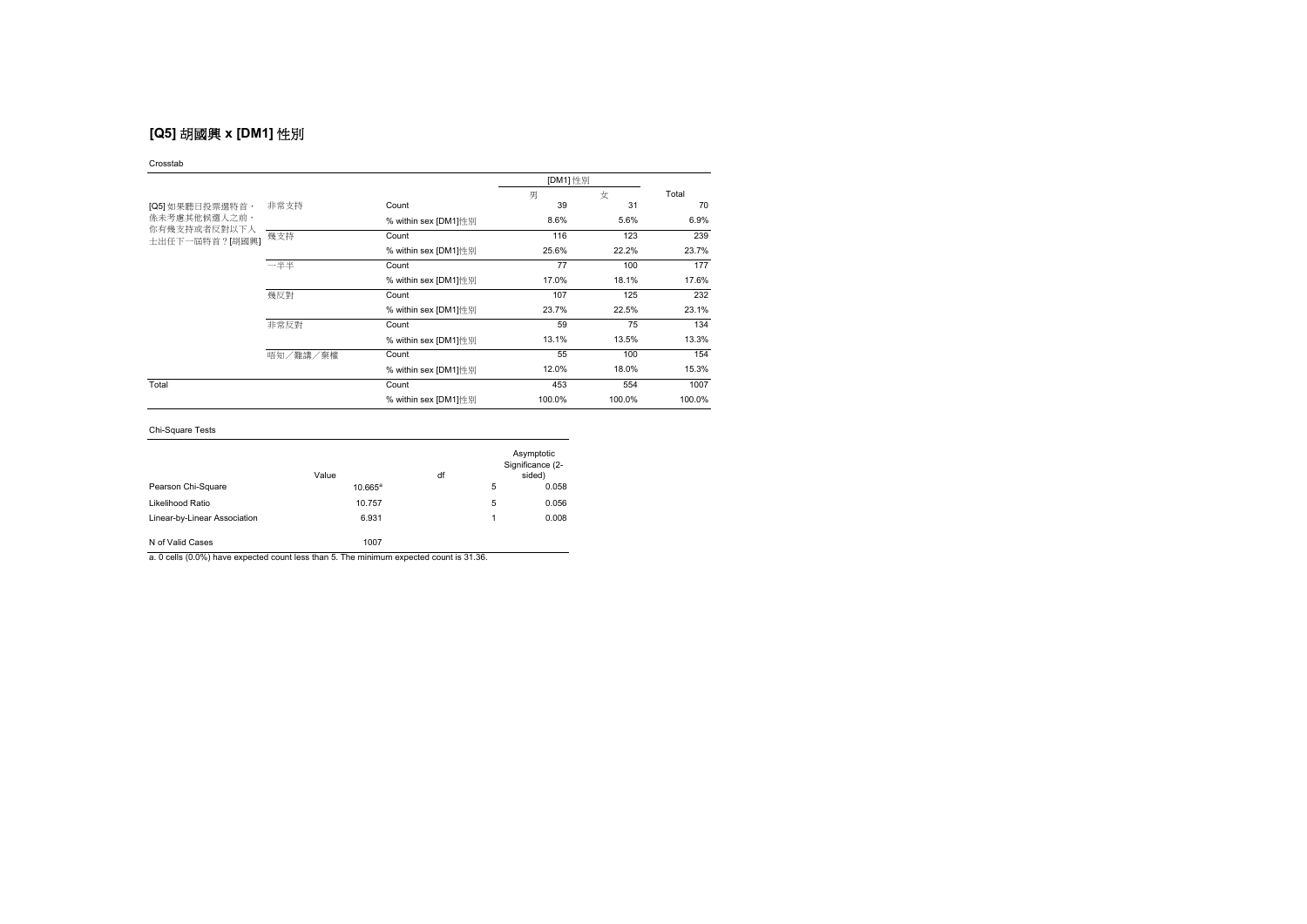# **[Q5]** 胡國興 **x [DM1]** 性別

#### Crosstab

|                                |          |                      |        | [DM1] 性別 |        |  |
|--------------------------------|----------|----------------------|--------|----------|--------|--|
|                                |          |                      | 男      | 女        | Total  |  |
| [Q5] 如果聽日投票選特首,                | 非常支持     | Count                | 39     | 31       | 70     |  |
| 係未考慮其他候選人之前,                   |          | % within sex [DM1]性别 | 8.6%   | 5.6%     | 6.9%   |  |
| 你有幾支持或者反對以下人<br>士出任下一屆特首?[胡國興] | 幾支持      | Count                | 116    | 123      | 239    |  |
|                                |          | % within sex [DM1]性别 | 25.6%  | 22.2%    | 23.7%  |  |
|                                | 一半半      | Count                | 77     | 100      | 177    |  |
|                                |          | % within sex [DM1]性别 | 17.0%  | 18.1%    | 17.6%  |  |
|                                | 幾反對      | Count                | 107    | 125      | 232    |  |
|                                |          | % within sex [DM1]性别 | 23.7%  | 22.5%    | 23.1%  |  |
|                                | 非常反對     | Count                | 59     | 75       | 134    |  |
|                                |          | % within sex [DM1]性别 | 13.1%  | 13.5%    | 13.3%  |  |
|                                | 唔知/難講/棄權 | Count                | 55     | 100      | 154    |  |
|                                |          | % within sex [DM1]性别 | 12.0%  | 18.0%    | 15.3%  |  |
| Total                          |          | Count                | 453    | 554      | 1007   |  |
|                                |          | % within sex [DM1]性别 | 100.0% | 100.0%   | 100.0% |  |

## Chi-Square Tests

|                              | Value      | df |   | Asymptotic<br>Significance (2-<br>sided) |
|------------------------------|------------|----|---|------------------------------------------|
| Pearson Chi-Square           | $10.665^a$ |    | 5 | 0.058                                    |
| Likelihood Ratio             | 10.757     |    | 5 | 0.056                                    |
| Linear-by-Linear Association | 6.931      |    | 1 | 0.008                                    |
| N of Valid Cases             | 1007       |    |   |                                          |

a. 0 cells (0.0%) have expected count less than 5. The minimum expected count is 31.36.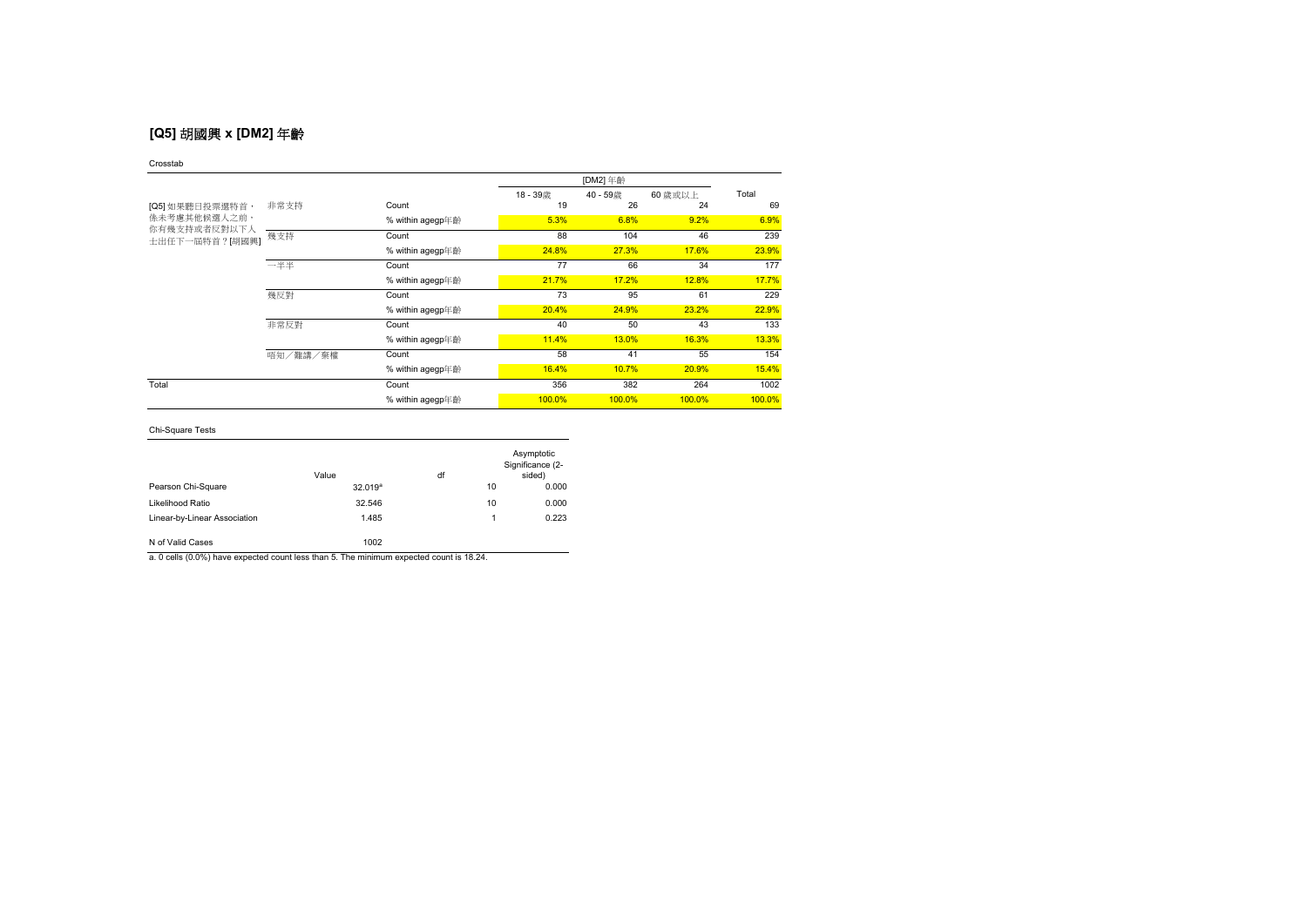# **[Q5]** 胡國興 **x [DM2]** 年齡

### Crosstab

|                                | [DM2] 年齡 |                  |        |        |         |        |
|--------------------------------|----------|------------------|--------|--------|---------|--------|
|                                |          |                  | 18-39歳 | 40-59歳 | 60 歳或以上 | Total  |
| [Q5] 如果聽日投票選特首,                | 非常支持     | Count            | 19     | 26     | 24      | 69     |
| <b>係未考慮其他候選人之前,</b>            |          | % within agegp年齡 | 5.3%   | 6.8%   | 9.2%    | 6.9%   |
| 你有幾支持或者反對以下人<br>士出任下一屆特首?[胡國興] | 幾支持      | Count            | 88     | 104    | 46      | 239    |
|                                |          | % within agegp年齡 | 24.8%  | 27.3%  | 17.6%   | 23.9%  |
|                                | 一半半      | Count            | 77     | 66     | 34      | 177    |
|                                |          | % within agegp年齡 | 21.7%  | 17.2%  | 12.8%   | 17.7%  |
|                                | 幾反對      | Count            | 73     | 95     | 61      | 229    |
|                                |          | % within agegp年齡 | 20.4%  | 24.9%  | 23.2%   | 22.9%  |
|                                | 非常反對     | Count            | 40     | 50     | 43      | 133    |
|                                |          | % within agegp年齡 | 11.4%  | 13.0%  | 16.3%   | 13.3%  |
|                                | 唔知/難講/棄權 | Count            | 58     | 41     | 55      | 154    |
|                                |          | % within agegp年齡 | 16.4%  | 10.7%  | 20.9%   | 15.4%  |
| Total                          |          | Count            | 356    | 382    | 264     | 1002   |
|                                |          | % within agegp年齡 | 100.0% | 100.0% | 100.0%  | 100.0% |

## Chi-Square Tests

|                              | Value               | df |    | Asymptotic<br>Significance (2-<br>sided) |
|------------------------------|---------------------|----|----|------------------------------------------|
| Pearson Chi-Square           | 32.019 <sup>a</sup> |    | 10 | 0.000                                    |
| Likelihood Ratio             | 32.546              |    | 10 | 0.000                                    |
| Linear-by-Linear Association | 1.485               |    | 1  | 0.223                                    |
| N of Valid Cases             | 1002                |    |    |                                          |

a. 0 cells (0.0%) have expected count less than 5. The minimum expected count is 18.24.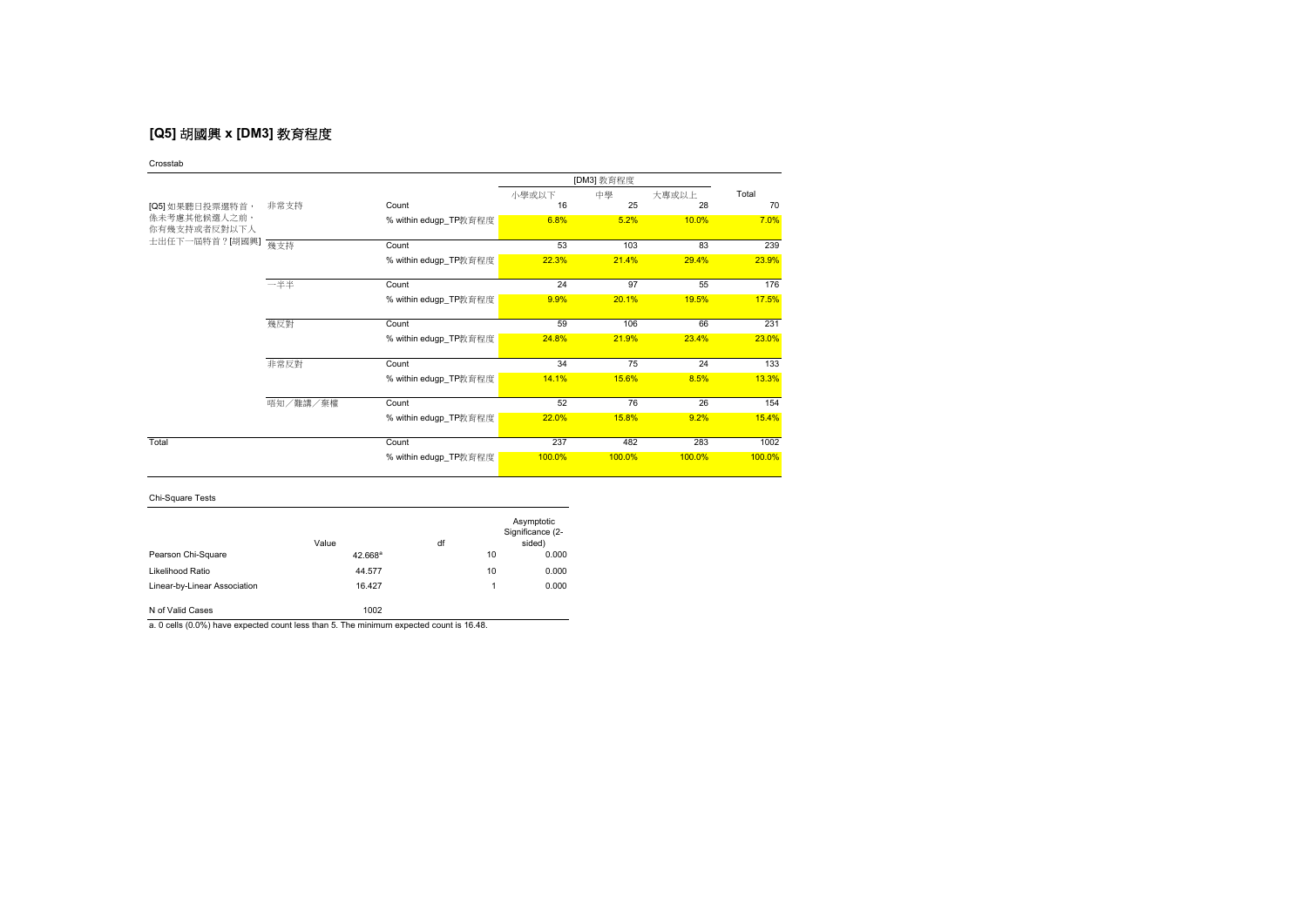# **[Q5]** 胡國興 **x [DM3]** 教育程度

Crosstab

|                              |          |                       |        | [DM3] 教育程度 |        |        |
|------------------------------|----------|-----------------------|--------|------------|--------|--------|
|                              |          |                       | 小學或以下  | 中學         | 大專或以上  | Total  |
| [Q5] 如果聽日投票選特首,              | 非常支持     | Count                 | 16     | 25         | 28     | 70     |
| 係未考慮其他候選人之前,<br>你有幾支持或者反對以下人 |          | % within edugp_TP教育程度 | 6.8%   | 5.2%       | 10.0%  | 7.0%   |
| 士出任下一屆特首?[胡國興]               | 幾支持      | Count                 | 53     | 103        | 83     | 239    |
|                              |          | % within edugp_TP教育程度 | 22.3%  | 21.4%      | 29.4%  | 23.9%  |
|                              | 一半半      | Count                 | 24     | 97         | 55     | 176    |
|                              |          | % within edugp_TP教育程度 | 9.9%   | 20.1%      | 19.5%  | 17.5%  |
|                              | 幾反對      | Count                 | 59     | 106        | 66     | 231    |
|                              |          | % within edugp_TP教育程度 | 24.8%  | 21.9%      | 23.4%  | 23.0%  |
|                              | 非常反對     | Count                 | 34     | 75         | 24     | 133    |
|                              |          | % within edugp_TP教育程度 | 14.1%  | 15.6%      | 8.5%   | 13.3%  |
|                              | 唔知/難講/棄權 | Count                 | 52     | 76         | 26     | 154    |
|                              |          | % within edugp_TP教育程度 | 22.0%  | 15.8%      | 9.2%   | 15.4%  |
| Total                        |          | Count                 | 237    | 482        | 283    | 1002   |
|                              |          | % within edugp_TP教育程度 | 100.0% | 100.0%     | 100.0% | 100.0% |

Chi-Square Tests

|                              | Value      | df |    | Asymptotic<br>Significance (2-<br>sided) |
|------------------------------|------------|----|----|------------------------------------------|
| Pearson Chi-Square           | $42.668^a$ |    | 10 | 0.000                                    |
| Likelihood Ratio             | 44.577     |    | 10 | 0.000                                    |
| Linear-by-Linear Association | 16.427     |    | 1  | 0.000                                    |
| N of Valid Cases             | 1002       |    |    |                                          |

a. 0 cells (0.0%) have expected count less than 5. The minimum expected count is 16.48.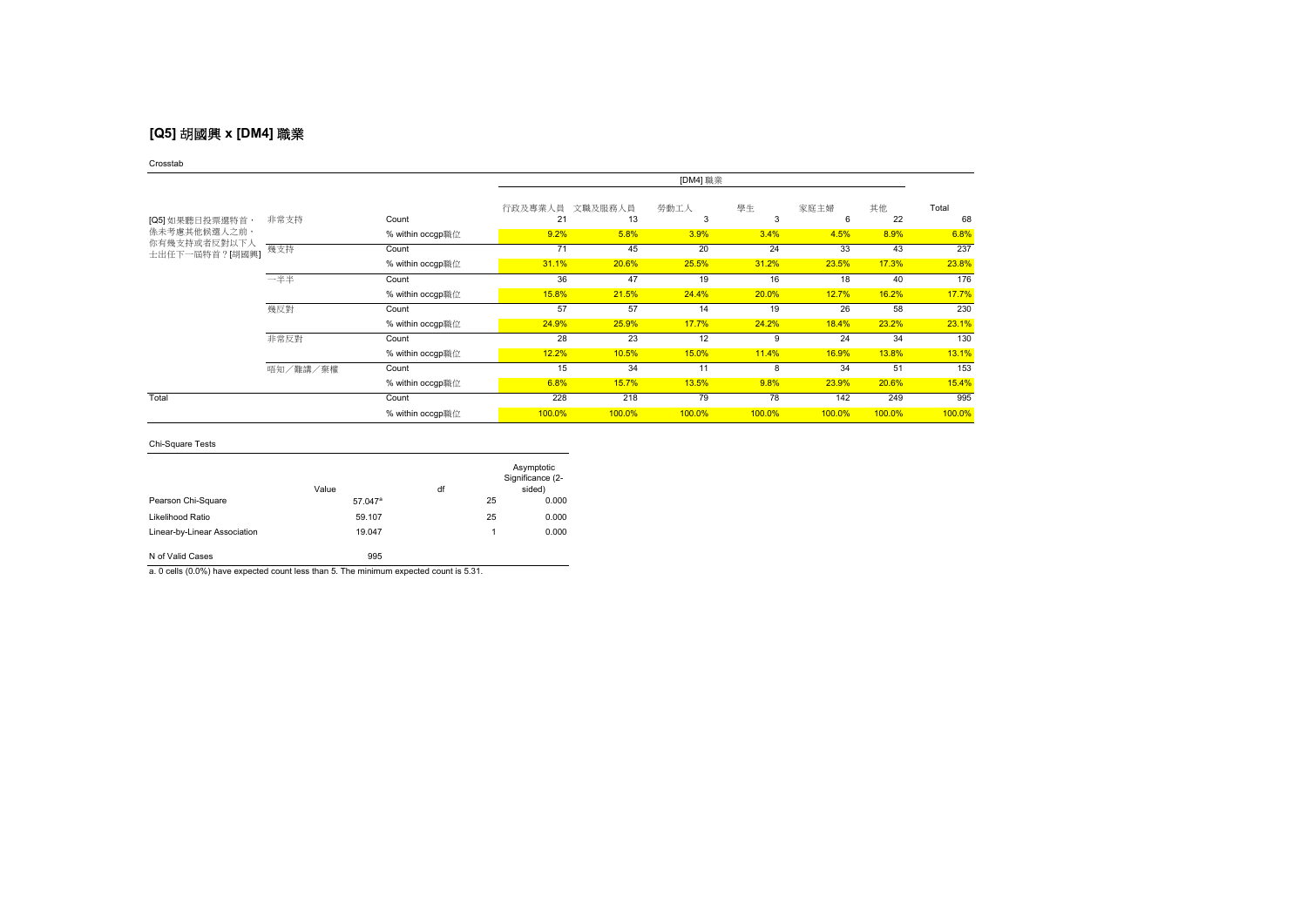# **[Q5]** 胡國興 **x [DM4]** 職業

### Crosstab

|                              |          |                  | [DM4] 職業      |               |           |              |           |          |             |
|------------------------------|----------|------------------|---------------|---------------|-----------|--------------|-----------|----------|-------------|
| [Q5] 如果聽日投票選特首,              | 非常支持     | Count            | 行政及專業人員<br>21 | 文職及服務人員<br>13 | 勞動工人<br>3 | 學生<br>3      | 家庭主婦<br>6 | 其他<br>22 | Total<br>68 |
| 係未考慮其他候選人之前,<br>你有幾支持或者反對以下人 |          | % within occgp職位 | 9.2%          | 5.8%          | 3.9%      | 3.4%         | 4.5%      | 8.9%     | 6.8%        |
| 士出任下一屆特首?[胡國興]               | 幾支持      | Count            | 71            | 45            | 20        | 24           | 33        | 43       | 237         |
|                              |          | % within occgp職位 | 31.1%         | 20.6%         | 25.5%     | 31.2%        | 23.5%     | 17.3%    | 23.8%       |
|                              | 一半半      | Count            | 36            | 47            | 19        | 16           | 18        | 40       | 176         |
|                              |          | % within occgp職位 | 15.8%         | 21.5%         | 24.4%     | 20.0%        | 12.7%     | 16.2%    | 17.7%       |
|                              | 幾反對      | Count            | 57            | 57            | 14        | 19           | 26        | 58       | 230         |
|                              |          | % within occgp職位 | 24.9%         | 25.9%         | 17.7%     | 24.2%        | 18.4%     | 23.2%    | 23.1%       |
|                              | 非常反對     | Count            | 28            | 23            | 12        | <sub>9</sub> | 24        | 34       | 130         |
|                              |          | % within occgp職位 | 12.2%         | 10.5%         | 15.0%     | 11.4%        | 16.9%     | 13.8%    | 13.1%       |
|                              | 唔知/難講/棄權 | Count            | 15            | 34            | 11        | 8            | 34        | 51       | 153         |
|                              |          | % within occgp職位 | 6.8%          | 15.7%         | 13.5%     | 9.8%         | 23.9%     | 20.6%    | 15.4%       |
| Total                        |          | Count            | 228           | 218           | 79        | 78           | 142       | 249      | 995         |
|                              |          | % within occgp職位 | 100.0%        | 100.0%        | 100.0%    | 100.0%       | 100.0%    | 100.0%   | 100.0%      |

### Chi-Square Tests

|                              | Value               | df |    | Asymptotic<br>Significance (2-<br>sided) |
|------------------------------|---------------------|----|----|------------------------------------------|
| Pearson Chi-Square           | 57.047 <sup>a</sup> |    | 25 | 0.000                                    |
| Likelihood Ratio             | 59.107              |    | 25 | 0.000                                    |
| Linear-by-Linear Association | 19.047              |    | 1  | 0.000                                    |

N of Valid Cases 995

a. 0 cells (0.0%) have expected count less than 5. The minimum expected count is 5.31.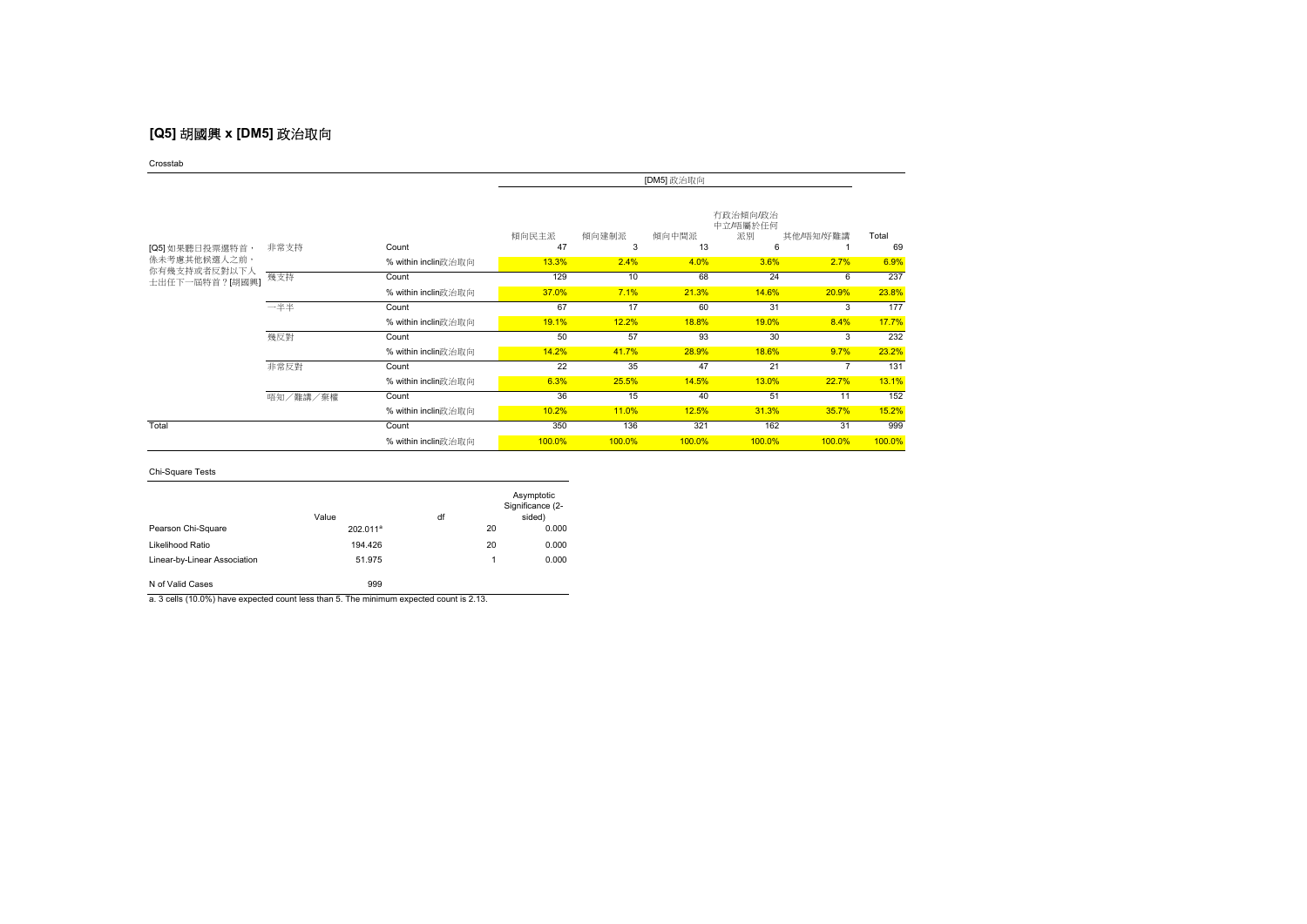# **[Q5]** 胡國興 **x [DM5]** 政治取向

Crosstab

|                                |          |                     | [DM5] 政治取向  |            |             |                                 |           |             |
|--------------------------------|----------|---------------------|-------------|------------|-------------|---------------------------------|-----------|-------------|
| [Q5] 如果聽日投票選特首,                | 非常支持     | Count               | 傾向民主派<br>47 | 傾向建制派<br>3 | 傾向中間派<br>13 | 有政治傾向/政治<br>中立/唔屬於任何<br>派別<br>6 | 其他/唔知/好難講 | Total<br>69 |
| <b>係未考慮其他候選人之前,</b>            |          | % within inclin政治取向 | 13.3%       | 2.4%       | 4.0%        | 3.6%                            | 2.7%      | 6.9%        |
| 你有幾支持或者反對以下人<br>士出任下一屆特首?[胡國興] | 幾支持      | Count               | 129         | 10         | 68          | 24                              | 6         | 237         |
|                                |          | % within inclin政治取向 | 37.0%       | 7.1%       | 21.3%       | 14.6%                           | 20.9%     | 23.8%       |
|                                | 一半半      | Count               | 67          | 17         | 60          | 31                              | 3         | 177         |
|                                |          | % within inclin政治取向 | 19.1%       | 12.2%      | 18.8%       | 19.0%                           | 8.4%      | 17.7%       |
|                                | 幾反對      | Count               | 50          | 57         | 93          | 30                              | 3         | 232         |
|                                |          | % within inclin政治取向 | 14.2%       | 41.7%      | 28.9%       | 18.6%                           | 9.7%      | 23.2%       |
|                                | 非常反對     | Count               | 22          | 35         | 47          | 21                              | 7         | 131         |
|                                |          | % within inclin政治取向 | 6.3%        | 25.5%      | 14.5%       | 13.0%                           | 22.7%     | 13.1%       |
|                                | 唔知/難講/棄權 | Count               | 36          | 15         | 40          | 51                              | 11        | 152         |
|                                |          | % within inclin政治取向 | 10.2%       | 11.0%      | 12.5%       | 31.3%                           | 35.7%     | 15.2%       |
| Total                          |          | Count               | 350         | 136        | 321         | 162                             | 31        | 999         |
|                                |          | % within inclin政治取向 | 100.0%      | 100.0%     | 100.0%      | 100.0%                          | 100.0%    | 100.0%      |

### Chi-Square Tests

|                              | Value                | df |    | Asymptotic<br>Significance (2-<br>sided) |
|------------------------------|----------------------|----|----|------------------------------------------|
| Pearson Chi-Square           | 202.011 <sup>a</sup> |    | 20 | 0.000                                    |
| Likelihood Ratio             | 194.426              |    | 20 | 0.000                                    |
| Linear-by-Linear Association | 51.975               |    | 1  | 0.000                                    |
| N of Valid Cases             | 999                  |    |    |                                          |

a. 3 cells (10.0%) have expected count less than 5. The minimum expected count is 2.13.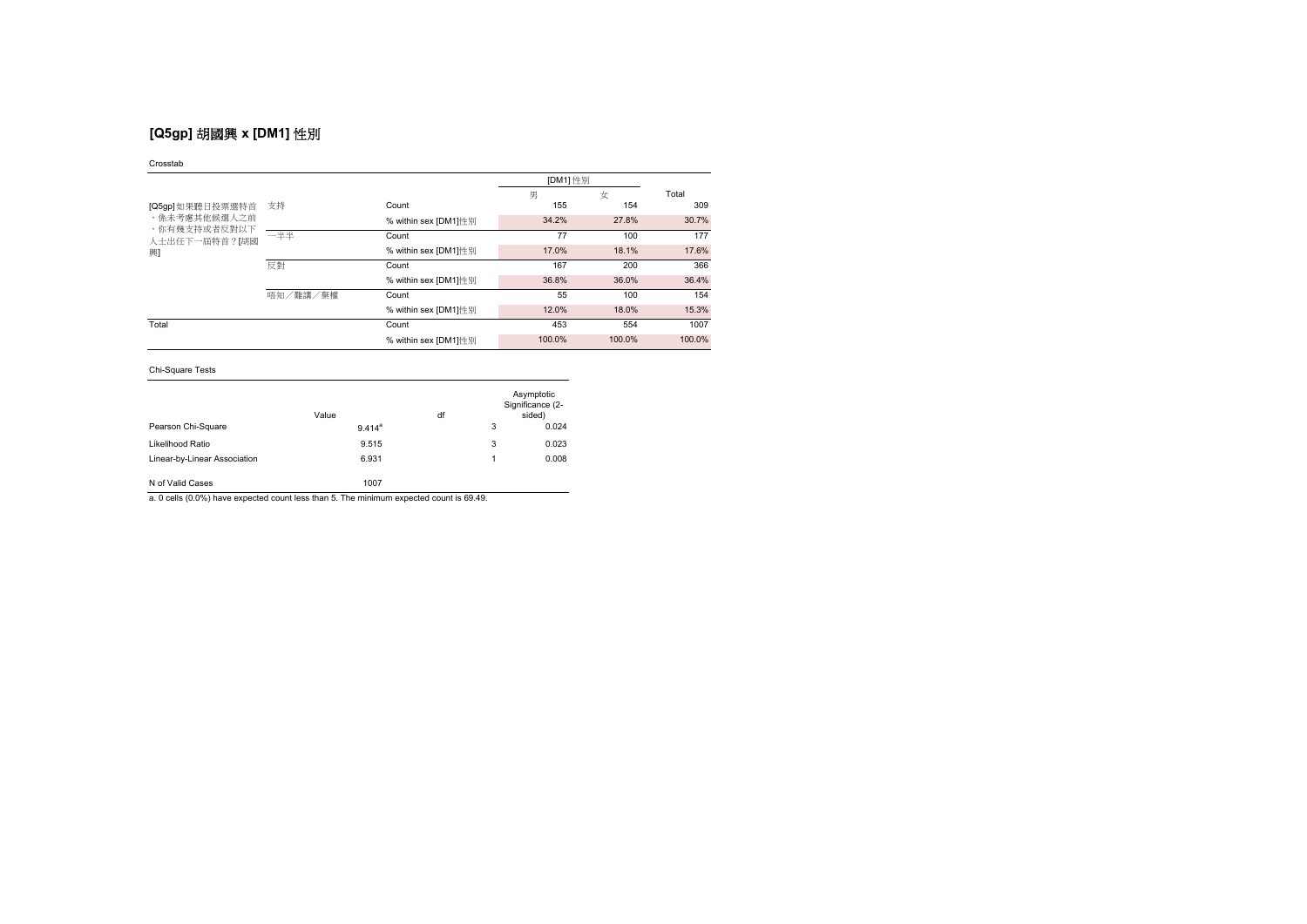# **[Q5gp]** 胡國興 **x [DM1]** 性別

### Crosstab

|                                                    |          |                      | [DM1] 性別 |        |        |  |
|----------------------------------------------------|----------|----------------------|----------|--------|--------|--|
|                                                    |          |                      | 男        | 女      | Total  |  |
| [Q5gp]如果聽日投票選特首                                    | 支持       | Count                | 155      | 154    | 309    |  |
| ,係未考慮其他候選人之前<br>,你有幾支持或者反對以下<br>人士出任下一屆特首?[胡國<br>興 |          | % within sex [DM1]性別 | 34.2%    | 27.8%  | 30.7%  |  |
|                                                    | 一半半      | Count                | 77       | 100    | 177    |  |
|                                                    |          | % within sex [DM1]性別 | 17.0%    | 18.1%  | 17.6%  |  |
|                                                    | 反對       | Count                | 167      | 200    | 366    |  |
|                                                    |          | % within sex [DM1]性别 | 36.8%    | 36.0%  | 36.4%  |  |
|                                                    | 唔知/難講/棄權 | Count                | 55       | 100    | 154    |  |
|                                                    |          | % within sex [DM1]性別 | 12.0%    | 18.0%  | 15.3%  |  |
| Total                                              |          | Count                | 453      | 554    | 1007   |  |
|                                                    |          | % within sex [DM1]性别 | 100.0%   | 100.0% | 100.0% |  |

## Chi-Square Tests

|                              | Value              | df |   | Asymptotic<br>Significance (2-<br>sided) |
|------------------------------|--------------------|----|---|------------------------------------------|
| Pearson Chi-Square           | 9.414 <sup>a</sup> |    | 3 | 0.024                                    |
| Likelihood Ratio             | 9.515              |    | 3 | 0.023                                    |
| Linear-by-Linear Association | 6.931              |    | 1 | 0.008                                    |
| N of Valid Cases             | 1007               |    |   |                                          |

a. 0 cells (0.0%) have expected count less than 5. The minimum expected count is 69.49.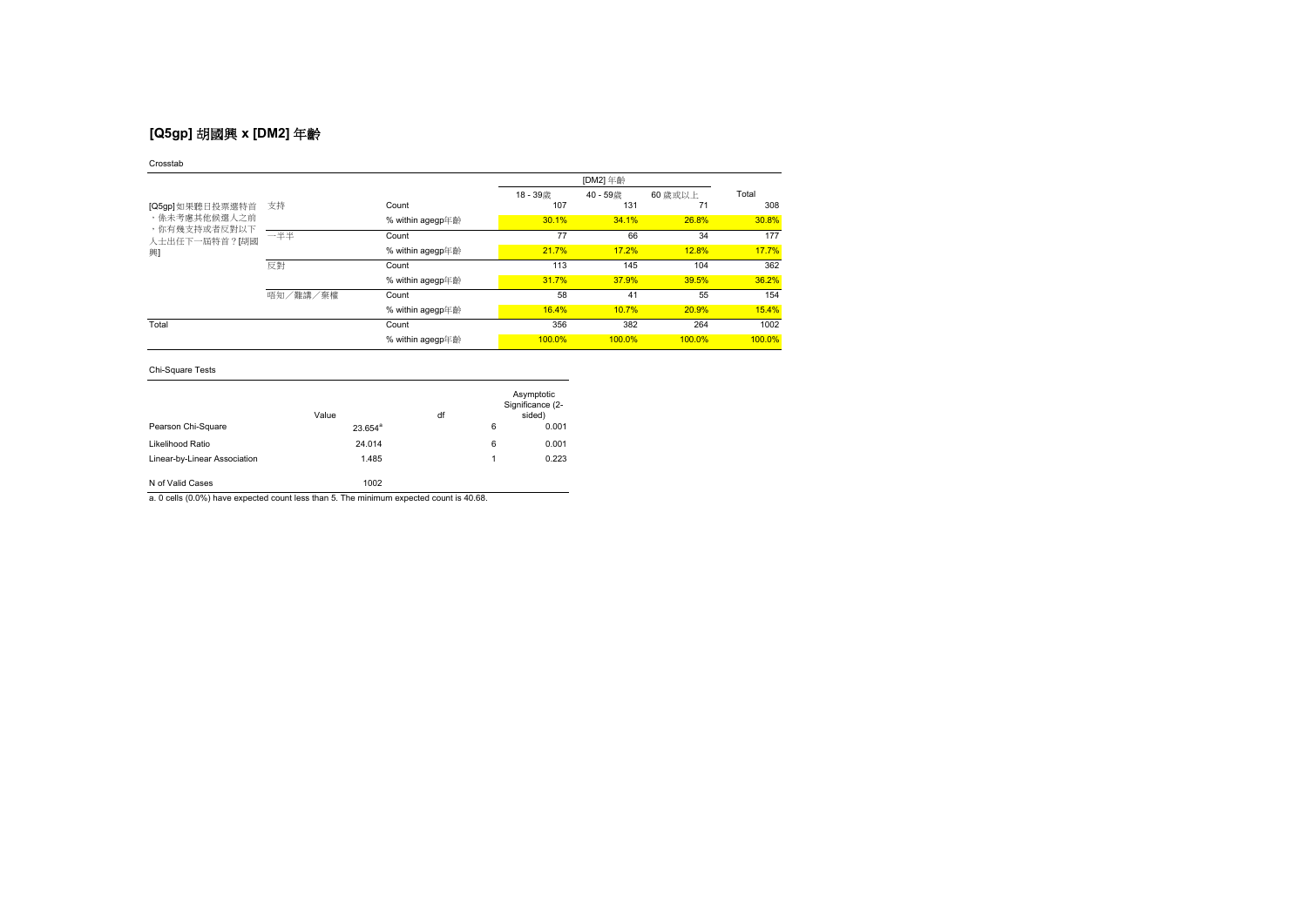# **[Q5gp]** 胡國興 **x [DM2]** 年齡

### Crosstab

|                                                    |          |                  |        | [DM2] 年齡  |         |        |  |
|----------------------------------------------------|----------|------------------|--------|-----------|---------|--------|--|
|                                                    |          |                  | 18-39歳 | 40-59歳    | 60 歲或以上 | Total  |  |
| [Q5gp]如果聽日投票選特首                                    | 支持       | Count            | 107    | 131       | 71      | 308    |  |
| ,係未考慮其他候選人之前<br>,你有幾支持或者反對以下<br>人士出任下一屆特首?[胡國<br>興 |          | % within agegp年齡 | 30.1%  | 34.1%     | 26.8%   | 30.8%  |  |
|                                                    | 一半半      | Count            | 77     | 66        | 34      | 177    |  |
|                                                    |          | % within agegp年齡 | 21.7%  | 17.2%     | 12.8%   | 17.7%  |  |
|                                                    | 反對       | Count            | 113    | 145       | 104     | 362    |  |
|                                                    |          | % within agegp年齡 | 31.7%  | 37.9%     | 39.5%   | 36.2%  |  |
|                                                    | 唔知/難講/棄權 | Count            | 58     | 41        | 55      | 154    |  |
|                                                    |          | % within agegp年齡 | 16.4%  | 10.7%     | 20.9%   | 15.4%  |  |
| Total                                              |          | Count            | 356    | 382       | 264     | 1002   |  |
|                                                    |          | % within agegp年齡 | 100.0% | $100.0\%$ | 100.0%  | 100.0% |  |

## Chi-Square Tests

|                              | Value      | df |   | Asymptotic<br>Significance (2-<br>sided) |
|------------------------------|------------|----|---|------------------------------------------|
| Pearson Chi-Square           | $23.654^a$ |    | 6 | 0.001                                    |
| Likelihood Ratio             | 24.014     |    | 6 | 0.001                                    |
| Linear-by-Linear Association | 1.485      |    | 1 | 0.223                                    |
| N of Valid Cases             | 1002       |    |   |                                          |

a. 0 cells (0.0%) have expected count less than 5. The minimum expected count is 40.68.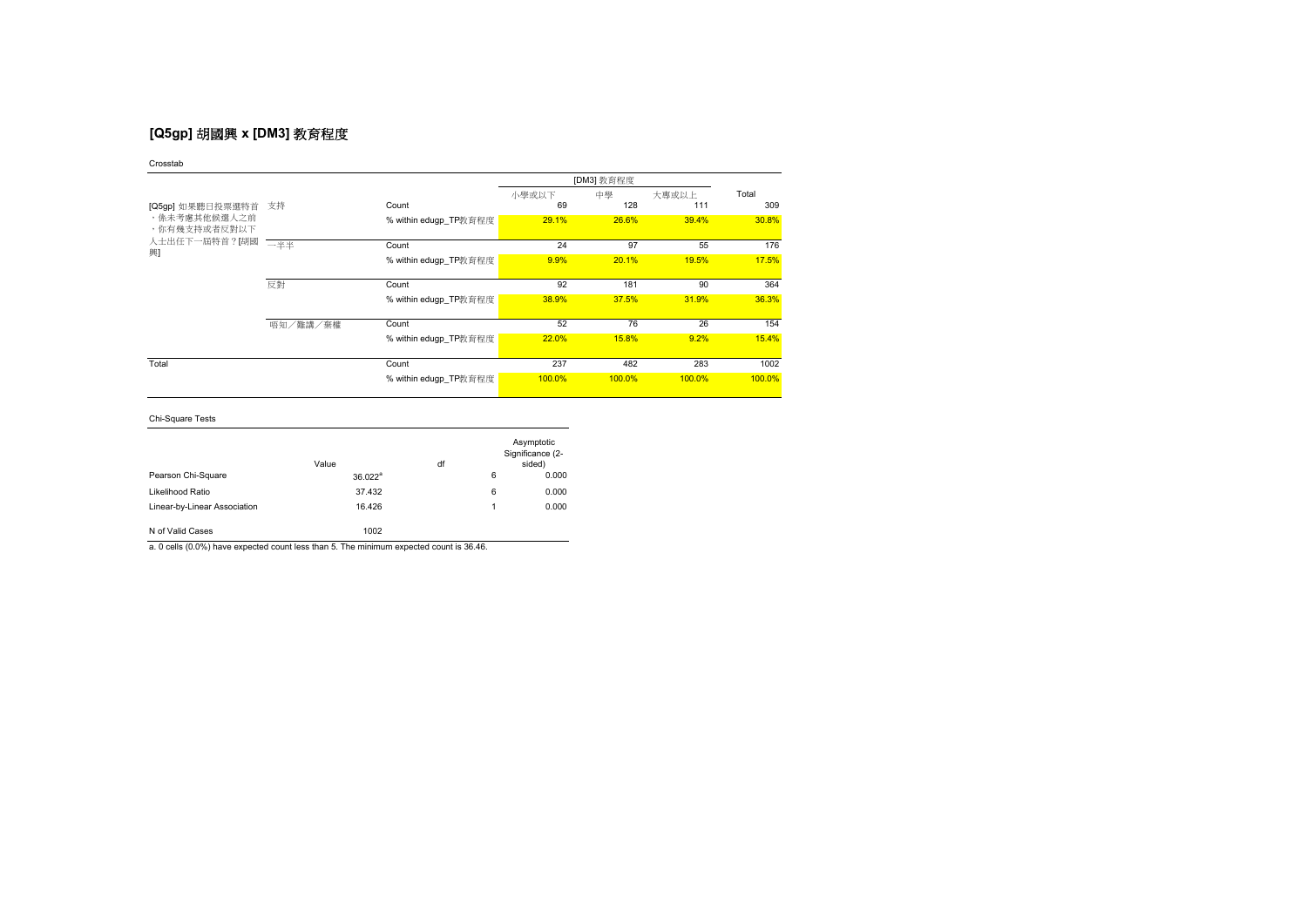# **[Q5gp]** 胡國興 **x [DM3]** 教育程度

| Crosstab                                                               |          |                       |        |            |        |        |
|------------------------------------------------------------------------|----------|-----------------------|--------|------------|--------|--------|
|                                                                        |          |                       |        | [DM3] 教育程度 |        |        |
|                                                                        |          |                       | 小學或以下  | 中學         | 大專或以上  | Total  |
| [Q5gp] 如果聽日投票選特首<br>,係未考慮其他候選人之前<br>,你有幾支持或者反對以下<br>人士出任下一屆特首?[胡國<br>興 | 支持       | Count                 | 69     | 128        | 111    | 309    |
|                                                                        |          | % within edugp_TP教育程度 | 29.1%  | 26.6%      | 39.4%  | 30.8%  |
|                                                                        |          |                       |        |            |        |        |
|                                                                        | 一半半      | Count                 | 24     | 97         | 55     | 176    |
|                                                                        |          | % within edugp TP教育程度 | 9.9%   | 20.1%      | 19.5%  | 17.5%  |
|                                                                        |          |                       |        |            |        |        |
|                                                                        | 反對       | Count                 | 92     | 181        | 90     | 364    |
|                                                                        |          | % within edugp_TP教育程度 | 38.9%  | 37.5%      | 31.9%  | 36.3%  |
|                                                                        |          |                       |        |            |        |        |
|                                                                        | 唔知/難講/棄權 | Count                 | 52     | 76         | 26     | 154    |
|                                                                        |          | % within edugp_TP教育程度 | 22.0%  | 15.8%      | 9.2%   | 15.4%  |
|                                                                        |          |                       |        |            |        |        |
| Total                                                                  |          | Count                 | 237    | 482        | 283    | 1002   |
|                                                                        |          | % within edugp_TP教育程度 | 100.0% | 100.0%     | 100.0% | 100.0% |
|                                                                        |          |                       |        |            |        |        |

Chi-Square Tests

|                              | Value               | df |   | Asymptotic<br>Significance (2-<br>sided) |
|------------------------------|---------------------|----|---|------------------------------------------|
| Pearson Chi-Square           | 36.022 <sup>a</sup> |    | 6 | 0.000                                    |
| Likelihood Ratio             | 37.432              |    | 6 | 0.000                                    |
| Linear-by-Linear Association | 16.426              |    | 1 | 0.000                                    |
| N of Valid Cases             | 1002                |    |   |                                          |

a. 0 cells (0.0%) have expected count less than 5. The minimum expected count is 36.46.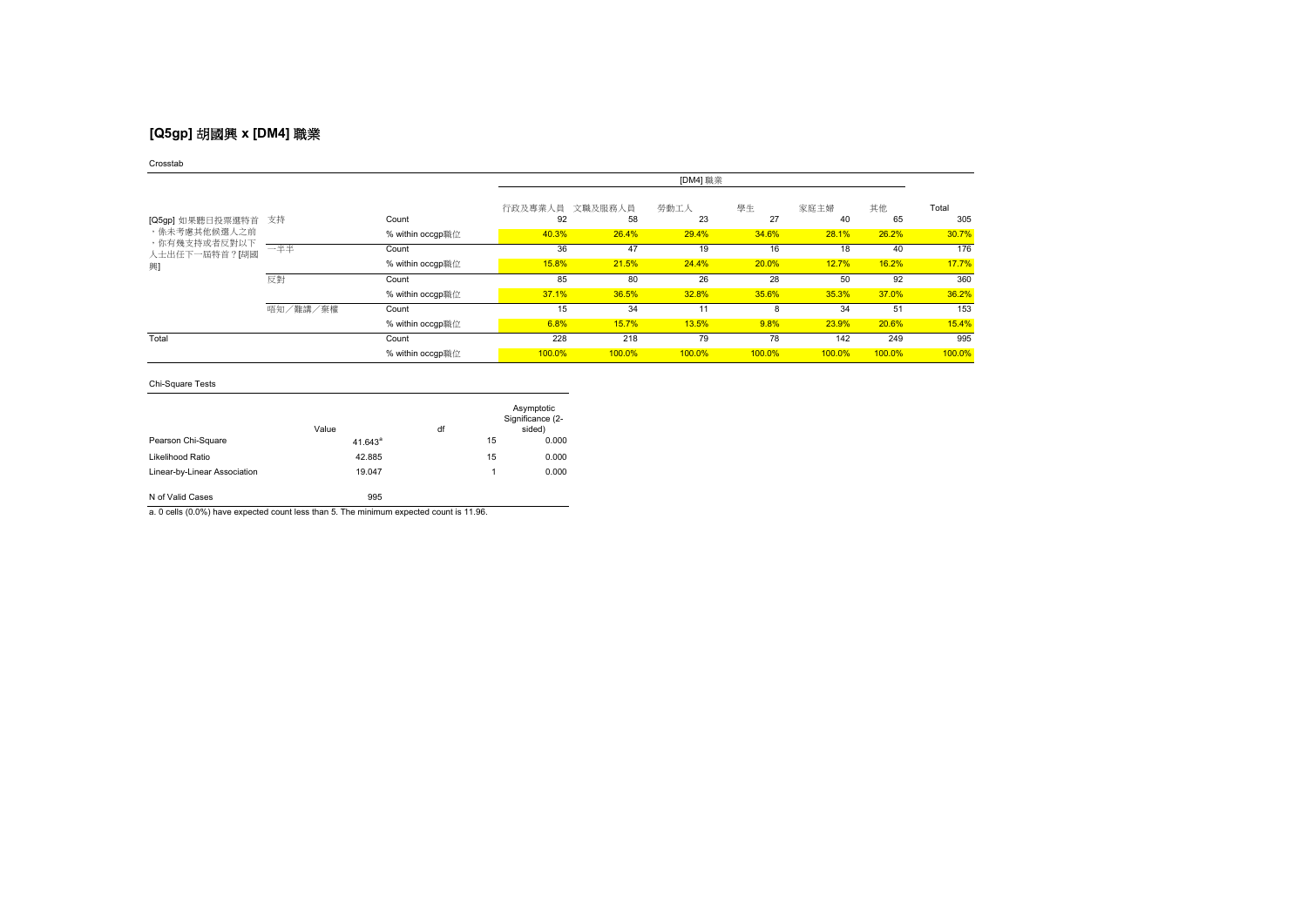# **[Q5gp]** 胡國興 **x [DM4]** 職業

### Crosstab

|                                  |          |                  | [DM4] 職業      |               |            |          |            |          |              |
|----------------------------------|----------|------------------|---------------|---------------|------------|----------|------------|----------|--------------|
| [Q5gp] 如果聽日投票選特首<br>,係未考慮其他候選人之前 | 支持       | Count            | 行政及專業人員<br>92 | 文職及服務人員<br>58 | 勞動工人<br>23 | 學生<br>27 | 家庭主婦<br>40 | 其他<br>65 | Total<br>305 |
|                                  |          | % within occgp職位 | 40.3%         | 26.4%         | 29.4%      | 34.6%    | 28.1%      | 26.2%    | 30.7%        |
| ,你有幾支持或者反對以下<br>人士出任下一屆特首?[胡國    | 一半半      | Count            | 36            | 47            | 19         | 16       | 18         | 40       | 176          |
| 興                                |          | % within occgp職位 | 15.8%         | 21.5%         | 24.4%      | 20.0%    | 12.7%      | 16.2%    | 17.7%        |
|                                  | 反對       | Count            | 85            | 80            | 26         | 28       | 50         | 92       | 360          |
|                                  |          | % within occgp職位 | 37.1%         | 36.5%         | 32.8%      | 35.6%    | 35.3%      | 37.0%    | 36.2%        |
|                                  | 唔知/難講/棄權 | Count            | 15            | 34            | 11         |          | 34         | 51       | 153          |
|                                  |          | % within occgp職位 | 6.8%          | 15.7%         | 13.5%      | 9.8%     | 23.9%      | 20.6%    | 15.4%        |
| Total                            |          | Count            | 228           | 218           | 79         | 78       | 142        | 249      | 995          |
|                                  |          | % within occgp職位 | 100.0%        | 100.0%        | 100.0%     | 100.0%   | 100.0%     | 100.0%   | 100.0%       |

## Chi-Square Tests

|                              | Value      | df |    | Asymptotic<br>Significance (2-<br>sided) |
|------------------------------|------------|----|----|------------------------------------------|
| Pearson Chi-Square           | $41.643^a$ |    | 15 | 0.000                                    |
| Likelihood Ratio             | 42.885     |    | 15 | 0.000                                    |
| Linear-by-Linear Association | 19.047     |    | 1  | 0.000                                    |
| N of Valid Cases             | 995        |    |    |                                          |

a. 0 cells (0.0%) have expected count less than 5. The minimum expected count is 11.96.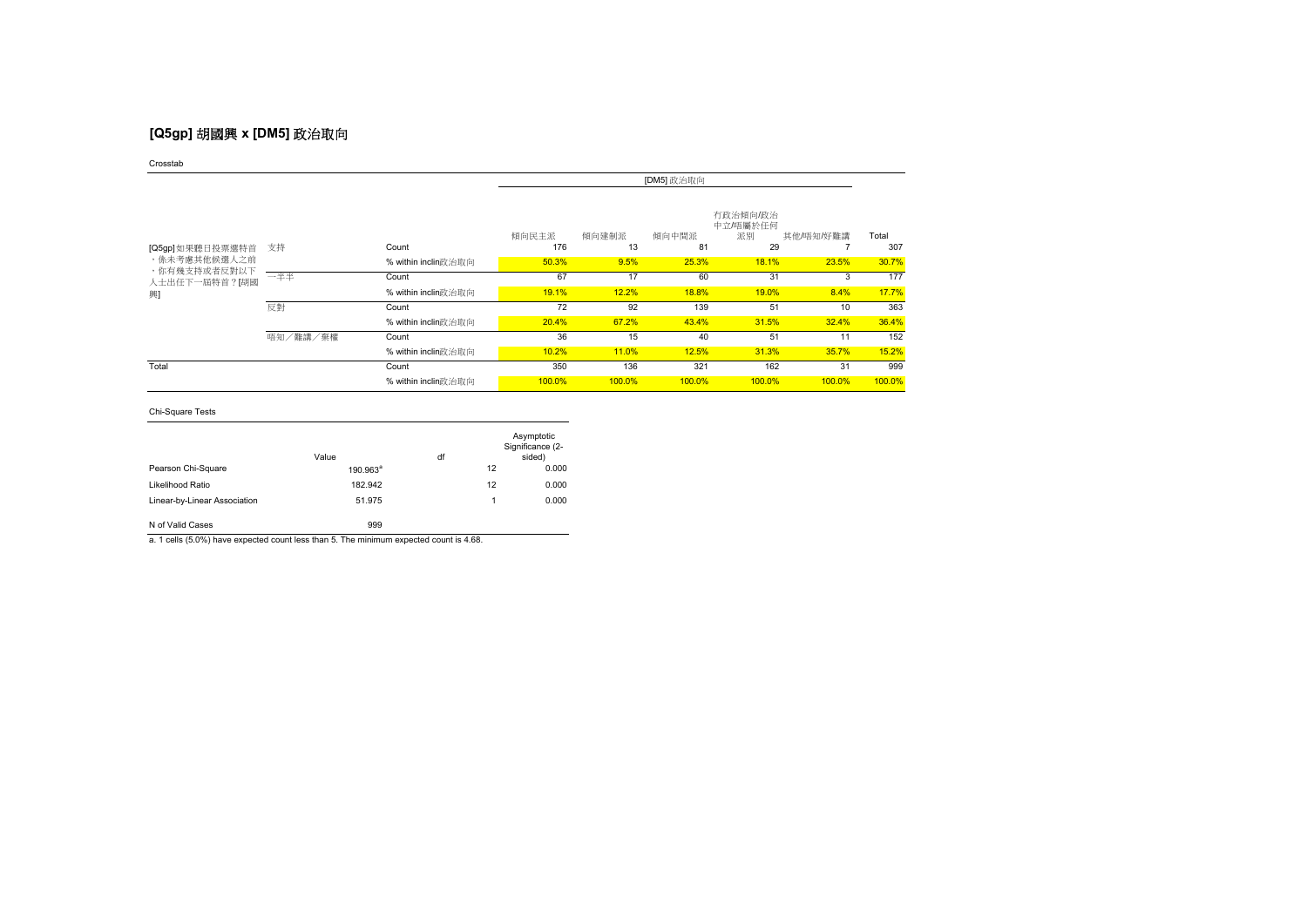# **[Q5gp]** 胡國興 **x [DM5]** 政治取向

Crosstab

|                                                                  |          |                     | [DM5] 政治取向   |             |             |                                  |           |              |
|------------------------------------------------------------------|----------|---------------------|--------------|-------------|-------------|----------------------------------|-----------|--------------|
| [Q5gp]如果聽日投票選特首<br>,係未考慮其他候選人之前<br>,你有幾支持或者反對以下<br>人士出任下一屆特首?[胡國 | 支持       | Count               | 傾向民主派<br>176 | 傾向建制派<br>13 | 傾向中間派<br>81 | 有政治傾向/政治<br>中立/唔屬於任何<br>派別<br>29 | 其他/唔知/好難講 | Total<br>307 |
|                                                                  |          | % within inclin政治取向 | 50.3%        | 9.5%        | 25.3%       | 18.1%                            | 23.5%     | 30.7%        |
|                                                                  | 一半半      | Count               | 67           | 17          | 60          | 31                               | 3         | 177          |
| 興                                                                |          | % within inclin政治取向 | 19.1%        | 12.2%       | 18.8%       | 19.0%                            | 8.4%      | 17.7%        |
|                                                                  | 反對       | Count               | 72           | 92          | 139         | 51                               | 10        | 363          |
|                                                                  |          | % within inclin政治取向 | 20.4%        | 67.2%       | 43.4%       | 31.5%                            | 32.4%     | 36.4%        |
|                                                                  | 唔知/難講/棄權 | Count               | 36           | 15          | 40          | 51                               | 11        | 152          |
|                                                                  |          | % within inclin政治取向 | 10.2%        | 11.0%       | 12.5%       | 31.3%                            | 35.7%     | 15.2%        |
| Total                                                            |          | Count               | 350          | 136         | 321         | 162                              | 31        | 999          |
|                                                                  |          | % within inclin政治取向 | 100.0%       | 100.0%      | 100.0%      | 100.0%                           | 100.0%    | 100.0%       |

## Chi-Square Tests

|                              | Value       | df |    | Asymptotic<br>Significance (2-<br>sided) |
|------------------------------|-------------|----|----|------------------------------------------|
| Pearson Chi-Square           | $190.963^a$ |    | 12 | 0.000                                    |
| Likelihood Ratio             | 182.942     |    | 12 | 0.000                                    |
| Linear-by-Linear Association | 51.975      |    |    | 0.000                                    |
| N of Valid Cases             | 999         |    |    |                                          |

a. 1 cells (5.0%) have expected count less than 5. The minimum expected count is 4.68.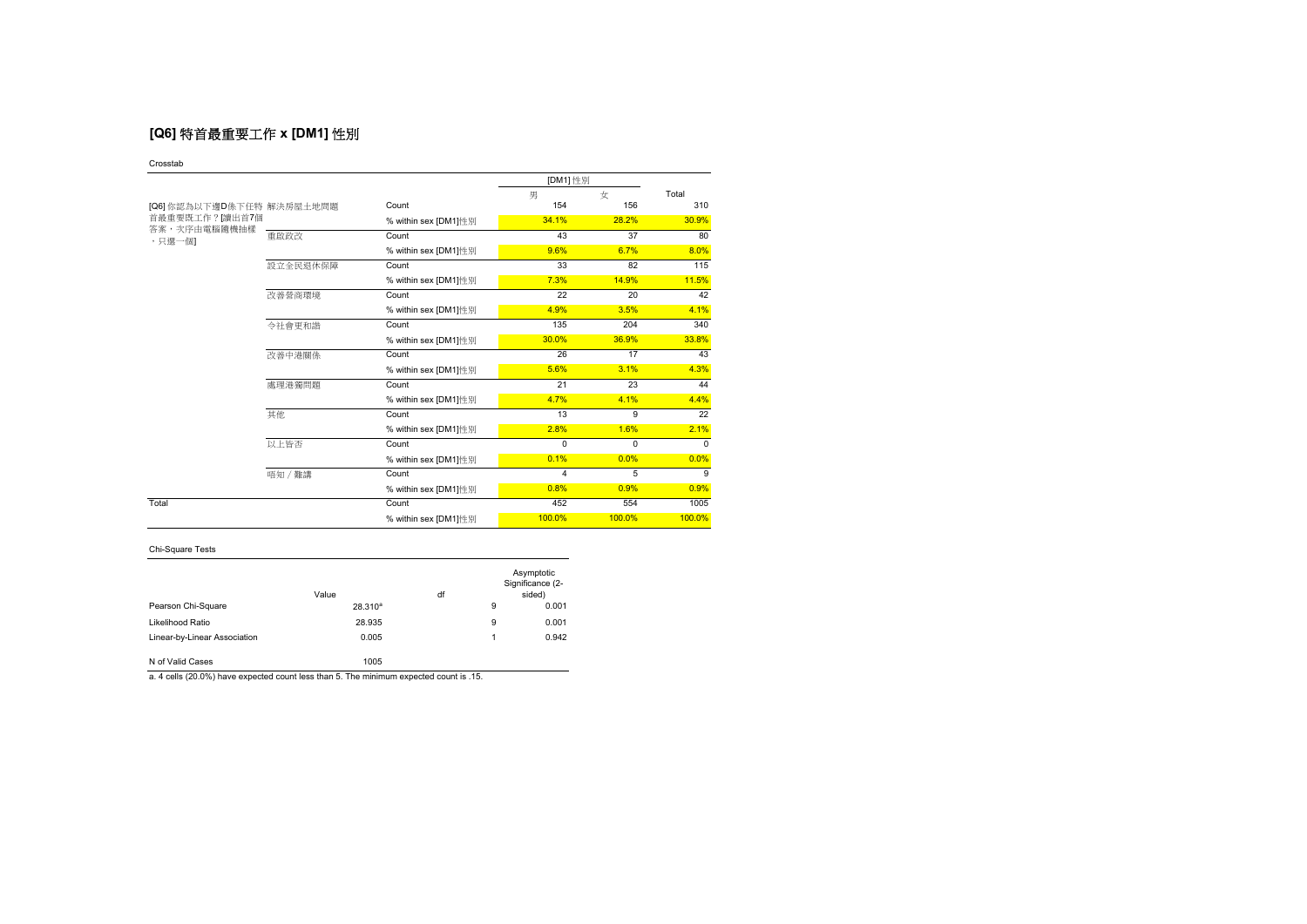# **[Q6]** 特首最重要工作 **x [DM1]** 性別

#### Crosstab

|                           |          |                      | [DM1] 性別 |                |          |  |
|---------------------------|----------|----------------------|----------|----------------|----------|--|
|                           |          |                      | 男        | 女              | Total    |  |
| [Q6] 你認為以下邊D係下任特 解決房屋土地問題 |          | Count                | 154      | 156            | 310      |  |
| 首最重要既工作? 讀出首7個            |          | % within sex [DM1]性别 | 34.1%    | 28.2%          | 30.9%    |  |
| 答案,次序由電腦隨機抽樣<br>,只選一個1    | 重啟政改     | Count                | 43       | 37             | 80       |  |
|                           |          | % within sex [DM1]性别 | 9.6%     | 6.7%           | 8.0%     |  |
|                           | 設立全民退休保障 | Count                | 33       | 82             | 115      |  |
|                           |          | % within sex [DM1]性别 | 7.3%     | 14.9%          | 11.5%    |  |
|                           | 改善營商環境   | Count                | 22       | 20             | 42       |  |
|                           |          | % within sex [DM1]性別 | 4.9%     | 3.5%           | 4.1%     |  |
|                           | 今社會更和諧   | Count                | 135      | 204            | 340      |  |
|                           |          | % within sex [DM1]性别 | 30.0%    | 36.9%          | 33.8%    |  |
|                           | 改善中港關係   | Count                | 26       | 17             | 43       |  |
|                           |          | % within sex [DM1]性别 | 5.6%     | 3.1%           | 4.3%     |  |
|                           | 處理港獨問題   | Count                | 21       | 23             | 44       |  |
|                           |          | % within sex [DM1]性别 | 4.7%     | 4.1%           | 4.4%     |  |
|                           | 其他       | Count                | 13       | 9              | 22       |  |
|                           |          | % within sex [DM1]性别 | 2.8%     | 1.6%           | 2.1%     |  |
|                           | 以上皆否     | Count                | $\Omega$ | $\Omega$       | $\Omega$ |  |
|                           |          | % within sex [DM1]性别 | 0.1%     | 0.0%           | 0.0%     |  |
|                           | 唔知 / 難講  | Count                | 4        | $\overline{5}$ | 9        |  |
|                           |          | % within sex [DM1]性别 | 0.8%     | 0.9%           | 0.9%     |  |
| Total                     |          | Count                | 452      | 554            | 1005     |  |
|                           |          | % within sex [DM1]性别 | 100.0%   | 100.0%         | 100.0%   |  |

## Chi-Square Tests

|                              | Value        | df |   | Asymptotic<br>Significance (2-<br>sided) |
|------------------------------|--------------|----|---|------------------------------------------|
| Pearson Chi-Square           | $28.310^{a}$ |    | 9 | 0.001                                    |
| Likelihood Ratio             | 28.935       |    | 9 | 0.001                                    |
| Linear-by-Linear Association | 0.005        |    |   | 0.942                                    |
| N of Valid Cases             | 1005         |    |   |                                          |

a. 4 cells (20.0%) have expected count less than 5. The minimum expected count is .15.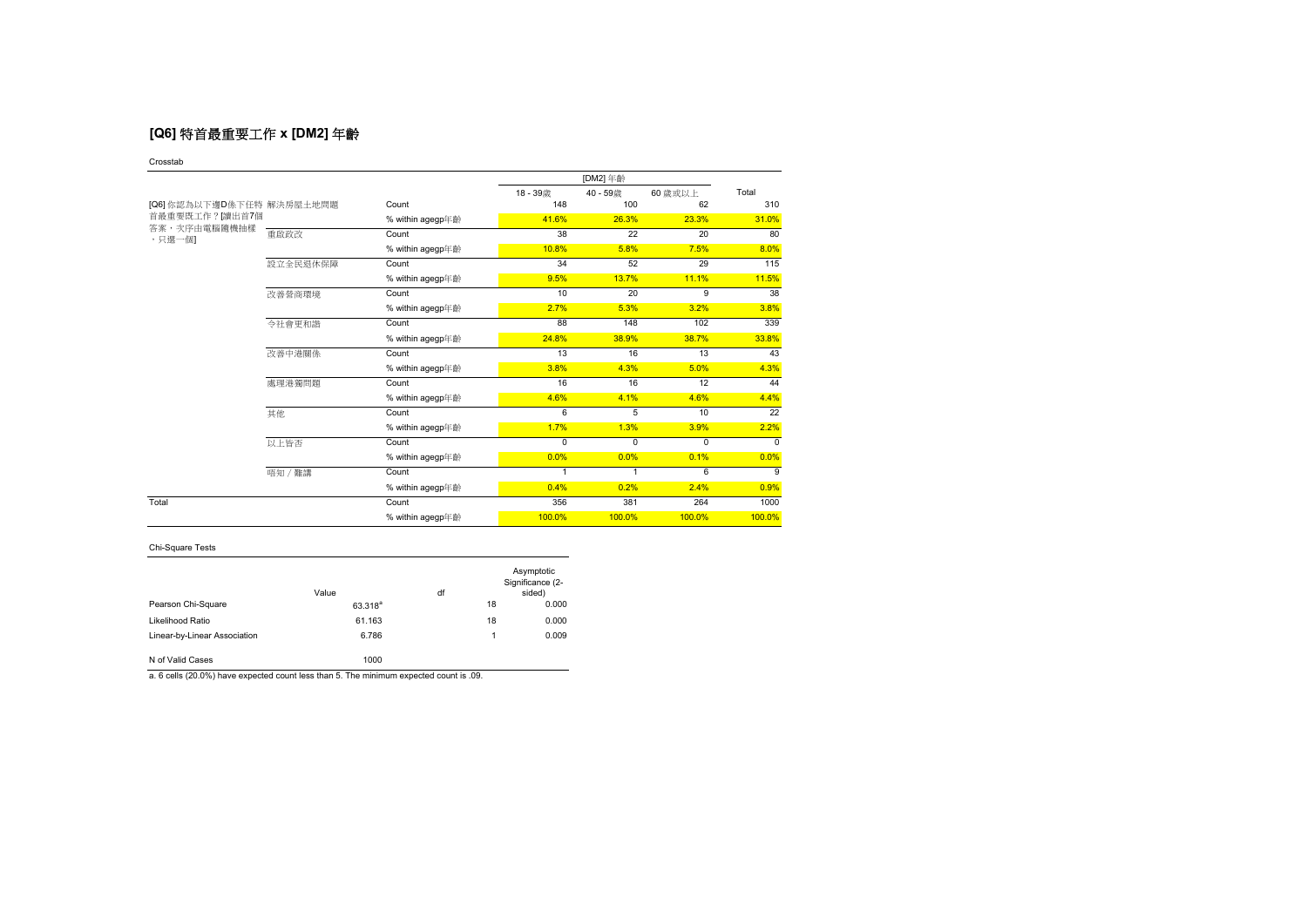# **[Q6]** 特首最重要工作 **x [DM2]** 年齡

### Crosstab

|                           |          |                  | 18-39歳         | 40 - 59歲       | 60 歲或以上  | Total           |
|---------------------------|----------|------------------|----------------|----------------|----------|-----------------|
| [Q6] 你認為以下邊D係下任特 解決房屋土地問題 |          | Count            | 148            | 100            | 62       | 310             |
| 首最重要既工作?[讀出首7個            |          | % within agegp年齡 | 41.6%          | 26.3%          | 23.3%    | 31.0%           |
| 答案,次序由電腦隨機抽樣<br>,只撰一個1    | 重啟政改     | Count            | 38             | 22             | 20       | 80              |
|                           |          | % within agegp年齡 | 10.8%          | 5.8%           | 7.5%     | 8.0%            |
|                           | 設立全民退休保障 | Count            | 34             | 52             | 29       | 115             |
|                           |          | % within agegp年齡 | 9.5%           | 13.7%          | 11.1%    | 11.5%           |
|                           | 改善營商環境   | Count            | 10             | 20             | 9        | 38              |
|                           |          | % within agegp年齡 | 2.7%           | 5.3%           | 3.2%     | 3.8%            |
|                           | 令社會更和諧   | Count            | 88             | 148            | 102      | 339             |
|                           |          | % within agegp年齡 | 24.8%          | 38.9%          | 38.7%    | 33.8%           |
|                           | 改善中港關係   | Count            | 13             | 16             | 13       | 43              |
|                           |          | % within agegp年齡 | 3.8%           | 4.3%           | 5.0%     | 4.3%            |
|                           | 處理港獨問題   | Count            | 16             | 16             | 12       | 44              |
|                           |          | % within agegp年齡 | 4.6%           | 4.1%           | 4.6%     | 4.4%            |
|                           | 其他       | Count            | 6              | $\overline{5}$ | 10       | $\overline{22}$ |
|                           |          | % within agegp年齡 | 1.7%           | 1.3%           | 3.9%     | 2.2%            |
|                           | 以上皆否     | Count            | $\Omega$       | 0              | $\Omega$ | $\Omega$        |
|                           |          | % within agegp年齡 | 0.0%           | 0.0%           | 0.1%     | 0.0%            |
|                           | 唔知 / 難講  | Count            | $\overline{1}$ | 1              | 6        | 9               |
|                           |          | % within agegp年齡 | 0.4%           | 0.2%           | 2.4%     | 0.9%            |
| Total                     |          | Count            | 356            | 381            | 264      | 1000            |
|                           |          | % within agegp年齡 | 100.0%         | 100.0%         | 100.0%   | 100.0%          |

## Chi-Square Tests

|                              | Value        | df |    | Asymptotic<br>Significance (2-<br>sided) |
|------------------------------|--------------|----|----|------------------------------------------|
| Pearson Chi-Square           | $63.318^{a}$ |    | 18 | 0.000                                    |
| Likelihood Ratio             | 61.163       |    | 18 | 0.000                                    |
| Linear-by-Linear Association | 6.786        |    | 1  | 0.009                                    |
| N of Valid Cases             | 1000         |    |    |                                          |

a. 6 cells (20.0%) have expected count less than 5. The minimum expected count is .09.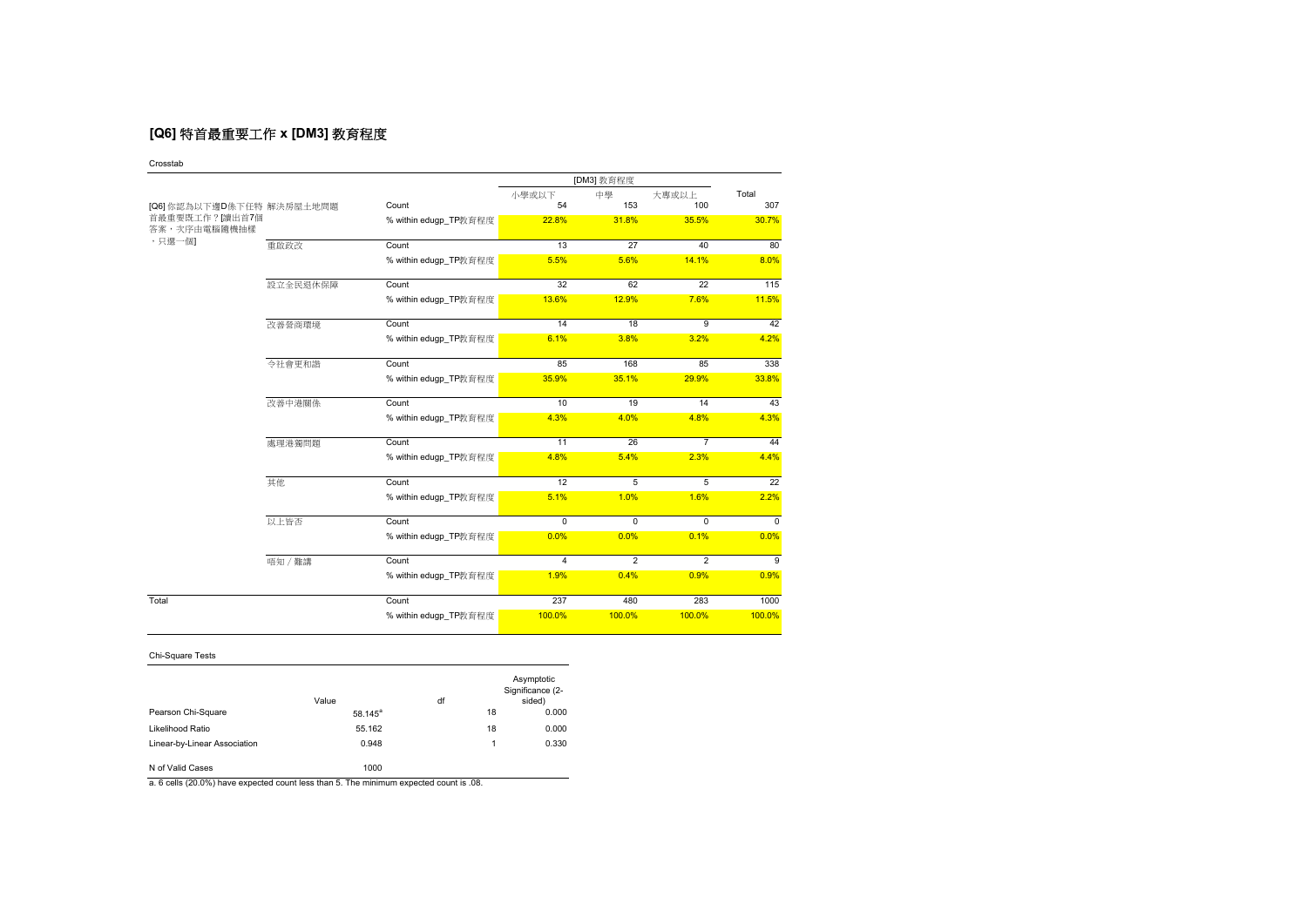# **[Q6]** 特首最重要工作 **x [DM3]** 教育程度

### Crosstab

|                                |          |                       | [DM3] 教育程度              |                |                |          |  |
|--------------------------------|----------|-----------------------|-------------------------|----------------|----------------|----------|--|
|                                |          |                       | 小學或以下                   | 中學             | 大專或以上          | Total    |  |
| [Q6] 你認為以下邊D係下任特 解決房屋土地問題      |          | Count                 | 54                      | 153            | 100            | 307      |  |
| 首最重要既工作?[讀出首7個<br>答案,次序由電腦隨機抽樣 |          | % within edugp_TP教育程度 | 22.8%                   | 31.8%          | 35.5%          | 30.7%    |  |
| ,只選一個]                         | 重啟政改     | Count                 | 13                      | 27             | 40             | 80       |  |
|                                |          | % within edugp_TP教育程度 | 5.5%                    | 5.6%           | 14.1%          | 8.0%     |  |
|                                | 設立全民退休保障 | Count                 | 32                      | 62             | 22             | 115      |  |
|                                |          | % within edugp_TP教育程度 | 13.6%                   | 12.9%          | 7.6%           | 11.5%    |  |
|                                | 改善營商環境   | Count                 | 14                      | 18             | 9              | 42       |  |
|                                |          | % within edugp_TP教育程度 | 6.1%                    | 3.8%           | 3.2%           | 4.2%     |  |
|                                | 令社會更和諧   | Count                 | 85                      | 168            | 85             | 338      |  |
|                                |          | % within edugp_TP教育程度 | 35.9%                   | 35.1%          | 29.9%          | 33.8%    |  |
|                                | 改善中港關係   | Count                 | 10                      | 19             | 14             | 43       |  |
|                                |          | % within edugp_TP教育程度 | 4.3%                    | 4.0%           | 4.8%           | 4.3%     |  |
|                                | 處理港獨問題   | Count                 | 11                      | 26             | $\overline{7}$ | 44       |  |
|                                |          | % within edugp_TP教育程度 | 4.8%                    | 5.4%           | 2.3%           | 4.4%     |  |
|                                | 其他       | Count                 | 12                      | 5              | 5              | 22       |  |
|                                |          | % within edugp_TP教育程度 | 5.1%                    | 1.0%           | 1.6%           | 2.2%     |  |
|                                | 以上皆否     | Count                 | $\Omega$                | 0              | 0              | $\Omega$ |  |
|                                |          | % within edugp_TP教育程度 | 0.0%                    | 0.0%           | 0.1%           | 0.0%     |  |
|                                | 唔知 / 難講  | Count                 | $\overline{\mathbf{A}}$ | $\overline{2}$ | $\overline{2}$ | 9        |  |
|                                |          | % within edugp_TP教育程度 | 1.9%                    | 0.4%           | 0.9%           | 0.9%     |  |
| Total                          |          | Count                 | 237                     | 480            | 283            | 1000     |  |
|                                |          | % within edugp_TP教育程度 | 100.0%                  | 100.0%         | 100.0%         | 100.0%   |  |

## Chi-Square Tests

|                              | Value      | df |    | Asymptotic<br>Significance (2-<br>sided) |
|------------------------------|------------|----|----|------------------------------------------|
| Pearson Chi-Square           | $58.145^a$ |    | 18 | 0.000                                    |
| Likelihood Ratio             | 55.162     |    | 18 | 0.000                                    |
| Linear-by-Linear Association | 0.948      |    | 1  | 0.330                                    |
| N of Valid Cases             | 1000       |    |    |                                          |

a. 6 cells (20.0%) have expected count less than 5. The minimum expected count is .08.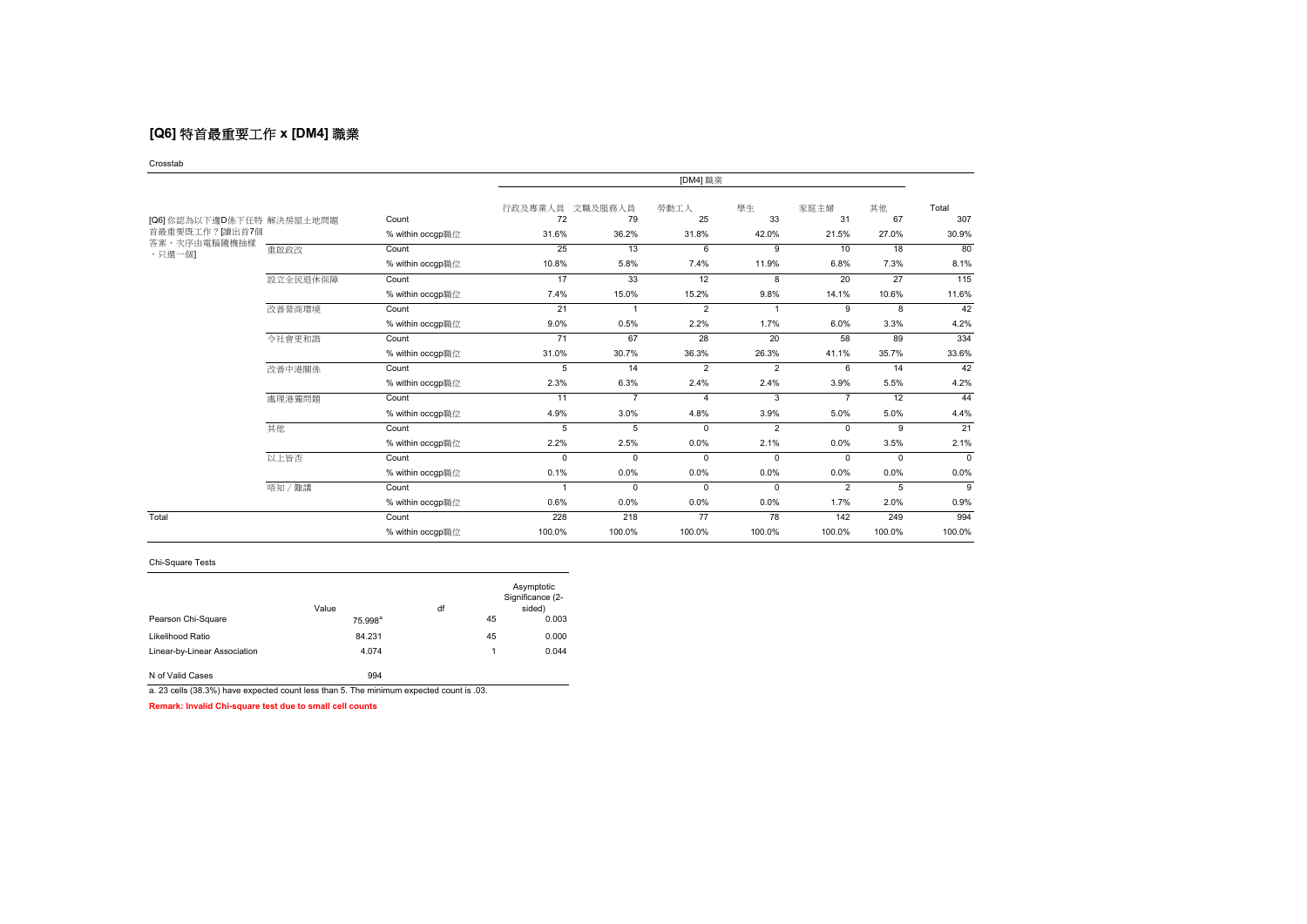# **[Q6]** 特首最重要工作 **x [DM4]** 職業

#### Crosstab

|                           |          |                  | [DM4] 職業      |                |                |                |                |          |              |
|---------------------------|----------|------------------|---------------|----------------|----------------|----------------|----------------|----------|--------------|
| [Q6] 你認為以下邊D係下任特 解決房屋土地問題 |          | Count            | 行政及專業人員<br>72 | 文職及服務人員<br>79  | 勞動工人<br>25     | 學生<br>33       | 家庭主婦<br>31     | 其他<br>67 | Total<br>307 |
| 首最重要既工作? 讀出首7個            |          | % within occgp職位 | 31.6%         | 36.2%          | 31.8%          | 42.0%          | 21.5%          | 27.0%    | 30.9%        |
| 答案,次序由電腦隨機抽樣<br>,只選一個]    | 重啟政改     | Count            | 25            | 13             | 6              | 9              | 10             | 18       | 80           |
|                           |          | % within occgp職位 | 10.8%         | 5.8%           | 7.4%           | 11.9%          | 6.8%           | 7.3%     | 8.1%         |
|                           | 設立全民退休保障 | Count            | 17            | 33             | 12             | 8              | 20             | 27       | 115          |
|                           |          | % within occgp職位 | 7.4%          | 15.0%          | 15.2%          | 9.8%           | 14.1%          | 10.6%    | 11.6%        |
|                           | 改善營商環境   | Count            | 21            |                | $\overline{2}$ | $\mathbf{1}$   | 9              | 8        | 42           |
|                           |          | % within occap職位 | 9.0%          | 0.5%           | 2.2%           | 1.7%           | 6.0%           | 3.3%     | 4.2%         |
|                           | 令社會更和諧   | Count            | 71            | 67             | 28             | 20             | 58             | 89       | 334          |
|                           |          | % within occgp職位 | 31.0%         | 30.7%          | 36.3%          | 26.3%          | 41.1%          | 35.7%    | 33.6%        |
|                           | 改善中港關係   | Count            | 5             | 14             | $\overline{2}$ | $\overline{2}$ | 6              | 14       | 42           |
|                           |          | % within occgp職位 | 2.3%          | 6.3%           | 2.4%           | 2.4%           | 3.9%           | 5.5%     | 4.2%         |
|                           | 處理港獨問題   | Count            | 11            | $\overline{7}$ | 4              | 3              | $\overline{7}$ | 12       | 44           |
|                           |          | % within occap職位 | 4.9%          | 3.0%           | 4.8%           | 3.9%           | 5.0%           | 5.0%     | 4.4%         |
|                           | 其他       | Count            | 5             | 5              | $\mathbf 0$    | $\overline{2}$ | $\Omega$       | 9        | 21           |
|                           |          | % within occgp職位 | 2.2%          | 2.5%           | 0.0%           | 2.1%           | 0.0%           | 3.5%     | 2.1%         |
|                           | 以上皆否     | Count            | $\Omega$      | $\Omega$       | $\Omega$       | $\Omega$       | $\Omega$       | $\Omega$ | $\Omega$     |
|                           |          | % within occgp職位 | 0.1%          | 0.0%           | 0.0%           | 0.0%           | 0.0%           | 0.0%     | 0.0%         |
|                           | 唔知 / 難講  | Count            | -1            | $\Omega$       | $\Omega$       | $\Omega$       | $\overline{2}$ | 5        | 9            |
|                           |          | % within occgp職位 | 0.6%          | 0.0%           | 0.0%           | 0.0%           | 1.7%           | 2.0%     | 0.9%         |
| Total                     |          | Count            | 228           | 218            | 77             | 78             | 142            | 249      | 994          |
|                           |          | % within occap職位 | 100.0%        | 100.0%         | 100.0%         | 100.0%         | 100.0%         | 100.0%   | 100.0%       |

### Chi-Square Tests

|                                                                                         | Value      | df |    | Asymptotic<br>Significance (2-<br>sided) |
|-----------------------------------------------------------------------------------------|------------|----|----|------------------------------------------|
| Pearson Chi-Square                                                                      | $75.998^a$ |    | 45 | 0.003                                    |
| Likelihood Ratio                                                                        | 84.231     |    | 45 | 0.000                                    |
| Linear-by-Linear Association                                                            | 4.074      |    | 1  | 0.044                                    |
| N of Valid Cases                                                                        | 994        |    |    |                                          |
| a. 23 cells (38.3%) have expected count less than 5. The minimum expected count is .03. |            |    |    |                                          |

**Remark: Invalid Chi-square test due to small cell counts**